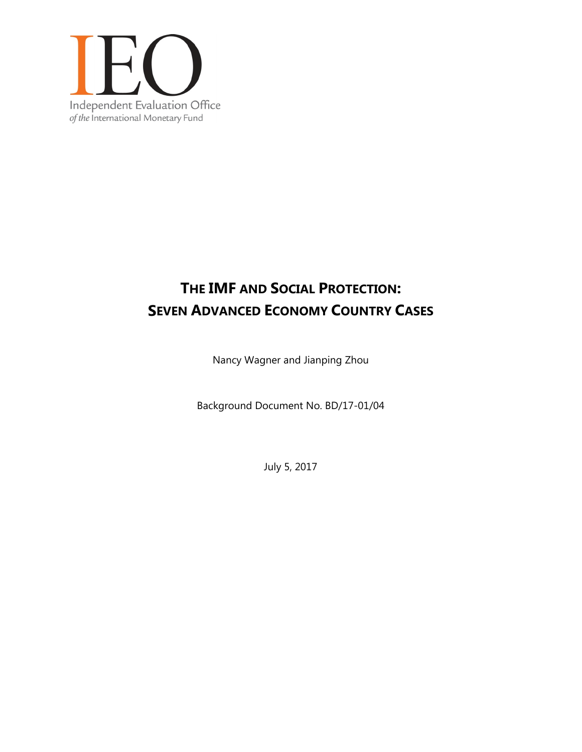

# **THE IMF AND SOCIAL PROTECTION: SEVEN ADVANCED ECONOMY COUNTRY CASES**

Nancy Wagner and Jianping Zhou

Background Document No. BD/17-01/04

July 5, 2017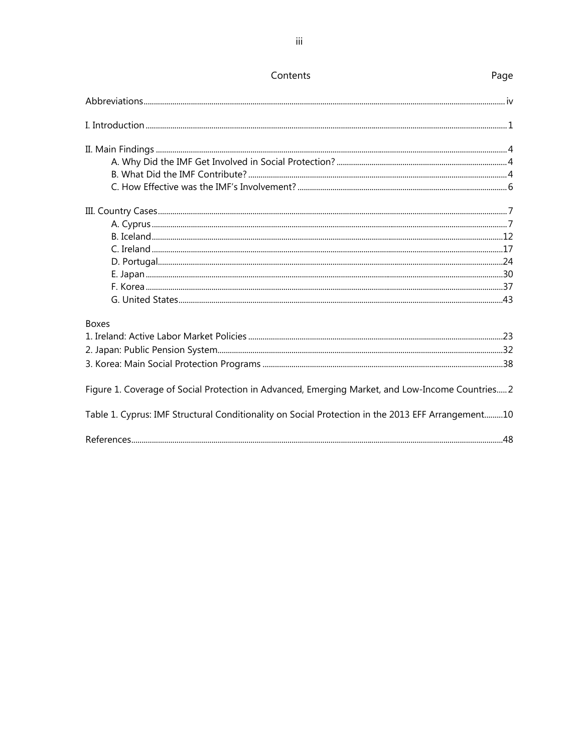| <b>Boxes</b>                                                                                      |
|---------------------------------------------------------------------------------------------------|
|                                                                                                   |
|                                                                                                   |
|                                                                                                   |
| Figure 1. Coverage of Social Protection in Advanced, Emerging Market, and Low-Income Countries 2  |
| Table 1. Cyprus: IMF Structural Conditionality on Social Protection in the 2013 EFF Arrangement10 |
|                                                                                                   |

Page

Contents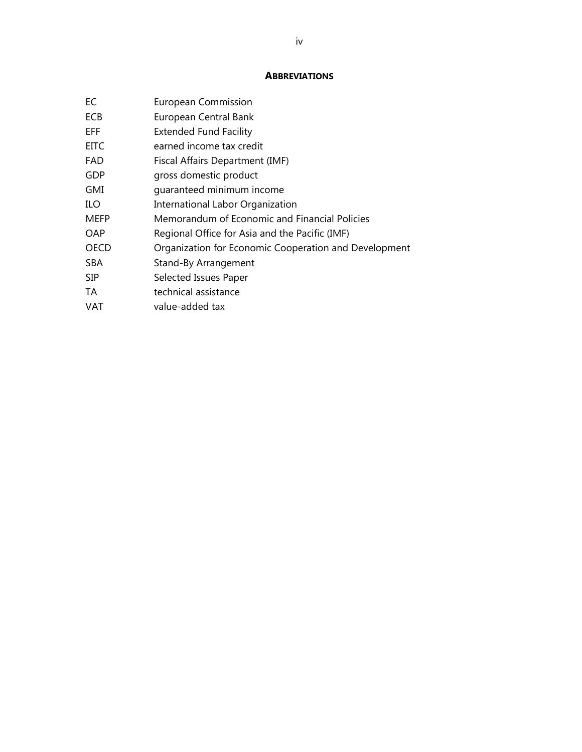#### **ABBREVIATIONS**

| EС    | <b>European Commission</b>                            |
|-------|-------------------------------------------------------|
| ECB   | European Central Bank                                 |
| EFF.  | <b>Extended Fund Facility</b>                         |
| EITC. | earned income tax credit                              |
| FAD   | Fiscal Affairs Department (IMF)                       |
| GDP   | gross domestic product                                |
| GMI   | quaranteed minimum income                             |
| ILO   | International Labor Organization                      |
| MEFP  | Memorandum of Economic and Financial Policies         |
| OAP   | Regional Office for Asia and the Pacific (IMF)        |
| OECD  | Organization for Economic Cooperation and Development |
| SBA   | Stand-By Arrangement                                  |
| SIP   | Selected Issues Paper                                 |
| TA    | technical assistance                                  |
| VAT   | value-added tax                                       |
|       |                                                       |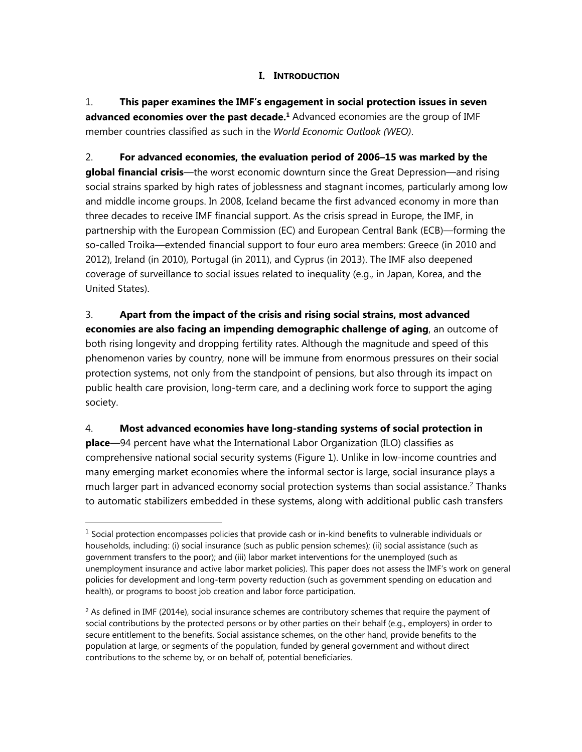## **I. INTRODUCTION**

1. **This paper examines the IMF's engagement in social protection issues in seven**  advanced economies over the past decade.<sup>1</sup> Advanced economies are the group of IMF member countries classified as such in the *World Economic Outlook (WEO)*.

2. **For advanced economies, the evaluation period of 2006–15 was marked by the global financial crisis**—the worst economic downturn since the Great Depression—and rising social strains sparked by high rates of joblessness and stagnant incomes, particularly among low and middle income groups. In 2008, Iceland became the first advanced economy in more than three decades to receive IMF financial support. As the crisis spread in Europe, the IMF, in partnership with the European Commission (EC) and European Central Bank (ECB)—forming the so-called Troika—extended financial support to four euro area members: Greece (in 2010 and 2012), Ireland (in 2010), Portugal (in 2011), and Cyprus (in 2013). The IMF also deepened coverage of surveillance to social issues related to inequality (e.g., in Japan, Korea, and the United States).

3. **Apart from the impact of the crisis and rising social strains, most advanced economies are also facing an impending demographic challenge of aging**, an outcome of both rising longevity and dropping fertility rates. Although the magnitude and speed of this phenomenon varies by country, none will be immune from enormous pressures on their social protection systems, not only from the standpoint of pensions, but also through its impact on public health care provision, long-term care, and a declining work force to support the aging society.

## 4. **Most advanced economies have long-standing systems of social protection in**

 $\overline{a}$ 

**place**—94 percent have what the International Labor Organization (ILO) classifies as comprehensive national social security systems (Figure 1). Unlike in low-income countries and many emerging market economies where the informal sector is large, social insurance plays a much larger part in advanced economy social protection systems than social assistance.<sup>2</sup> Thanks to automatic stabilizers embedded in these systems, along with additional public cash transfers

 $<sup>1</sup>$  Social protection encompasses policies that provide cash or in-kind benefits to vulnerable individuals or</sup> households, including: (i) social insurance (such as public pension schemes); (ii) social assistance (such as government transfers to the poor); and (iii) labor market interventions for the unemployed (such as unemployment insurance and active labor market policies). This paper does not assess the IMF's work on general policies for development and long-term poverty reduction (such as government spending on education and health), or programs to boost job creation and labor force participation.

 $<sup>2</sup>$  As defined in IMF (2014e), social insurance schemes are contributory schemes that require the payment of</sup> social contributions by the protected persons or by other parties on their behalf (e.g., employers) in order to secure entitlement to the benefits. Social assistance schemes, on the other hand, provide benefits to the population at large, or segments of the population, funded by general government and without direct contributions to the scheme by, or on behalf of, potential beneficiaries.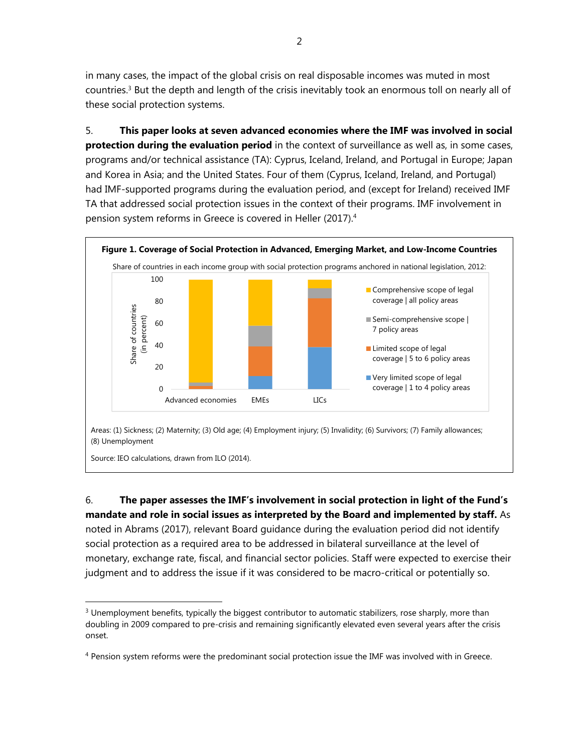in many cases, the impact of the global crisis on real disposable incomes was muted in most countries.3 But the depth and length of the crisis inevitably took an enormous toll on nearly all of these social protection systems.

5. **This paper looks at seven advanced economies where the IMF was involved in social protection during the evaluation period** in the context of surveillance as well as, in some cases, programs and/or technical assistance (TA): Cyprus, Iceland, Ireland, and Portugal in Europe; Japan and Korea in Asia; and the United States. Four of them (Cyprus, Iceland, Ireland, and Portugal) had IMF-supported programs during the evaluation period, and (except for Ireland) received IMF TA that addressed social protection issues in the context of their programs. IMF involvement in pension system reforms in Greece is covered in Heller (2017).4



Source: IEO calculations, drawn from ILO (2014).

 $\overline{a}$ 

6. **The paper assesses the IMF's involvement in social protection in light of the Fund's mandate and role in social issues as interpreted by the Board and implemented by staff.** As noted in Abrams (2017), relevant Board guidance during the evaluation period did not identify social protection as a required area to be addressed in bilateral surveillance at the level of monetary, exchange rate, fiscal, and financial sector policies. Staff were expected to exercise their judgment and to address the issue if it was considered to be macro-critical or potentially so.

 $3$  Unemployment benefits, typically the biggest contributor to automatic stabilizers, rose sharply, more than doubling in 2009 compared to pre-crisis and remaining significantly elevated even several years after the crisis onset.

<sup>&</sup>lt;sup>4</sup> Pension system reforms were the predominant social protection issue the IMF was involved with in Greece.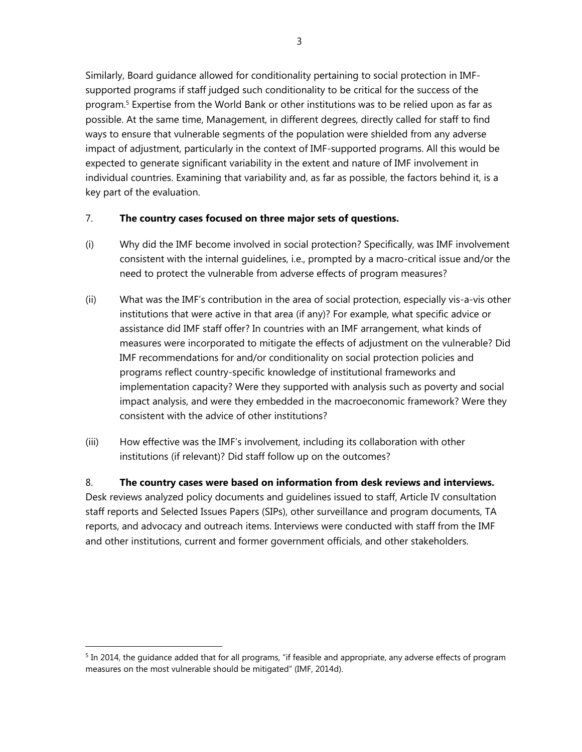Similarly, Board guidance allowed for conditionality pertaining to social protection in IMFsupported programs if staff judged such conditionality to be critical for the success of the program.<sup>5</sup> Expertise from the World Bank or other institutions was to be relied upon as far as possible. At the same time, Management, in different degrees, directly called for staff to find ways to ensure that vulnerable segments of the population were shielded from any adverse impact of adjustment, particularly in the context of IMF-supported programs. All this would be expected to generate significant variability in the extent and nature of IMF involvement in individual countries. Examining that variability and, as far as possible, the factors behind it, is a key part of the evaluation.

## 7. **The country cases focused on three major sets of questions.**

- (i) Why did the IMF become involved in social protection? Specifically, was IMF involvement consistent with the internal guidelines, i.e., prompted by a macro-critical issue and/or the need to protect the vulnerable from adverse effects of program measures?
- (ii) What was the IMF's contribution in the area of social protection, especially vis-a-vis other institutions that were active in that area (if any)? For example, what specific advice or assistance did IMF staff offer? In countries with an IMF arrangement, what kinds of measures were incorporated to mitigate the effects of adjustment on the vulnerable? Did IMF recommendations for and/or conditionality on social protection policies and programs reflect country-specific knowledge of institutional frameworks and implementation capacity? Were they supported with analysis such as poverty and social impact analysis, and were they embedded in the macroeconomic framework? Were they consistent with the advice of other institutions?
- (iii) How effective was the IMF's involvement, including its collaboration with other institutions (if relevant)? Did staff follow up on the outcomes?

8. **The country cases were based on information from desk reviews and interviews.**  Desk reviews analyzed policy documents and guidelines issued to staff, Article IV consultation staff reports and Selected Issues Papers (SIPs), other surveillance and program documents, TA reports, and advocacy and outreach items. Interviews were conducted with staff from the IMF and other institutions, current and former government officials, and other stakeholders.

 $5$  In 2014, the guidance added that for all programs, "if feasible and appropriate, any adverse effects of program measures on the most vulnerable should be mitigated" (IMF, 2014d).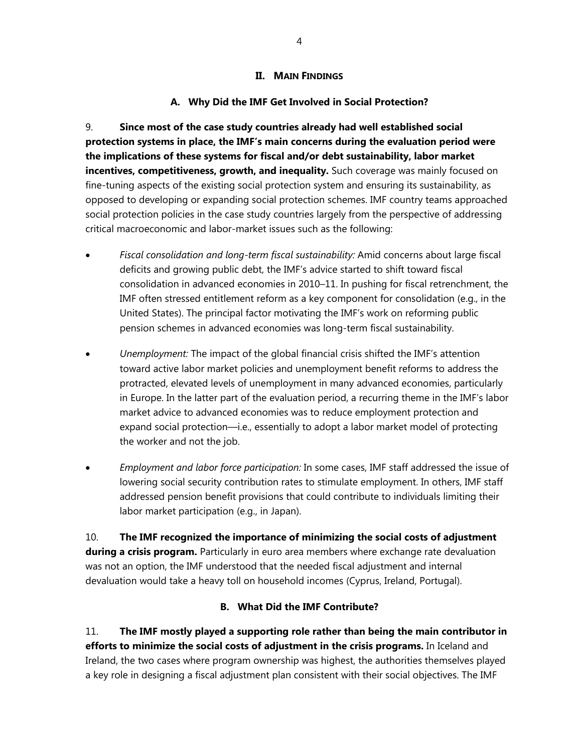#### **II. MAIN FINDINGS**

# **A. Why Did the IMF Get Involved in Social Protection?**

9. **Since most of the case study countries already had well established social protection systems in place, the IMF's main concerns during the evaluation period were the implications of these systems for fiscal and/or debt sustainability, labor market incentives, competitiveness, growth, and inequality.** Such coverage was mainly focused on fine-tuning aspects of the existing social protection system and ensuring its sustainability, as opposed to developing or expanding social protection schemes. IMF country teams approached social protection policies in the case study countries largely from the perspective of addressing critical macroeconomic and labor-market issues such as the following:

- *Fiscal consolidation and long-term fiscal sustainability:* Amid concerns about large fiscal deficits and growing public debt, the IMF's advice started to shift toward fiscal consolidation in advanced economies in 2010–11. In pushing for fiscal retrenchment, the IMF often stressed entitlement reform as a key component for consolidation (e.g., in the United States). The principal factor motivating the IMF's work on reforming public pension schemes in advanced economies was long-term fiscal sustainability.
- *Unemployment:* The impact of the global financial crisis shifted the IMF's attention toward active labor market policies and unemployment benefit reforms to address the protracted, elevated levels of unemployment in many advanced economies, particularly in Europe. In the latter part of the evaluation period, a recurring theme in the IMF's labor market advice to advanced economies was to reduce employment protection and expand social protection—i.e., essentially to adopt a labor market model of protecting the worker and not the job.
- *Employment and labor force participation:* In some cases, IMF staff addressed the issue of lowering social security contribution rates to stimulate employment. In others, IMF staff addressed pension benefit provisions that could contribute to individuals limiting their labor market participation (e.g., in Japan).

10. **The IMF recognized the importance of minimizing the social costs of adjustment during a crisis program.** Particularly in euro area members where exchange rate devaluation was not an option, the IMF understood that the needed fiscal adjustment and internal devaluation would take a heavy toll on household incomes (Cyprus, Ireland, Portugal).

# **B. What Did the IMF Contribute?**

11. **The IMF mostly played a supporting role rather than being the main contributor in efforts to minimize the social costs of adjustment in the crisis programs.** In Iceland and Ireland, the two cases where program ownership was highest, the authorities themselves played a key role in designing a fiscal adjustment plan consistent with their social objectives. The IMF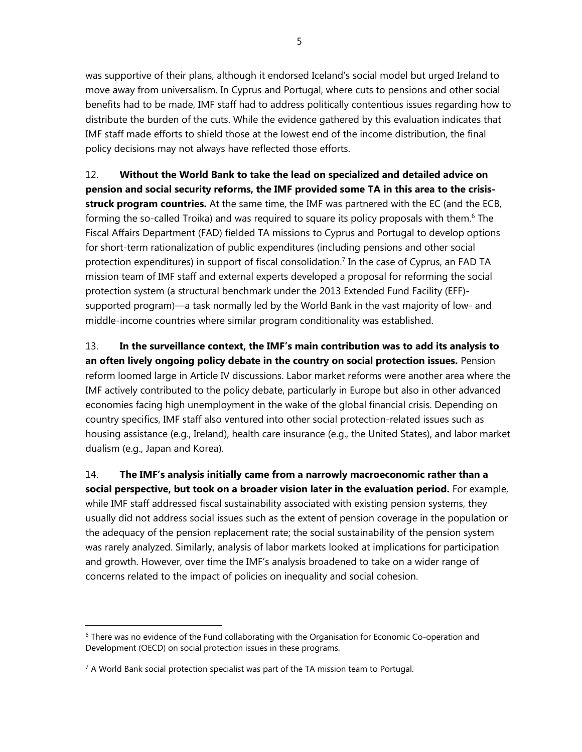was supportive of their plans, although it endorsed Iceland's social model but urged Ireland to move away from universalism. In Cyprus and Portugal, where cuts to pensions and other social benefits had to be made, IMF staff had to address politically contentious issues regarding how to distribute the burden of the cuts. While the evidence gathered by this evaluation indicates that IMF staff made efforts to shield those at the lowest end of the income distribution, the final policy decisions may not always have reflected those efforts.

12. **Without the World Bank to take the lead on specialized and detailed advice on pension and social security reforms, the IMF provided some TA in this area to the crisisstruck program countries.** At the same time, the IMF was partnered with the EC (and the ECB, forming the so-called Troika) and was required to square its policy proposals with them.<sup>6</sup> The Fiscal Affairs Department (FAD) fielded TA missions to Cyprus and Portugal to develop options for short-term rationalization of public expenditures (including pensions and other social protection expenditures) in support of fiscal consolidation.<sup>7</sup> In the case of Cyprus, an FAD TA mission team of IMF staff and external experts developed a proposal for reforming the social protection system (a structural benchmark under the 2013 Extended Fund Facility (EFF) supported program)—a task normally led by the World Bank in the vast majority of low- and middle-income countries where similar program conditionality was established.

13. **In the surveillance context, the IMF's main contribution was to add its analysis to an often lively ongoing policy debate in the country on social protection issues.** Pension reform loomed large in Article IV discussions. Labor market reforms were another area where the IMF actively contributed to the policy debate, particularly in Europe but also in other advanced economies facing high unemployment in the wake of the global financial crisis. Depending on country specifics, IMF staff also ventured into other social protection-related issues such as housing assistance (e.g., Ireland), health care insurance (e.g., the United States), and labor market dualism (e.g., Japan and Korea).

14. **The IMF's analysis initially came from a narrowly macroeconomic rather than a social perspective, but took on a broader vision later in the evaluation period.** For example, while IMF staff addressed fiscal sustainability associated with existing pension systems, they usually did not address social issues such as the extent of pension coverage in the population or the adequacy of the pension replacement rate; the social sustainability of the pension system was rarely analyzed. Similarly, analysis of labor markets looked at implications for participation and growth. However, over time the IMF's analysis broadened to take on a wider range of concerns related to the impact of policies on inequality and social cohesion.

<sup>&</sup>lt;sup>6</sup> There was no evidence of the Fund collaborating with the Organisation for Economic Co-operation and Development (OECD) on social protection issues in these programs.

 $7$  A World Bank social protection specialist was part of the TA mission team to Portugal.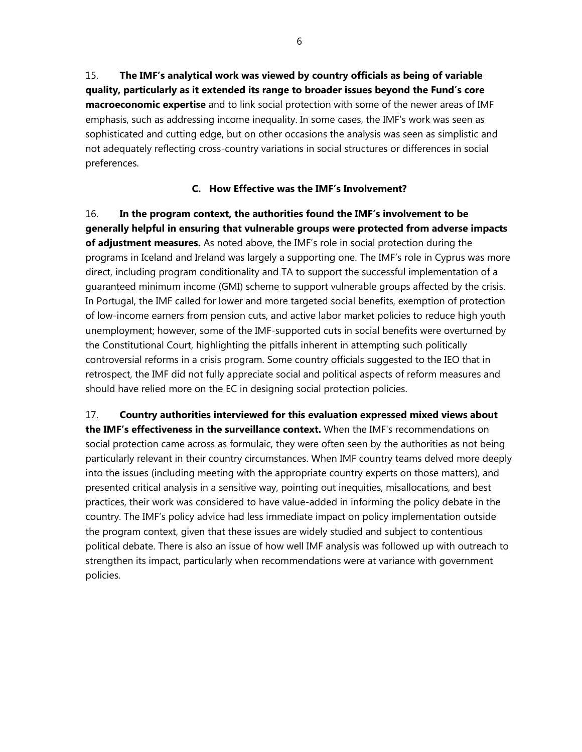15. **The IMF's analytical work was viewed by country officials as being of variable quality, particularly as it extended its range to broader issues beyond the Fund's core macroeconomic expertise** and to link social protection with some of the newer areas of IMF emphasis, such as addressing income inequality. In some cases, the IMF's work was seen as sophisticated and cutting edge, but on other occasions the analysis was seen as simplistic and not adequately reflecting cross-country variations in social structures or differences in social preferences.

## **C. How Effective was the IMF's Involvement?**

16. **In the program context, the authorities found the IMF's involvement to be generally helpful in ensuring that vulnerable groups were protected from adverse impacts of adjustment measures.** As noted above, the IMF's role in social protection during the programs in Iceland and Ireland was largely a supporting one. The IMF's role in Cyprus was more direct, including program conditionality and TA to support the successful implementation of a guaranteed minimum income (GMI) scheme to support vulnerable groups affected by the crisis. In Portugal, the IMF called for lower and more targeted social benefits, exemption of protection of low-income earners from pension cuts, and active labor market policies to reduce high youth unemployment; however, some of the IMF-supported cuts in social benefits were overturned by the Constitutional Court, highlighting the pitfalls inherent in attempting such politically controversial reforms in a crisis program. Some country officials suggested to the IEO that in retrospect, the IMF did not fully appreciate social and political aspects of reform measures and should have relied more on the EC in designing social protection policies.

17. **Country authorities interviewed for this evaluation expressed mixed views about the IMF's effectiveness in the surveillance context.** When the IMF's recommendations on social protection came across as formulaic, they were often seen by the authorities as not being particularly relevant in their country circumstances. When IMF country teams delved more deeply into the issues (including meeting with the appropriate country experts on those matters), and presented critical analysis in a sensitive way, pointing out inequities, misallocations, and best practices, their work was considered to have value-added in informing the policy debate in the country. The IMF's policy advice had less immediate impact on policy implementation outside the program context, given that these issues are widely studied and subject to contentious political debate. There is also an issue of how well IMF analysis was followed up with outreach to strengthen its impact, particularly when recommendations were at variance with government policies.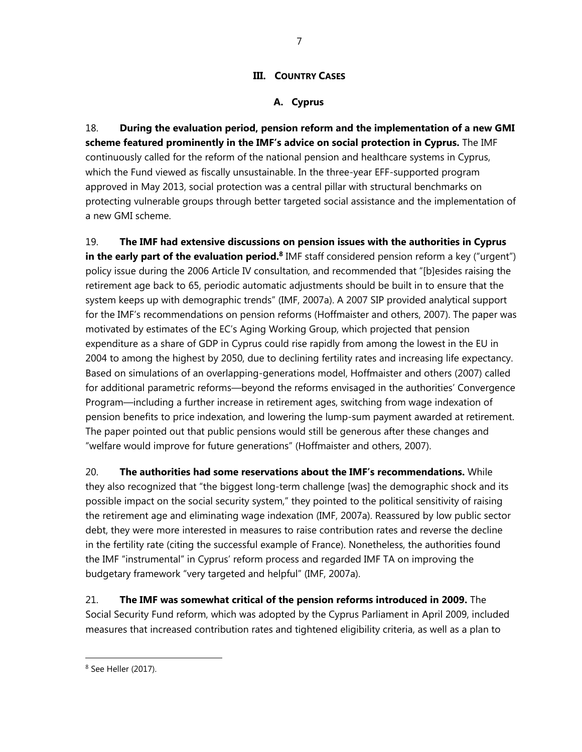## **III. COUNTRY CASES**

## **A. Cyprus**

18. **During the evaluation period, pension reform and the implementation of a new GMI scheme featured prominently in the IMF's advice on social protection in Cyprus.** The IMF continuously called for the reform of the national pension and healthcare systems in Cyprus, which the Fund viewed as fiscally unsustainable. In the three-year EFF-supported program approved in May 2013, social protection was a central pillar with structural benchmarks on protecting vulnerable groups through better targeted social assistance and the implementation of a new GMI scheme.

19. **The IMF had extensive discussions on pension issues with the authorities in Cyprus in the early part of the evaluation period.**<sup>8</sup> IMF staff considered pension reform a key ("urgent") policy issue during the 2006 Article IV consultation, and recommended that "[b]esides raising the retirement age back to 65, periodic automatic adjustments should be built in to ensure that the system keeps up with demographic trends" (IMF, 2007a). A 2007 SIP provided analytical support for the IMF's recommendations on pension reforms (Hoffmaister and others, 2007). The paper was motivated by estimates of the EC's Aging Working Group, which projected that pension expenditure as a share of GDP in Cyprus could rise rapidly from among the lowest in the EU in 2004 to among the highest by 2050, due to declining fertility rates and increasing life expectancy. Based on simulations of an overlapping-generations model, Hoffmaister and others (2007) called for additional parametric reforms—beyond the reforms envisaged in the authorities' Convergence Program—including a further increase in retirement ages, switching from wage indexation of pension benefits to price indexation, and lowering the lump-sum payment awarded at retirement. The paper pointed out that public pensions would still be generous after these changes and "welfare would improve for future generations" (Hoffmaister and others, 2007).

20. **The authorities had some reservations about the IMF's recommendations.** While they also recognized that "the biggest long-term challenge [was] the demographic shock and its possible impact on the social security system," they pointed to the political sensitivity of raising the retirement age and eliminating wage indexation (IMF, 2007a). Reassured by low public sector debt, they were more interested in measures to raise contribution rates and reverse the decline in the fertility rate (citing the successful example of France). Nonetheless, the authorities found the IMF "instrumental" in Cyprus' reform process and regarded IMF TA on improving the budgetary framework "very targeted and helpful" (IMF, 2007a).

21. **The IMF was somewhat critical of the pension reforms introduced in 2009.** The Social Security Fund reform, which was adopted by the Cyprus Parliament in April 2009, included measures that increased contribution rates and tightened eligibility criteria, as well as a plan to

<sup>8</sup> See Heller (2017).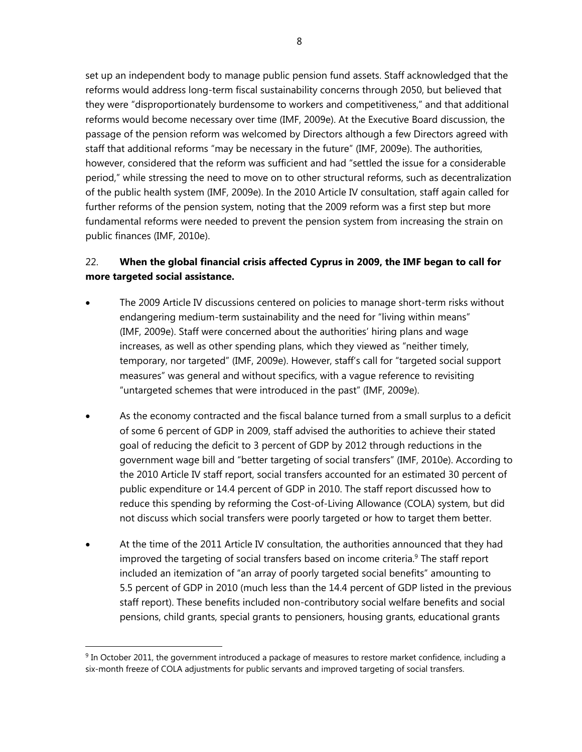set up an independent body to manage public pension fund assets. Staff acknowledged that the reforms would address long-term fiscal sustainability concerns through 2050, but believed that they were "disproportionately burdensome to workers and competitiveness," and that additional reforms would become necessary over time (IMF, 2009e). At the Executive Board discussion, the passage of the pension reform was welcomed by Directors although a few Directors agreed with staff that additional reforms "may be necessary in the future" (IMF, 2009e). The authorities, however, considered that the reform was sufficient and had "settled the issue for a considerable period," while stressing the need to move on to other structural reforms, such as decentralization of the public health system (IMF, 2009e). In the 2010 Article IV consultation, staff again called for further reforms of the pension system, noting that the 2009 reform was a first step but more fundamental reforms were needed to prevent the pension system from increasing the strain on public finances (IMF, 2010e).

# 22. **When the global financial crisis affected Cyprus in 2009, the IMF began to call for more targeted social assistance.**

- The 2009 Article IV discussions centered on policies to manage short-term risks without endangering medium-term sustainability and the need for "living within means" (IMF, 2009e). Staff were concerned about the authorities' hiring plans and wage increases, as well as other spending plans, which they viewed as "neither timely, temporary, nor targeted" (IMF, 2009e). However, staff's call for "targeted social support measures" was general and without specifics, with a vague reference to revisiting "untargeted schemes that were introduced in the past" (IMF, 2009e).
- As the economy contracted and the fiscal balance turned from a small surplus to a deficit of some 6 percent of GDP in 2009, staff advised the authorities to achieve their stated goal of reducing the deficit to 3 percent of GDP by 2012 through reductions in the government wage bill and "better targeting of social transfers" (IMF, 2010e). According to the 2010 Article IV staff report, social transfers accounted for an estimated 30 percent of public expenditure or 14.4 percent of GDP in 2010. The staff report discussed how to reduce this spending by reforming the Cost-of-Living Allowance (COLA) system, but did not discuss which social transfers were poorly targeted or how to target them better.
- At the time of the 2011 Article IV consultation, the authorities announced that they had improved the targeting of social transfers based on income criteria.<sup>9</sup> The staff report included an itemization of "an array of poorly targeted social benefits" amounting to 5.5 percent of GDP in 2010 (much less than the 14.4 percent of GDP listed in the previous staff report). These benefits included non-contributory social welfare benefits and social pensions, child grants, special grants to pensioners, housing grants, educational grants

 $9$  In October 2011, the government introduced a package of measures to restore market confidence, including a six-month freeze of COLA adjustments for public servants and improved targeting of social transfers.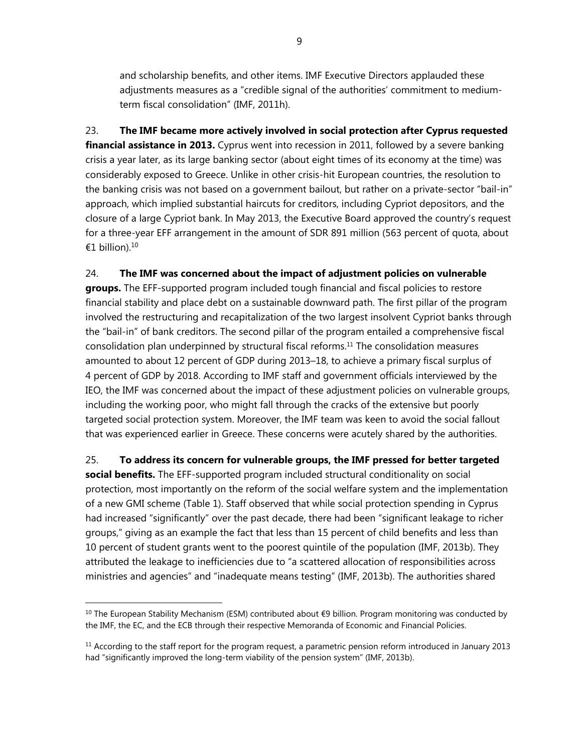and scholarship benefits, and other items. IMF Executive Directors applauded these adjustments measures as a "credible signal of the authorities' commitment to mediumterm fiscal consolidation" (IMF, 2011h).

23. **The IMF became more actively involved in social protection after Cyprus requested financial assistance in 2013.** Cyprus went into recession in 2011, followed by a severe banking crisis a year later, as its large banking sector (about eight times of its economy at the time) was considerably exposed to Greece. Unlike in other crisis-hit European countries, the resolution to the banking crisis was not based on a government bailout, but rather on a private-sector "bail-in" approach, which implied substantial haircuts for creditors, including Cypriot depositors, and the closure of a large Cypriot bank. In May 2013, the Executive Board approved the country's request for a three-year EFF arrangement in the amount of SDR 891 million (563 percent of quota, about €1 billion). $10$ 

## 24. **The IMF was concerned about the impact of adjustment policies on vulnerable**

**groups.** The EFF-supported program included tough financial and fiscal policies to restore financial stability and place debt on a sustainable downward path. The first pillar of the program involved the restructuring and recapitalization of the two largest insolvent Cypriot banks through the "bail-in" of bank creditors. The second pillar of the program entailed a comprehensive fiscal consolidation plan underpinned by structural fiscal reforms.<sup>11</sup> The consolidation measures amounted to about 12 percent of GDP during 2013–18, to achieve a primary fiscal surplus of 4 percent of GDP by 2018. According to IMF staff and government officials interviewed by the IEO, the IMF was concerned about the impact of these adjustment policies on vulnerable groups, including the working poor, who might fall through the cracks of the extensive but poorly targeted social protection system. Moreover, the IMF team was keen to avoid the social fallout that was experienced earlier in Greece. These concerns were acutely shared by the authorities.

25. **To address its concern for vulnerable groups, the IMF pressed for better targeted social benefits.** The EFF-supported program included structural conditionality on social protection, most importantly on the reform of the social welfare system and the implementation of a new GMI scheme (Table 1). Staff observed that while social protection spending in Cyprus had increased "significantly" over the past decade, there had been "significant leakage to richer groups," giving as an example the fact that less than 15 percent of child benefits and less than 10 percent of student grants went to the poorest quintile of the population (IMF, 2013b). They attributed the leakage to inefficiencies due to "a scattered allocation of responsibilities across ministries and agencies" and "inadequate means testing" (IMF, 2013b). The authorities shared

 $\overline{a}$ 

9

<sup>&</sup>lt;sup>10</sup> The European Stability Mechanism (ESM) contributed about €9 billion. Program monitoring was conducted by the IMF, the EC, and the ECB through their respective Memoranda of Economic and Financial Policies.

 $11$  According to the staff report for the program request, a parametric pension reform introduced in January 2013 had "significantly improved the long-term viability of the pension system" (IMF, 2013b).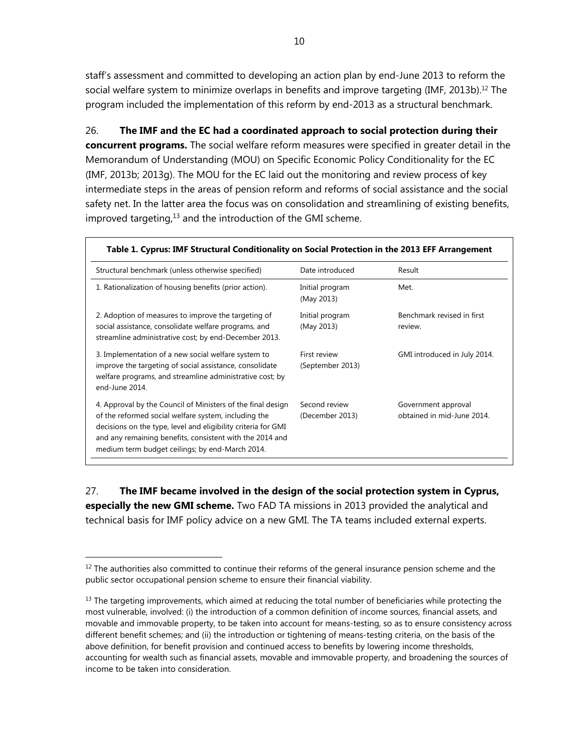staff's assessment and committed to developing an action plan by end-June 2013 to reform the social welfare system to minimize overlaps in benefits and improve targeting (IMF, 2013b).<sup>12</sup> The program included the implementation of this reform by end-2013 as a structural benchmark.

26. **The IMF and the EC had a coordinated approach to social protection during their concurrent programs.** The social welfare reform measures were specified in greater detail in the Memorandum of Understanding (MOU) on Specific Economic Policy Conditionality for the EC (IMF, 2013b; 2013g). The MOU for the EC laid out the monitoring and review process of key intermediate steps in the areas of pension reform and reforms of social assistance and the social safety net. In the latter area the focus was on consolidation and streamlining of existing benefits, improved targeting, $13$  and the introduction of the GMI scheme.

| Structural benchmark (unless otherwise specified)                                                                                                                                                                                                                                                   | Date introduced                  | Result                                            |  |
|-----------------------------------------------------------------------------------------------------------------------------------------------------------------------------------------------------------------------------------------------------------------------------------------------------|----------------------------------|---------------------------------------------------|--|
| 1. Rationalization of housing benefits (prior action).                                                                                                                                                                                                                                              | Initial program<br>(May 2013)    | Met.                                              |  |
| 2. Adoption of measures to improve the targeting of<br>social assistance, consolidate welfare programs, and<br>streamline administrative cost; by end-December 2013.                                                                                                                                | Initial program<br>(May 2013)    | Benchmark revised in first<br>review.             |  |
| 3. Implementation of a new social welfare system to<br>improve the targeting of social assistance, consolidate<br>welfare programs, and streamline administrative cost; by<br>end-June 2014.                                                                                                        | First review<br>(September 2013) | GMI introduced in July 2014.                      |  |
| 4. Approval by the Council of Ministers of the final design<br>of the reformed social welfare system, including the<br>decisions on the type, level and eligibility criteria for GMI<br>and any remaining benefits, consistent with the 2014 and<br>medium term budget ceilings; by end-March 2014. | Second review<br>(December 2013) | Government approval<br>obtained in mid-June 2014. |  |

27. **The IMF became involved in the design of the social protection system in Cyprus, especially the new GMI scheme.** Two FAD TA missions in 2013 provided the analytical and technical basis for IMF policy advice on a new GMI. The TA teams included external experts.

 $12$  The authorities also committed to continue their reforms of the general insurance pension scheme and the public sector occupational pension scheme to ensure their financial viability.

 $<sup>13</sup>$  The targeting improvements, which aimed at reducing the total number of beneficiaries while protecting the</sup> most vulnerable, involved: (i) the introduction of a common definition of income sources, financial assets, and movable and immovable property, to be taken into account for means-testing, so as to ensure consistency across different benefit schemes; and (ii) the introduction or tightening of means-testing criteria, on the basis of the above definition, for benefit provision and continued access to benefits by lowering income thresholds, accounting for wealth such as financial assets, movable and immovable property, and broadening the sources of income to be taken into consideration.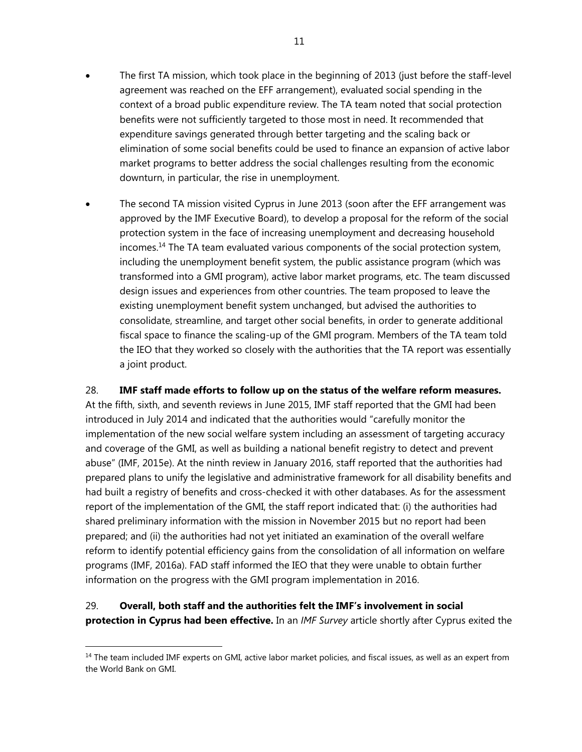- The first TA mission, which took place in the beginning of 2013 (just before the staff-level agreement was reached on the EFF arrangement), evaluated social spending in the context of a broad public expenditure review. The TA team noted that social protection benefits were not sufficiently targeted to those most in need. It recommended that expenditure savings generated through better targeting and the scaling back or elimination of some social benefits could be used to finance an expansion of active labor market programs to better address the social challenges resulting from the economic downturn, in particular, the rise in unemployment.
- The second TA mission visited Cyprus in June 2013 (soon after the EFF arrangement was approved by the IMF Executive Board), to develop a proposal for the reform of the social protection system in the face of increasing unemployment and decreasing household incomes.14 The TA team evaluated various components of the social protection system, including the unemployment benefit system, the public assistance program (which was transformed into a GMI program), active labor market programs, etc. The team discussed design issues and experiences from other countries. The team proposed to leave the existing unemployment benefit system unchanged, but advised the authorities to consolidate, streamline, and target other social benefits, in order to generate additional fiscal space to finance the scaling-up of the GMI program. Members of the TA team told the IEO that they worked so closely with the authorities that the TA report was essentially a joint product.

## 28. **IMF staff made efforts to follow up on the status of the welfare reform measures.**

At the fifth, sixth, and seventh reviews in June 2015, IMF staff reported that the GMI had been introduced in July 2014 and indicated that the authorities would "carefully monitor the implementation of the new social welfare system including an assessment of targeting accuracy and coverage of the GMI, as well as building a national benefit registry to detect and prevent abuse" (IMF, 2015e). At the ninth review in January 2016, staff reported that the authorities had prepared plans to unify the legislative and administrative framework for all disability benefits and had built a registry of benefits and cross-checked it with other databases. As for the assessment report of the implementation of the GMI, the staff report indicated that: (i) the authorities had shared preliminary information with the mission in November 2015 but no report had been prepared; and (ii) the authorities had not yet initiated an examination of the overall welfare reform to identify potential efficiency gains from the consolidation of all information on welfare programs (IMF, 2016a). FAD staff informed the IEO that they were unable to obtain further information on the progress with the GMI program implementation in 2016.

# 29. **Overall, both staff and the authorities felt the IMF's involvement in social protection in Cyprus had been effective.** In an *IMF Survey* article shortly after Cyprus exited the

-

<sup>&</sup>lt;sup>14</sup> The team included IMF experts on GMI, active labor market policies, and fiscal issues, as well as an expert from the World Bank on GMI.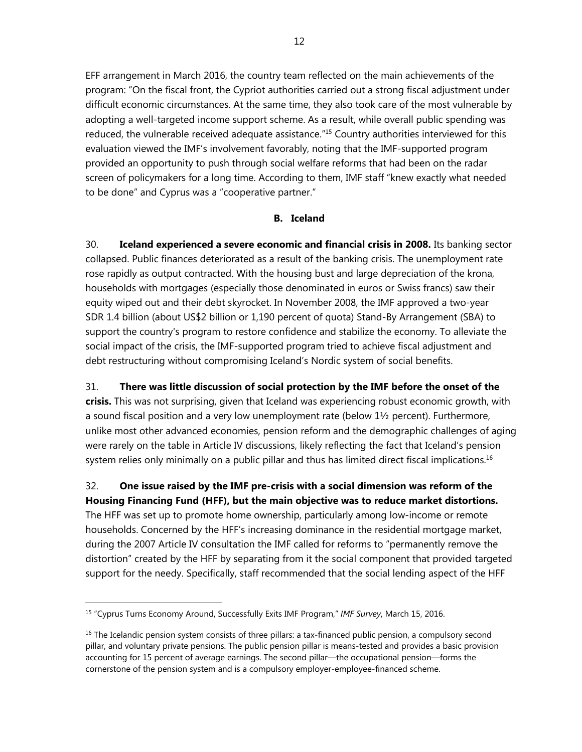EFF arrangement in March 2016, the country team reflected on the main achievements of the program: "On the fiscal front, the Cypriot authorities carried out a strong fiscal adjustment under difficult economic circumstances. At the same time, they also took care of the most vulnerable by adopting a well-targeted income support scheme. As a result, while overall public spending was reduced, the vulnerable received adequate assistance."<sup>15</sup> Country authorities interviewed for this evaluation viewed the IMF's involvement favorably, noting that the IMF-supported program provided an opportunity to push through social welfare reforms that had been on the radar screen of policymakers for a long time. According to them, IMF staff "knew exactly what needed to be done" and Cyprus was a "cooperative partner."

#### **B. Iceland**

30. **Iceland experienced a severe economic and financial crisis in 2008.** Its banking sector collapsed. Public finances deteriorated as a result of the banking crisis. The unemployment rate rose rapidly as output contracted. With the housing bust and large depreciation of the krona, households with mortgages (especially those denominated in euros or Swiss francs) saw their equity wiped out and their debt skyrocket. In November 2008, the IMF approved a two-year SDR 1.4 billion (about US\$2 billion or 1,190 percent of quota) Stand-By Arrangement (SBA) to support the country's program to restore confidence and stabilize the economy. To alleviate the social impact of the crisis, the IMF-supported program tried to achieve fiscal adjustment and debt restructuring without compromising Iceland's Nordic system of social benefits.

31. **There was little discussion of social protection by the IMF before the onset of the crisis.** This was not surprising, given that Iceland was experiencing robust economic growth, with a sound fiscal position and a very low unemployment rate (below  $1\frac{1}{2}$  percent). Furthermore, unlike most other advanced economies, pension reform and the demographic challenges of aging were rarely on the table in Article IV discussions, likely reflecting the fact that Iceland's pension system relies only minimally on a public pillar and thus has limited direct fiscal implications.<sup>16</sup>

32. **One issue raised by the IMF pre-crisis with a social dimension was reform of the Housing Financing Fund (HFF), but the main objective was to reduce market distortions.** The HFF was set up to promote home ownership, particularly among low-income or remote households. Concerned by the HFF's increasing dominance in the residential mortgage market, during the 2007 Article IV consultation the IMF called for reforms to "permanently remove the distortion" created by the HFF by separating from it the social component that provided targeted support for the needy. Specifically, staff recommended that the social lending aspect of the HFF

<sup>15 &</sup>quot;Cyprus Turns Economy Around, Successfully Exits IMF Program," *IMF Survey*, March 15, 2016.

<sup>&</sup>lt;sup>16</sup> The Icelandic pension system consists of three pillars: a tax-financed public pension, a compulsory second pillar, and voluntary private pensions. The public pension pillar is means-tested and provides a basic provision accounting for 15 percent of average earnings. The second pillar—the occupational pension—forms the cornerstone of the pension system and is a compulsory employer-employee-financed scheme.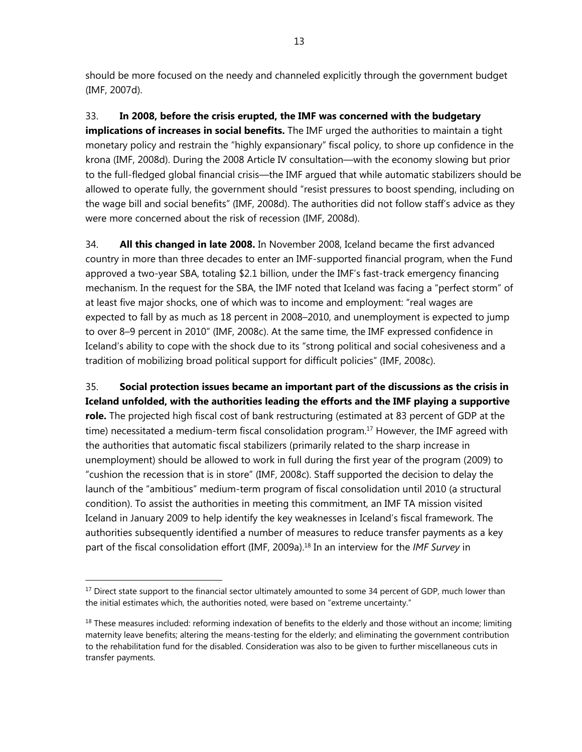should be more focused on the needy and channeled explicitly through the government budget (IMF, 2007d).

33. **In 2008, before the crisis erupted, the IMF was concerned with the budgetary implications of increases in social benefits.** The IMF urged the authorities to maintain a tight monetary policy and restrain the "highly expansionary" fiscal policy, to shore up confidence in the krona (IMF, 2008d). During the 2008 Article IV consultation—with the economy slowing but prior to the full-fledged global financial crisis—the IMF argued that while automatic stabilizers should be allowed to operate fully, the government should "resist pressures to boost spending, including on the wage bill and social benefits" (IMF, 2008d). The authorities did not follow staff's advice as they were more concerned about the risk of recession (IMF, 2008d).

34. **All this changed in late 2008.** In November 2008, Iceland became the first advanced country in more than three decades to enter an IMF-supported financial program, when the Fund approved a two-year SBA, totaling \$2.1 billion, under the IMF's fast-track emergency financing mechanism. In the request for the SBA, the IMF noted that Iceland was facing a "perfect storm" of at least five major shocks, one of which was to income and employment: "real wages are expected to fall by as much as 18 percent in 2008–2010, and unemployment is expected to jump to over 8–9 percent in 2010" (IMF, 2008c). At the same time, the IMF expressed confidence in Iceland's ability to cope with the shock due to its "strong political and social cohesiveness and a tradition of mobilizing broad political support for difficult policies" (IMF, 2008c).

35. **Social protection issues became an important part of the discussions as the crisis in Iceland unfolded, with the authorities leading the efforts and the IMF playing a supportive role.** The projected high fiscal cost of bank restructuring (estimated at 83 percent of GDP at the time) necessitated a medium-term fiscal consolidation program.<sup>17</sup> However, the IMF agreed with the authorities that automatic fiscal stabilizers (primarily related to the sharp increase in unemployment) should be allowed to work in full during the first year of the program (2009) to "cushion the recession that is in store" (IMF, 2008c). Staff supported the decision to delay the launch of the "ambitious" medium-term program of fiscal consolidation until 2010 (a structural condition). To assist the authorities in meeting this commitment, an IMF TA mission visited Iceland in January 2009 to help identify the key weaknesses in Iceland's fiscal framework. The authorities subsequently identified a number of measures to reduce transfer payments as a key part of the fiscal consolidation effort (IMF, 2009a).18 In an interview for the *IMF Survey* in

1

<sup>&</sup>lt;sup>17</sup> Direct state support to the financial sector ultimately amounted to some 34 percent of GDP, much lower than the initial estimates which, the authorities noted, were based on "extreme uncertainty."

 $18$  These measures included: reforming indexation of benefits to the elderly and those without an income; limiting maternity leave benefits; altering the means-testing for the elderly; and eliminating the government contribution to the rehabilitation fund for the disabled. Consideration was also to be given to further miscellaneous cuts in transfer payments.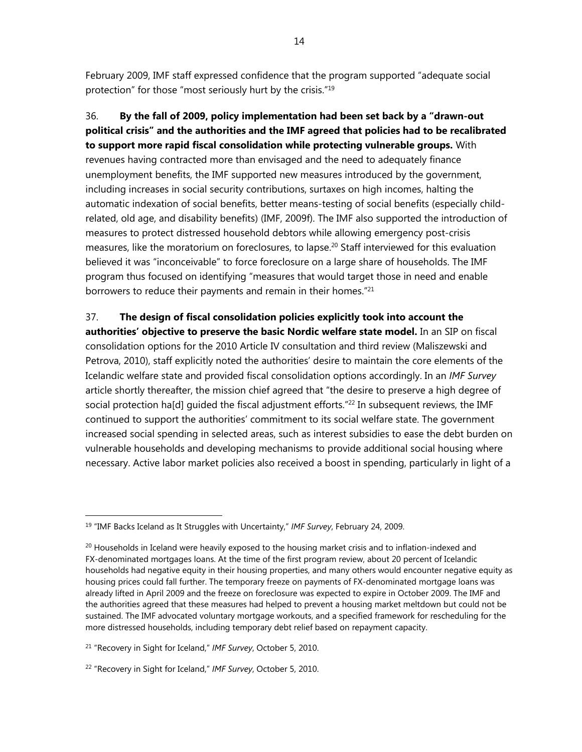February 2009, IMF staff expressed confidence that the program supported "adequate social protection" for those "most seriously hurt by the crisis."19

36. **By the fall of 2009, policy implementation had been set back by a "drawn-out political crisis" and the authorities and the IMF agreed that policies had to be recalibrated to support more rapid fiscal consolidation while protecting vulnerable groups.** With revenues having contracted more than envisaged and the need to adequately finance unemployment benefits, the IMF supported new measures introduced by the government, including increases in social security contributions, surtaxes on high incomes, halting the automatic indexation of social benefits, better means-testing of social benefits (especially childrelated, old age, and disability benefits) (IMF, 2009f). The IMF also supported the introduction of measures to protect distressed household debtors while allowing emergency post-crisis measures, like the moratorium on foreclosures, to lapse.<sup>20</sup> Staff interviewed for this evaluation believed it was "inconceivable" to force foreclosure on a large share of households. The IMF program thus focused on identifying "measures that would target those in need and enable borrowers to reduce their payments and remain in their homes."<sup>21</sup>

37. **The design of fiscal consolidation policies explicitly took into account the authorities' objective to preserve the basic Nordic welfare state model.** In an SIP on fiscal consolidation options for the 2010 Article IV consultation and third review (Maliszewski and Petrova, 2010), staff explicitly noted the authorities' desire to maintain the core elements of the Icelandic welfare state and provided fiscal consolidation options accordingly. In an *IMF Survey* article shortly thereafter, the mission chief agreed that "the desire to preserve a high degree of social protection ha[d] guided the fiscal adjustment efforts.<sup>"22</sup> In subsequent reviews, the IMF continued to support the authorities' commitment to its social welfare state. The government increased social spending in selected areas, such as interest subsidies to ease the debt burden on vulnerable households and developing mechanisms to provide additional social housing where necessary. Active labor market policies also received a boost in spending, particularly in light of a

<sup>19 &</sup>quot;IMF Backs Iceland as It Struggles with Uncertainty," *IMF Survey*, February 24, 2009.

 $20$  Households in Iceland were heavily exposed to the housing market crisis and to inflation-indexed and FX-denominated mortgages loans. At the time of the first program review, about 20 percent of Icelandic households had negative equity in their housing properties, and many others would encounter negative equity as housing prices could fall further. The temporary freeze on payments of FX-denominated mortgage loans was already lifted in April 2009 and the freeze on foreclosure was expected to expire in October 2009. The IMF and the authorities agreed that these measures had helped to prevent a housing market meltdown but could not be sustained. The IMF advocated voluntary mortgage workouts, and a specified framework for rescheduling for the more distressed households, including temporary debt relief based on repayment capacity.

<sup>21 &</sup>quot;Recovery in Sight for Iceland," *IMF Survey*, October 5, 2010.

<sup>22 &</sup>quot;Recovery in Sight for Iceland," *IMF Survey*, October 5, 2010.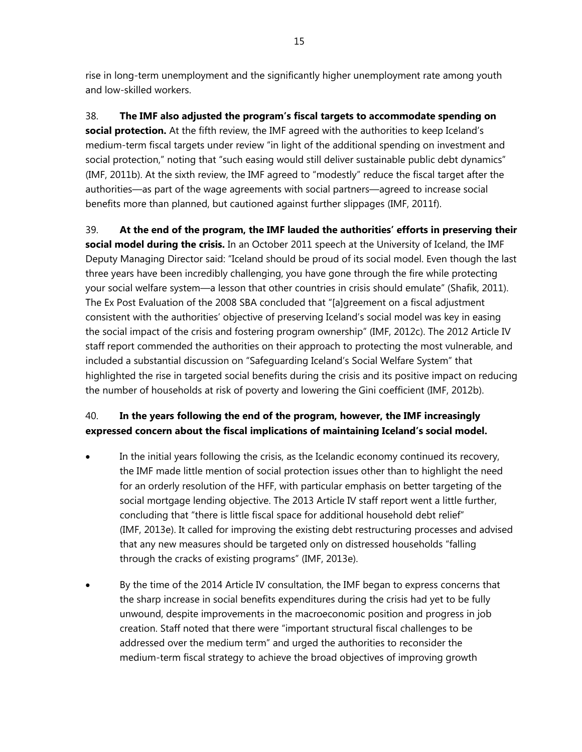rise in long-term unemployment and the significantly higher unemployment rate among youth and low-skilled workers.

38. **The IMF also adjusted the program's fiscal targets to accommodate spending on social protection.** At the fifth review, the IMF agreed with the authorities to keep Iceland's medium-term fiscal targets under review "in light of the additional spending on investment and social protection," noting that "such easing would still deliver sustainable public debt dynamics" (IMF, 2011b). At the sixth review, the IMF agreed to "modestly" reduce the fiscal target after the authorities—as part of the wage agreements with social partners—agreed to increase social benefits more than planned, but cautioned against further slippages (IMF, 2011f).

39. **At the end of the program, the IMF lauded the authorities' efforts in preserving their social model during the crisis.** In an October 2011 speech at the University of Iceland, the IMF Deputy Managing Director said: "Iceland should be proud of its social model. Even though the last three years have been incredibly challenging, you have gone through the fire while protecting your social welfare system—a lesson that other countries in crisis should emulate" (Shafik, 2011). The Ex Post Evaluation of the 2008 SBA concluded that "[a]greement on a fiscal adjustment consistent with the authorities' objective of preserving Iceland's social model was key in easing the social impact of the crisis and fostering program ownership" (IMF, 2012c). The 2012 Article IV staff report commended the authorities on their approach to protecting the most vulnerable, and included a substantial discussion on "Safeguarding Iceland's Social Welfare System" that highlighted the rise in targeted social benefits during the crisis and its positive impact on reducing the number of households at risk of poverty and lowering the Gini coefficient (IMF, 2012b).

# 40. **In the years following the end of the program, however, the IMF increasingly expressed concern about the fiscal implications of maintaining Iceland's social model.**

- In the initial years following the crisis, as the Icelandic economy continued its recovery, the IMF made little mention of social protection issues other than to highlight the need for an orderly resolution of the HFF, with particular emphasis on better targeting of the social mortgage lending objective. The 2013 Article IV staff report went a little further, concluding that "there is little fiscal space for additional household debt relief" (IMF, 2013e). It called for improving the existing debt restructuring processes and advised that any new measures should be targeted only on distressed households "falling through the cracks of existing programs" (IMF, 2013e).
- By the time of the 2014 Article IV consultation, the IMF began to express concerns that the sharp increase in social benefits expenditures during the crisis had yet to be fully unwound, despite improvements in the macroeconomic position and progress in job creation. Staff noted that there were "important structural fiscal challenges to be addressed over the medium term" and urged the authorities to reconsider the medium-term fiscal strategy to achieve the broad objectives of improving growth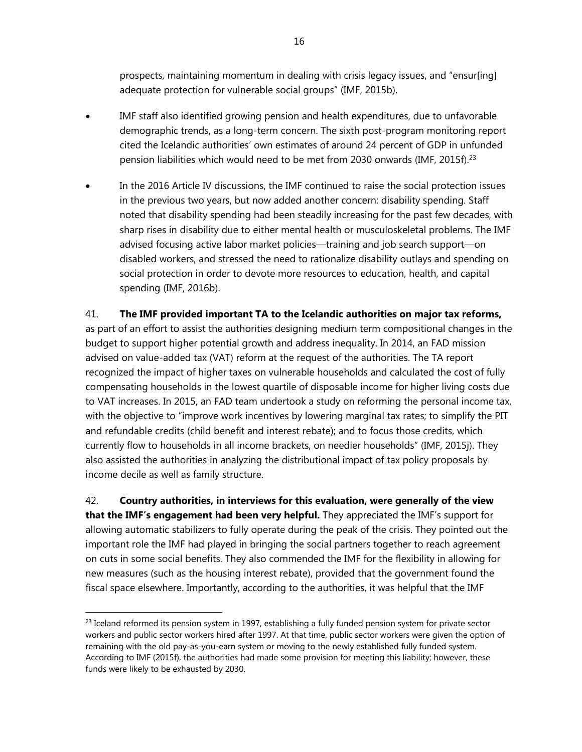prospects, maintaining momentum in dealing with crisis legacy issues, and "ensur[ing] adequate protection for vulnerable social groups" (IMF, 2015b).

- IMF staff also identified growing pension and health expenditures, due to unfavorable demographic trends, as a long-term concern. The sixth post-program monitoring report cited the Icelandic authorities' own estimates of around 24 percent of GDP in unfunded pension liabilities which would need to be met from 2030 onwards (IMF, 2015f).23
- In the 2016 Article IV discussions, the IMF continued to raise the social protection issues in the previous two years, but now added another concern: disability spending. Staff noted that disability spending had been steadily increasing for the past few decades, with sharp rises in disability due to either mental health or musculoskeletal problems. The IMF advised focusing active labor market policies—training and job search support—on disabled workers, and stressed the need to rationalize disability outlays and spending on social protection in order to devote more resources to education, health, and capital spending (IMF, 2016b).

## 41. **The IMF provided important TA to the Icelandic authorities on major tax reforms,**

as part of an effort to assist the authorities designing medium term compositional changes in the budget to support higher potential growth and address inequality. In 2014, an FAD mission advised on value-added tax (VAT) reform at the request of the authorities. The TA report recognized the impact of higher taxes on vulnerable households and calculated the cost of fully compensating households in the lowest quartile of disposable income for higher living costs due to VAT increases. In 2015, an FAD team undertook a study on reforming the personal income tax, with the objective to "improve work incentives by lowering marginal tax rates; to simplify the PIT and refundable credits (child benefit and interest rebate); and to focus those credits, which currently flow to households in all income brackets, on needier households" (IMF, 2015j). They also assisted the authorities in analyzing the distributional impact of tax policy proposals by income decile as well as family structure.

42. **Country authorities, in interviews for this evaluation, were generally of the view that the IMF's engagement had been very helpful.** They appreciated the IMF's support for allowing automatic stabilizers to fully operate during the peak of the crisis. They pointed out the important role the IMF had played in bringing the social partners together to reach agreement on cuts in some social benefits. They also commended the IMF for the flexibility in allowing for new measures (such as the housing interest rebate), provided that the government found the fiscal space elsewhere. Importantly, according to the authorities, it was helpful that the IMF

-

 $^{23}$  Iceland reformed its pension system in 1997, establishing a fully funded pension system for private sector workers and public sector workers hired after 1997. At that time, public sector workers were given the option of remaining with the old pay-as-you-earn system or moving to the newly established fully funded system. According to IMF (2015f), the authorities had made some provision for meeting this liability; however, these funds were likely to be exhausted by 2030.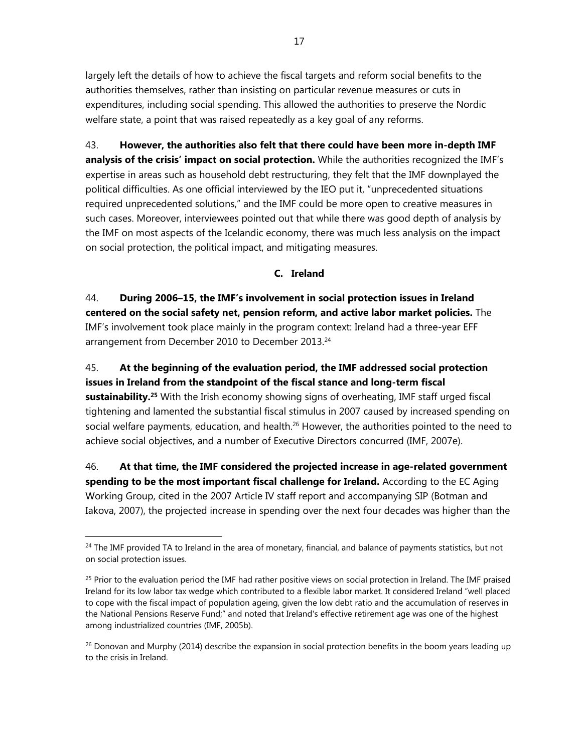largely left the details of how to achieve the fiscal targets and reform social benefits to the authorities themselves, rather than insisting on particular revenue measures or cuts in expenditures, including social spending. This allowed the authorities to preserve the Nordic welfare state, a point that was raised repeatedly as a key goal of any reforms.

43. **However, the authorities also felt that there could have been more in-depth IMF analysis of the crisis' impact on social protection.** While the authorities recognized the IMF's expertise in areas such as household debt restructuring, they felt that the IMF downplayed the political difficulties. As one official interviewed by the IEO put it, "unprecedented situations required unprecedented solutions," and the IMF could be more open to creative measures in such cases. Moreover, interviewees pointed out that while there was good depth of analysis by the IMF on most aspects of the Icelandic economy, there was much less analysis on the impact on social protection, the political impact, and mitigating measures.

#### **C. Ireland**

44. **During 2006–15, the IMF's involvement in social protection issues in Ireland centered on the social safety net, pension reform, and active labor market policies.** The IMF's involvement took place mainly in the program context: Ireland had a three-year EFF arrangement from December 2010 to December 2013.<sup>24</sup>

45. **At the beginning of the evaluation period, the IMF addressed social protection issues in Ireland from the standpoint of the fiscal stance and long-term fiscal sustainability.25** With the Irish economy showing signs of overheating, IMF staff urged fiscal tightening and lamented the substantial fiscal stimulus in 2007 caused by increased spending on social welfare payments, education, and health.<sup>26</sup> However, the authorities pointed to the need to achieve social objectives, and a number of Executive Directors concurred (IMF, 2007e).

46. **At that time, the IMF considered the projected increase in age-related government spending to be the most important fiscal challenge for Ireland.** According to the EC Aging Working Group, cited in the 2007 Article IV staff report and accompanying SIP (Botman and Iakova, 2007), the projected increase in spending over the next four decades was higher than the

<sup>&</sup>lt;sup>24</sup> The IMF provided TA to Ireland in the area of monetary, financial, and balance of payments statistics, but not on social protection issues.

<sup>&</sup>lt;sup>25</sup> Prior to the evaluation period the IMF had rather positive views on social protection in Ireland. The IMF praised Ireland for its low labor tax wedge which contributed to a flexible labor market. It considered Ireland "well placed to cope with the fiscal impact of population ageing, given the low debt ratio and the accumulation of reserves in the National Pensions Reserve Fund;" and noted that Ireland's effective retirement age was one of the highest among industrialized countries (IMF, 2005b).

<sup>&</sup>lt;sup>26</sup> Donovan and Murphy (2014) describe the expansion in social protection benefits in the boom years leading up to the crisis in Ireland.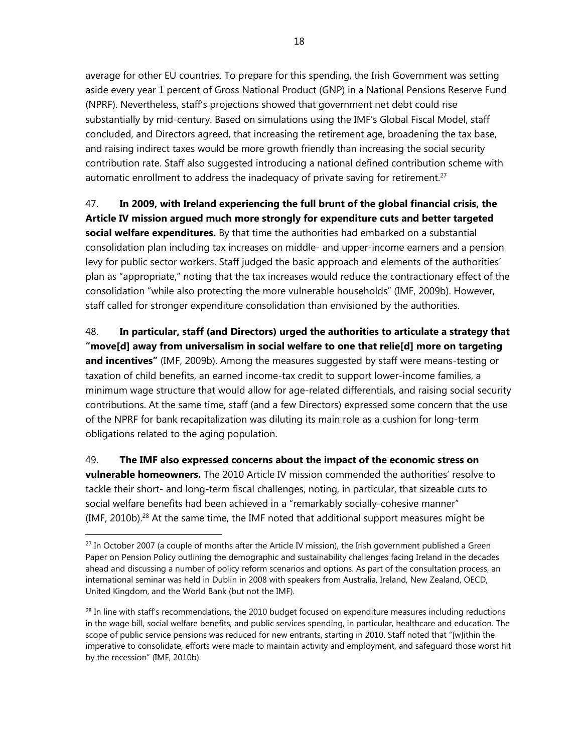average for other EU countries. To prepare for this spending, the Irish Government was setting aside every year 1 percent of Gross National Product (GNP) in a National Pensions Reserve Fund (NPRF). Nevertheless, staff's projections showed that government net debt could rise substantially by mid-century. Based on simulations using the IMF's Global Fiscal Model, staff concluded, and Directors agreed, that increasing the retirement age, broadening the tax base, and raising indirect taxes would be more growth friendly than increasing the social security contribution rate. Staff also suggested introducing a national defined contribution scheme with automatic enrollment to address the inadequacy of private saving for retirement.<sup>27</sup>

47. **In 2009, with Ireland experiencing the full brunt of the global financial crisis, the Article IV mission argued much more strongly for expenditure cuts and better targeted social welfare expenditures.** By that time the authorities had embarked on a substantial consolidation plan including tax increases on middle- and upper-income earners and a pension levy for public sector workers. Staff judged the basic approach and elements of the authorities' plan as "appropriate," noting that the tax increases would reduce the contractionary effect of the consolidation "while also protecting the more vulnerable households" (IMF, 2009b). However, staff called for stronger expenditure consolidation than envisioned by the authorities.

48. **In particular, staff (and Directors) urged the authorities to articulate a strategy that "move[d] away from universalism in social welfare to one that relie[d] more on targeting and incentives"** (IMF, 2009b). Among the measures suggested by staff were means-testing or taxation of child benefits, an earned income-tax credit to support lower-income families, a minimum wage structure that would allow for age-related differentials, and raising social security contributions. At the same time, staff (and a few Directors) expressed some concern that the use of the NPRF for bank recapitalization was diluting its main role as a cushion for long-term obligations related to the aging population.

49. **The IMF also expressed concerns about the impact of the economic stress on vulnerable homeowners.** The 2010 Article IV mission commended the authorities' resolve to tackle their short- and long-term fiscal challenges, noting, in particular, that sizeable cuts to social welfare benefits had been achieved in a "remarkably socially-cohesive manner"  $(IMF, 2010b).<sup>28</sup>$  At the same time, the IMF noted that additional support measures might be

-

 $27$  In October 2007 (a couple of months after the Article IV mission), the Irish government published a Green Paper on Pension Policy outlining the demographic and sustainability challenges facing Ireland in the decades ahead and discussing a number of policy reform scenarios and options. As part of the consultation process, an international seminar was held in Dublin in 2008 with speakers from Australia, Ireland, New Zealand, OECD, United Kingdom, and the World Bank (but not the IMF).

 $^{28}$  In line with staff's recommendations, the 2010 budget focused on expenditure measures including reductions in the wage bill, social welfare benefits, and public services spending, in particular, healthcare and education. The scope of public service pensions was reduced for new entrants, starting in 2010. Staff noted that "[w]ithin the imperative to consolidate, efforts were made to maintain activity and employment, and safeguard those worst hit by the recession" (IMF, 2010b).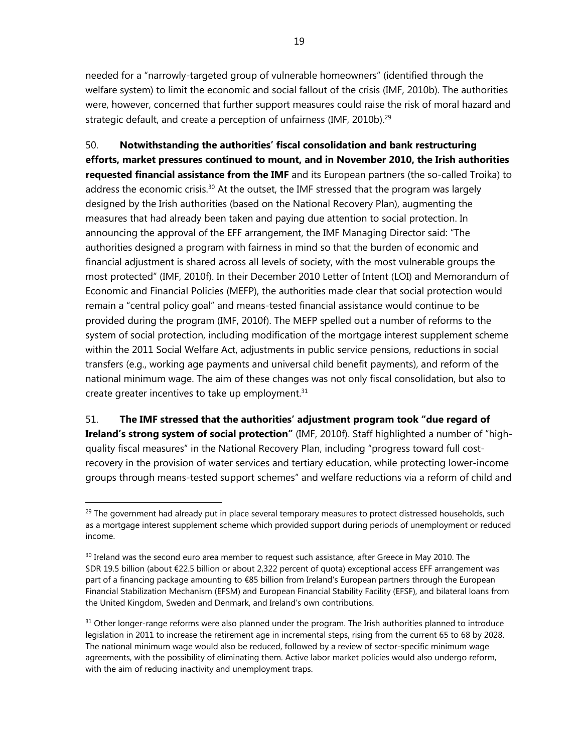needed for a "narrowly-targeted group of vulnerable homeowners" (identified through the welfare system) to limit the economic and social fallout of the crisis (IMF, 2010b). The authorities were, however, concerned that further support measures could raise the risk of moral hazard and strategic default, and create a perception of unfairness (IMF, 2010b).<sup>29</sup>

50. **Notwithstanding the authorities' fiscal consolidation and bank restructuring efforts, market pressures continued to mount, and in November 2010, the Irish authorities requested financial assistance from the IMF** and its European partners (the so-called Troika) to address the economic crisis.<sup>30</sup> At the outset, the IMF stressed that the program was largely designed by the Irish authorities (based on the National Recovery Plan), augmenting the measures that had already been taken and paying due attention to social protection. In announcing the approval of the EFF arrangement, the IMF Managing Director said: "The authorities designed a program with fairness in mind so that the burden of economic and financial adjustment is shared across all levels of society, with the most vulnerable groups the most protected" (IMF, 2010f). In their December 2010 Letter of Intent (LOI) and Memorandum of Economic and Financial Policies (MEFP), the authorities made clear that social protection would remain a "central policy goal" and means-tested financial assistance would continue to be provided during the program (IMF, 2010f). The MEFP spelled out a number of reforms to the system of social protection, including modification of the mortgage interest supplement scheme within the 2011 Social Welfare Act, adjustments in public service pensions, reductions in social transfers (e.g., working age payments and universal child benefit payments), and reform of the national minimum wage. The aim of these changes was not only fiscal consolidation, but also to create greater incentives to take up employment.31

51. **The IMF stressed that the authorities' adjustment program took "due regard of Ireland's strong system of social protection"** (IMF, 2010f). Staff highlighted a number of "highquality fiscal measures" in the National Recovery Plan, including "progress toward full costrecovery in the provision of water services and tertiary education, while protecting lower-income groups through means-tested support schemes" and welfare reductions via a reform of child and

<sup>&</sup>lt;sup>29</sup> The government had already put in place several temporary measures to protect distressed households, such as a mortgage interest supplement scheme which provided support during periods of unemployment or reduced income.

 $30$  Ireland was the second euro area member to request such assistance, after Greece in May 2010. The SDR 19.5 billion (about €22.5 billion or about 2,322 percent of quota) exceptional access EFF arrangement was part of a financing package amounting to €85 billion from Ireland's European partners through the European Financial Stabilization Mechanism (EFSM) and European Financial Stability Facility (EFSF), and bilateral loans from the United Kingdom, Sweden and Denmark, and Ireland's own contributions.

<sup>&</sup>lt;sup>31</sup> Other longer-range reforms were also planned under the program. The Irish authorities planned to introduce legislation in 2011 to increase the retirement age in incremental steps, rising from the current 65 to 68 by 2028. The national minimum wage would also be reduced, followed by a review of sector-specific minimum wage agreements, with the possibility of eliminating them. Active labor market policies would also undergo reform, with the aim of reducing inactivity and unemployment traps.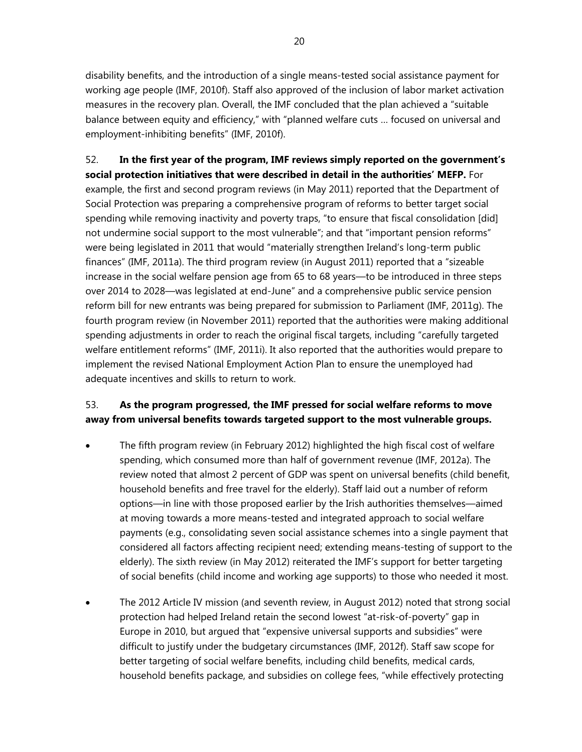disability benefits, and the introduction of a single means-tested social assistance payment for working age people (IMF, 2010f). Staff also approved of the inclusion of labor market activation measures in the recovery plan. Overall, the IMF concluded that the plan achieved a "suitable balance between equity and efficiency," with "planned welfare cuts … focused on universal and employment-inhibiting benefits" (IMF, 2010f).

52. **In the first year of the program, IMF reviews simply reported on the government's social protection initiatives that were described in detail in the authorities' MEFP.** For example, the first and second program reviews (in May 2011) reported that the Department of Social Protection was preparing a comprehensive program of reforms to better target social spending while removing inactivity and poverty traps, "to ensure that fiscal consolidation [did] not undermine social support to the most vulnerable"; and that "important pension reforms" were being legislated in 2011 that would "materially strengthen Ireland's long-term public finances" (IMF, 2011a). The third program review (in August 2011) reported that a "sizeable increase in the social welfare pension age from 65 to 68 years—to be introduced in three steps over 2014 to 2028—was legislated at end-June" and a comprehensive public service pension reform bill for new entrants was being prepared for submission to Parliament (IMF, 2011g). The fourth program review (in November 2011) reported that the authorities were making additional spending adjustments in order to reach the original fiscal targets, including "carefully targeted welfare entitlement reforms" (IMF, 2011i). It also reported that the authorities would prepare to implement the revised National Employment Action Plan to ensure the unemployed had adequate incentives and skills to return to work.

# 53. **As the program progressed, the IMF pressed for social welfare reforms to move away from universal benefits towards targeted support to the most vulnerable groups.**

- The fifth program review (in February 2012) highlighted the high fiscal cost of welfare spending, which consumed more than half of government revenue (IMF, 2012a). The review noted that almost 2 percent of GDP was spent on universal benefits (child benefit, household benefits and free travel for the elderly). Staff laid out a number of reform options—in line with those proposed earlier by the Irish authorities themselves—aimed at moving towards a more means-tested and integrated approach to social welfare payments (e.g., consolidating seven social assistance schemes into a single payment that considered all factors affecting recipient need; extending means-testing of support to the elderly). The sixth review (in May 2012) reiterated the IMF's support for better targeting of social benefits (child income and working age supports) to those who needed it most.
- The 2012 Article IV mission (and seventh review, in August 2012) noted that strong social protection had helped Ireland retain the second lowest "at-risk-of-poverty" gap in Europe in 2010, but argued that "expensive universal supports and subsidies" were difficult to justify under the budgetary circumstances (IMF, 2012f). Staff saw scope for better targeting of social welfare benefits, including child benefits, medical cards, household benefits package, and subsidies on college fees, "while effectively protecting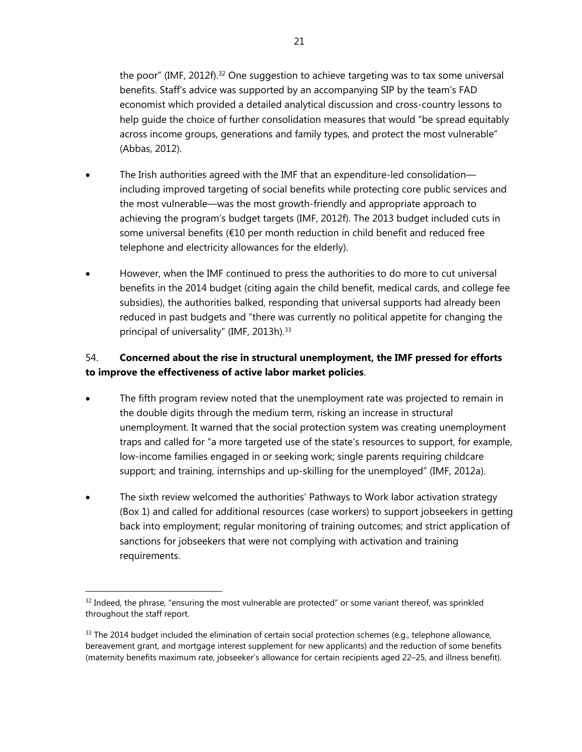the poor" (IMF, 2012f).<sup>32</sup> One suggestion to achieve targeting was to tax some universal benefits. Staff's advice was supported by an accompanying SIP by the team's FAD economist which provided a detailed analytical discussion and cross-country lessons to help guide the choice of further consolidation measures that would "be spread equitably across income groups, generations and family types, and protect the most vulnerable" (Abbas, 2012).

- The Irish authorities agreed with the IMF that an expenditure-led consolidation including improved targeting of social benefits while protecting core public services and the most vulnerable—was the most growth-friendly and appropriate approach to achieving the program's budget targets (IMF, 2012f). The 2013 budget included cuts in some universal benefits (€10 per month reduction in child benefit and reduced free telephone and electricity allowances for the elderly).
- However, when the IMF continued to press the authorities to do more to cut universal benefits in the 2014 budget (citing again the child benefit, medical cards, and college fee subsidies), the authorities balked, responding that universal supports had already been reduced in past budgets and "there was currently no political appetite for changing the principal of universality" (IMF, 2013h).<sup>33</sup>

# 54. **Concerned about the rise in structural unemployment, the IMF pressed for efforts to improve the effectiveness of active labor market policies**.

- The fifth program review noted that the unemployment rate was projected to remain in the double digits through the medium term, risking an increase in structural unemployment. It warned that the social protection system was creating unemployment traps and called for "a more targeted use of the state's resources to support, for example, low-income families engaged in or seeking work; single parents requiring childcare support; and training, internships and up-skilling for the unemployed" (IMF, 2012a).
- The sixth review welcomed the authorities' Pathways to Work labor activation strategy (Box 1) and called for additional resources (case workers) to support jobseekers in getting back into employment; regular monitoring of training outcomes; and strict application of sanctions for jobseekers that were not complying with activation and training requirements.

1

 $32$  Indeed, the phrase, "ensuring the most vulnerable are protected" or some variant thereof, was sprinkled throughout the staff report.

 $33$  The 2014 budget included the elimination of certain social protection schemes (e.g., telephone allowance, bereavement grant, and mortgage interest supplement for new applicants) and the reduction of some benefits (maternity benefits maximum rate, jobseeker's allowance for certain recipients aged 22–25, and illness benefit).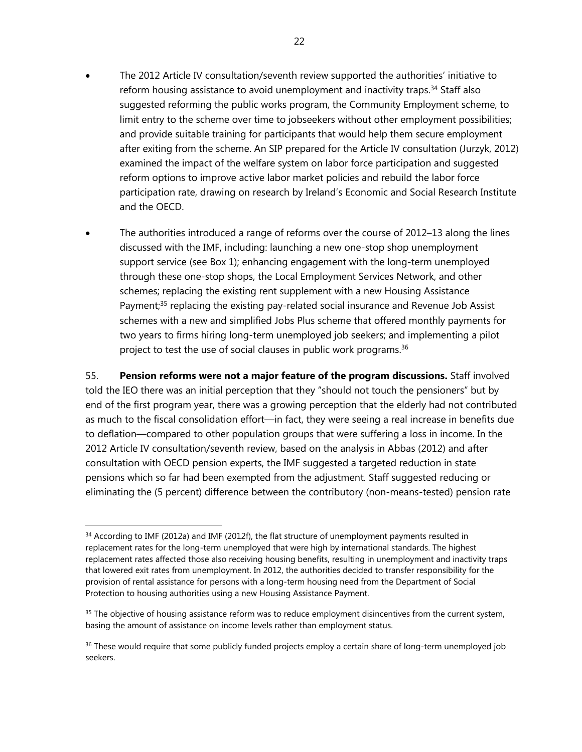- The 2012 Article IV consultation/seventh review supported the authorities' initiative to reform housing assistance to avoid unemployment and inactivity traps.<sup>34</sup> Staff also suggested reforming the public works program, the Community Employment scheme, to limit entry to the scheme over time to jobseekers without other employment possibilities; and provide suitable training for participants that would help them secure employment after exiting from the scheme. An SIP prepared for the Article IV consultation (Jurzyk, 2012) examined the impact of the welfare system on labor force participation and suggested reform options to improve active labor market policies and rebuild the labor force participation rate, drawing on research by Ireland's Economic and Social Research Institute and the OECD.
- The authorities introduced a range of reforms over the course of 2012–13 along the lines discussed with the IMF, including: launching a new one-stop shop unemployment support service (see Box 1); enhancing engagement with the long-term unemployed through these one-stop shops, the Local Employment Services Network, and other schemes; replacing the existing rent supplement with a new Housing Assistance Payment;<sup>35</sup> replacing the existing pay-related social insurance and Revenue Job Assist schemes with a new and simplified Jobs Plus scheme that offered monthly payments for two years to firms hiring long-term unemployed job seekers; and implementing a pilot project to test the use of social clauses in public work programs.<sup>36</sup>

55. **Pension reforms were not a major feature of the program discussions.** Staff involved told the IEO there was an initial perception that they "should not touch the pensioners" but by end of the first program year, there was a growing perception that the elderly had not contributed as much to the fiscal consolidation effort—in fact, they were seeing a real increase in benefits due to deflation—compared to other population groups that were suffering a loss in income. In the 2012 Article IV consultation/seventh review, based on the analysis in Abbas (2012) and after consultation with OECD pension experts, the IMF suggested a targeted reduction in state pensions which so far had been exempted from the adjustment. Staff suggested reducing or eliminating the (5 percent) difference between the contributory (non-means-tested) pension rate

 $34$  According to IMF (2012a) and IMF (2012f), the flat structure of unemployment payments resulted in replacement rates for the long-term unemployed that were high by international standards. The highest replacement rates affected those also receiving housing benefits, resulting in unemployment and inactivity traps that lowered exit rates from unemployment. In 2012, the authorities decided to transfer responsibility for the provision of rental assistance for persons with a long-term housing need from the Department of Social Protection to housing authorities using a new Housing Assistance Payment.

<sup>&</sup>lt;sup>35</sup> The objective of housing assistance reform was to reduce employment disincentives from the current system, basing the amount of assistance on income levels rather than employment status.

<sup>&</sup>lt;sup>36</sup> These would require that some publicly funded projects employ a certain share of long-term unemployed job seekers.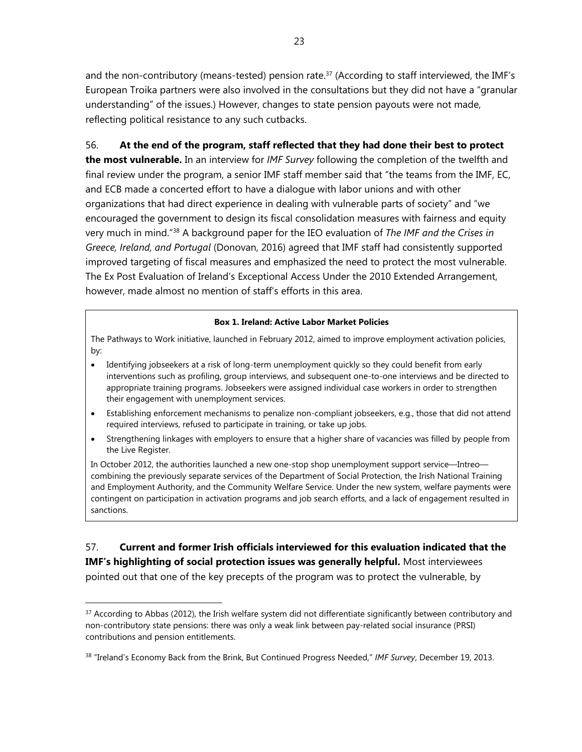and the non-contributory (means-tested) pension rate.<sup>37</sup> (According to staff interviewed, the IMF's European Troika partners were also involved in the consultations but they did not have a "granular understanding" of the issues.) However, changes to state pension payouts were not made, reflecting political resistance to any such cutbacks.

## 56. **At the end of the program, staff reflected that they had done their best to protect**

**the most vulnerable.** In an interview for *IMF Survey* following the completion of the twelfth and final review under the program, a senior IMF staff member said that "the teams from the IMF, EC, and ECB made a concerted effort to have a dialogue with labor unions and with other organizations that had direct experience in dealing with vulnerable parts of society" and "we encouraged the government to design its fiscal consolidation measures with fairness and equity very much in mind."38 A background paper for the IEO evaluation of *The IMF and the Crises in Greece, Ireland, and Portugal* (Donovan, 2016) agreed that IMF staff had consistently supported improved targeting of fiscal measures and emphasized the need to protect the most vulnerable. The Ex Post Evaluation of Ireland's Exceptional Access Under the 2010 Extended Arrangement, however, made almost no mention of staff's efforts in this area.

#### **Box 1. Ireland: Active Labor Market Policies**

The Pathways to Work initiative, launched in February 2012, aimed to improve employment activation policies, by:

- Identifying jobseekers at a risk of long-term unemployment quickly so they could benefit from early interventions such as profiling, group interviews, and subsequent one-to-one interviews and be directed to appropriate training programs. Jobseekers were assigned individual case workers in order to strengthen their engagement with unemployment services.
- Establishing enforcement mechanisms to penalize non-compliant jobseekers, e.g., those that did not attend required interviews, refused to participate in training, or take up jobs.
- Strengthening linkages with employers to ensure that a higher share of vacancies was filled by people from the Live Register.

In October 2012, the authorities launched a new one-stop shop unemployment support service—Intreo combining the previously separate services of the Department of Social Protection, the Irish National Training and Employment Authority, and the Community Welfare Service. Under the new system, welfare payments were contingent on participation in activation programs and job search efforts, and a lack of engagement resulted in sanctions.

57. **Current and former Irish officials interviewed for this evaluation indicated that the IMF's highlighting of social protection issues was generally helpful.** Most interviewees pointed out that one of the key precepts of the program was to protect the vulnerable, by

 $37$  According to Abbas (2012), the Irish welfare system did not differentiate significantly between contributory and non-contributory state pensions: there was only a weak link between pay-related social insurance (PRSI) contributions and pension entitlements.

<sup>38 &</sup>quot;Ireland's Economy Back from the Brink, But Continued Progress Needed," *IMF Survey*, December 19, 2013.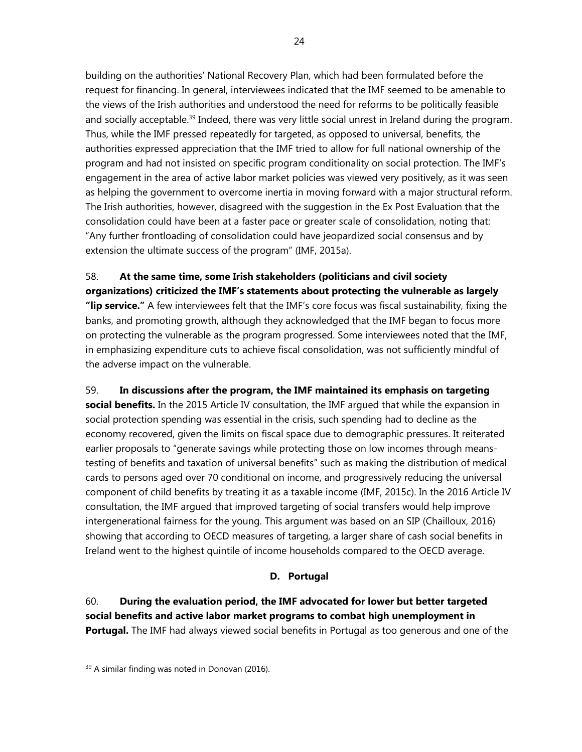building on the authorities' National Recovery Plan, which had been formulated before the request for financing. In general, interviewees indicated that the IMF seemed to be amenable to the views of the Irish authorities and understood the need for reforms to be politically feasible and socially acceptable.<sup>39</sup> Indeed, there was very little social unrest in Ireland during the program. Thus, while the IMF pressed repeatedly for targeted, as opposed to universal, benefits, the authorities expressed appreciation that the IMF tried to allow for full national ownership of the program and had not insisted on specific program conditionality on social protection. The IMF's engagement in the area of active labor market policies was viewed very positively, as it was seen as helping the government to overcome inertia in moving forward with a major structural reform. The Irish authorities, however, disagreed with the suggestion in the Ex Post Evaluation that the consolidation could have been at a faster pace or greater scale of consolidation, noting that: "Any further frontloading of consolidation could have jeopardized social consensus and by extension the ultimate success of the program" (IMF, 2015a).

58. **At the same time, some Irish stakeholders (politicians and civil society organizations) criticized the IMF's statements about protecting the vulnerable as largely "lip service."** A few interviewees felt that the IMF's core focus was fiscal sustainability, fixing the banks, and promoting growth, although they acknowledged that the IMF began to focus more on protecting the vulnerable as the program progressed. Some interviewees noted that the IMF, in emphasizing expenditure cuts to achieve fiscal consolidation, was not sufficiently mindful of the adverse impact on the vulnerable.

59. **In discussions after the program, the IMF maintained its emphasis on targeting social benefits.** In the 2015 Article IV consultation, the IMF argued that while the expansion in social protection spending was essential in the crisis, such spending had to decline as the economy recovered, given the limits on fiscal space due to demographic pressures. It reiterated earlier proposals to "generate savings while protecting those on low incomes through meanstesting of benefits and taxation of universal benefits" such as making the distribution of medical cards to persons aged over 70 conditional on income, and progressively reducing the universal component of child benefits by treating it as a taxable income (IMF, 2015c). In the 2016 Article IV consultation, the IMF argued that improved targeting of social transfers would help improve intergenerational fairness for the young. This argument was based on an SIP (Chailloux, 2016) showing that according to OECD measures of targeting, a larger share of cash social benefits in Ireland went to the highest quintile of income households compared to the OECD average.

## **D. Portugal**

60. **During the evaluation period, the IMF advocated for lower but better targeted social benefits and active labor market programs to combat high unemployment in Portugal.** The IMF had always viewed social benefits in Portugal as too generous and one of the

-

<sup>&</sup>lt;sup>39</sup> A similar finding was noted in Donovan (2016).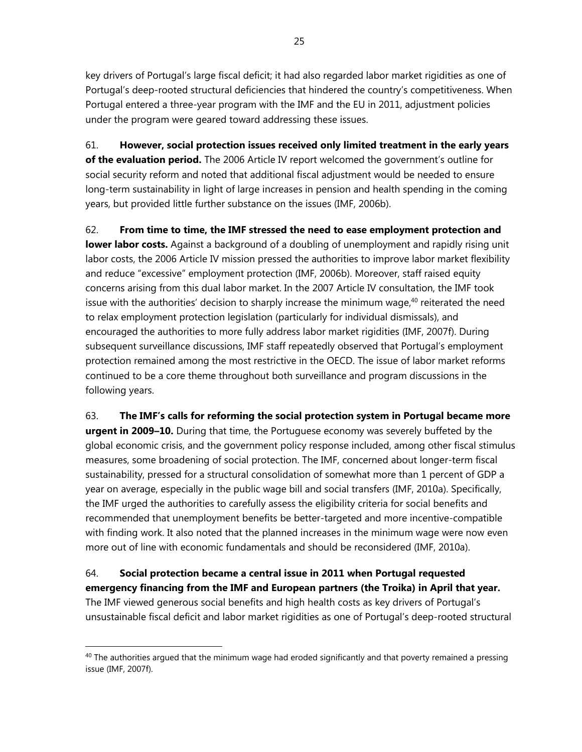key drivers of Portugal's large fiscal deficit; it had also regarded labor market rigidities as one of Portugal's deep-rooted structural deficiencies that hindered the country's competitiveness. When Portugal entered a three-year program with the IMF and the EU in 2011, adjustment policies under the program were geared toward addressing these issues.

61. **However, social protection issues received only limited treatment in the early years of the evaluation period.** The 2006 Article IV report welcomed the government's outline for social security reform and noted that additional fiscal adjustment would be needed to ensure long-term sustainability in light of large increases in pension and health spending in the coming years, but provided little further substance on the issues (IMF, 2006b).

62. **From time to time, the IMF stressed the need to ease employment protection and lower labor costs.** Against a background of a doubling of unemployment and rapidly rising unit labor costs, the 2006 Article IV mission pressed the authorities to improve labor market flexibility and reduce "excessive" employment protection (IMF, 2006b). Moreover, staff raised equity concerns arising from this dual labor market. In the 2007 Article IV consultation, the IMF took issue with the authorities' decision to sharply increase the minimum wage, $40$  reiterated the need to relax employment protection legislation (particularly for individual dismissals), and encouraged the authorities to more fully address labor market rigidities (IMF, 2007f). During subsequent surveillance discussions, IMF staff repeatedly observed that Portugal's employment protection remained among the most restrictive in the OECD. The issue of labor market reforms continued to be a core theme throughout both surveillance and program discussions in the following years.

63. **The IMF's calls for reforming the social protection system in Portugal became more** 

**urgent in 2009–10.** During that time, the Portuguese economy was severely buffeted by the global economic crisis, and the government policy response included, among other fiscal stimulus measures, some broadening of social protection. The IMF, concerned about longer-term fiscal sustainability, pressed for a structural consolidation of somewhat more than 1 percent of GDP a year on average, especially in the public wage bill and social transfers (IMF, 2010a). Specifically, the IMF urged the authorities to carefully assess the eligibility criteria for social benefits and recommended that unemployment benefits be better-targeted and more incentive-compatible with finding work. It also noted that the planned increases in the minimum wage were now even more out of line with economic fundamentals and should be reconsidered (IMF, 2010a).

# 64. **Social protection became a central issue in 2011 when Portugal requested emergency financing from the IMF and European partners (the Troika) in April that year.**

The IMF viewed generous social benefits and high health costs as key drivers of Portugal's unsustainable fiscal deficit and labor market rigidities as one of Portugal's deep-rooted structural

 $40$  The authorities argued that the minimum wage had eroded significantly and that poverty remained a pressing issue (IMF, 2007f).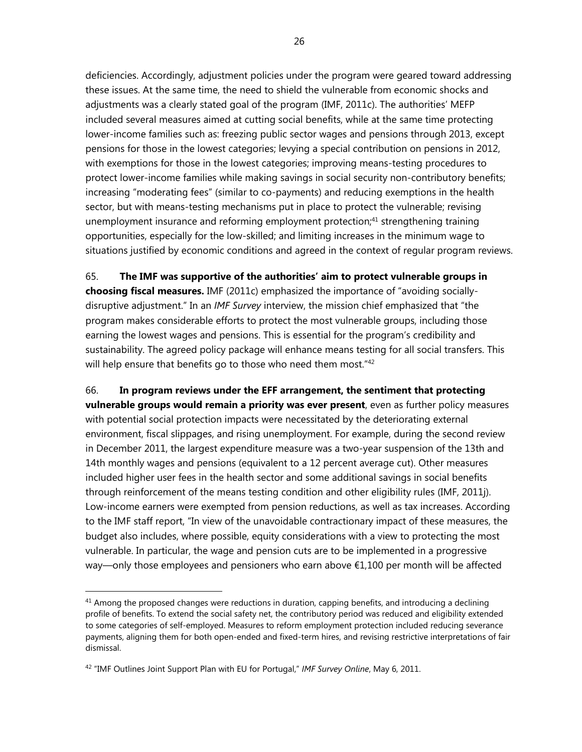deficiencies. Accordingly, adjustment policies under the program were geared toward addressing these issues. At the same time, the need to shield the vulnerable from economic shocks and adjustments was a clearly stated goal of the program (IMF, 2011c). The authorities' MEFP included several measures aimed at cutting social benefits, while at the same time protecting lower-income families such as: freezing public sector wages and pensions through 2013, except pensions for those in the lowest categories; levying a special contribution on pensions in 2012, with exemptions for those in the lowest categories; improving means-testing procedures to protect lower-income families while making savings in social security non-contributory benefits; increasing "moderating fees" (similar to co-payments) and reducing exemptions in the health sector, but with means-testing mechanisms put in place to protect the vulnerable; revising unemployment insurance and reforming employment protection;<sup>41</sup> strengthening training opportunities, especially for the low-skilled; and limiting increases in the minimum wage to situations justified by economic conditions and agreed in the context of regular program reviews.

65. **The IMF was supportive of the authorities' aim to protect vulnerable groups in choosing fiscal measures.** IMF (2011c) emphasized the importance of "avoiding sociallydisruptive adjustment." In an *IMF Survey* interview, the mission chief emphasized that "the program makes considerable efforts to protect the most vulnerable groups, including those earning the lowest wages and pensions. This is essential for the program's credibility and sustainability. The agreed policy package will enhance means testing for all social transfers. This will help ensure that benefits go to those who need them most."<sup>42</sup>

66. **In program reviews under the EFF arrangement, the sentiment that protecting vulnerable groups would remain a priority was ever present**, even as further policy measures with potential social protection impacts were necessitated by the deteriorating external environment, fiscal slippages, and rising unemployment. For example, during the second review in December 2011, the largest expenditure measure was a two-year suspension of the 13th and 14th monthly wages and pensions (equivalent to a 12 percent average cut). Other measures included higher user fees in the health sector and some additional savings in social benefits through reinforcement of the means testing condition and other eligibility rules (IMF, 2011j). Low-income earners were exempted from pension reductions, as well as tax increases. According to the IMF staff report, "In view of the unavoidable contractionary impact of these measures, the budget also includes, where possible, equity considerations with a view to protecting the most vulnerable. In particular, the wage and pension cuts are to be implemented in a progressive way—only those employees and pensioners who earn above €1,100 per month will be affected

 $41$  Among the proposed changes were reductions in duration, capping benefits, and introducing a declining profile of benefits. To extend the social safety net, the contributory period was reduced and eligibility extended to some categories of self-employed. Measures to reform employment protection included reducing severance payments, aligning them for both open-ended and fixed-term hires, and revising restrictive interpretations of fair dismissal.

<sup>42 &</sup>quot;IMF Outlines Joint Support Plan with EU for Portugal," *IMF Survey Online*, May 6, 2011.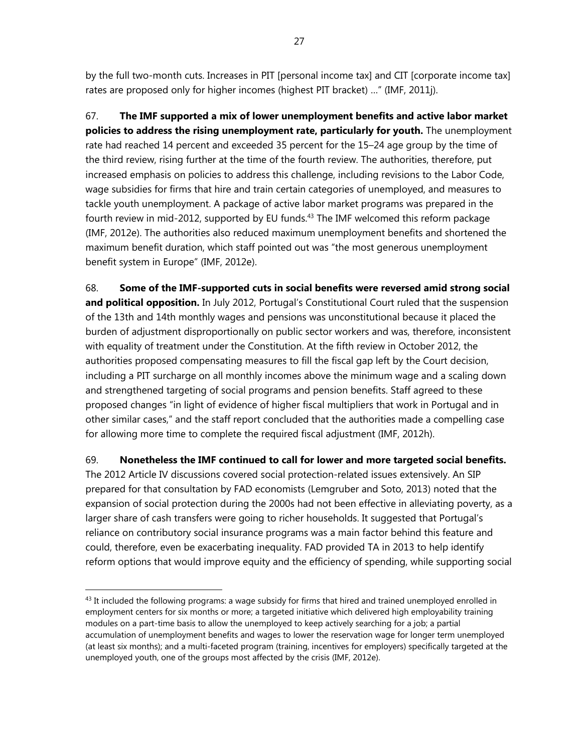by the full two-month cuts. Increases in PIT [personal income tax] and CIT [corporate income tax] rates are proposed only for higher incomes (highest PIT bracket) …" (IMF, 2011j).

67. **The IMF supported a mix of lower unemployment benefits and active labor market policies to address the rising unemployment rate, particularly for youth.** The unemployment rate had reached 14 percent and exceeded 35 percent for the 15–24 age group by the time of the third review, rising further at the time of the fourth review. The authorities, therefore, put increased emphasis on policies to address this challenge, including revisions to the Labor Code, wage subsidies for firms that hire and train certain categories of unemployed, and measures to tackle youth unemployment. A package of active labor market programs was prepared in the fourth review in mid-2012, supported by EU funds.<sup>43</sup> The IMF welcomed this reform package (IMF, 2012e). The authorities also reduced maximum unemployment benefits and shortened the maximum benefit duration, which staff pointed out was "the most generous unemployment benefit system in Europe" (IMF, 2012e).

68. **Some of the IMF-supported cuts in social benefits were reversed amid strong social**  and political opposition. In July 2012, Portugal's Constitutional Court ruled that the suspension of the 13th and 14th monthly wages and pensions was unconstitutional because it placed the burden of adjustment disproportionally on public sector workers and was, therefore, inconsistent with equality of treatment under the Constitution. At the fifth review in October 2012, the authorities proposed compensating measures to fill the fiscal gap left by the Court decision, including a PIT surcharge on all monthly incomes above the minimum wage and a scaling down and strengthened targeting of social programs and pension benefits. Staff agreed to these proposed changes "in light of evidence of higher fiscal multipliers that work in Portugal and in other similar cases," and the staff report concluded that the authorities made a compelling case for allowing more time to complete the required fiscal adjustment (IMF, 2012h).

69. **Nonetheless the IMF continued to call for lower and more targeted social benefits.** 

The 2012 Article IV discussions covered social protection-related issues extensively. An SIP prepared for that consultation by FAD economists (Lemgruber and Soto, 2013) noted that the expansion of social protection during the 2000s had not been effective in alleviating poverty, as a larger share of cash transfers were going to richer households. It suggested that Portugal's reliance on contributory social insurance programs was a main factor behind this feature and could, therefore, even be exacerbating inequality. FAD provided TA in 2013 to help identify reform options that would improve equity and the efficiency of spending, while supporting social

-

 $43$  It included the following programs: a wage subsidy for firms that hired and trained unemployed enrolled in employment centers for six months or more; a targeted initiative which delivered high employability training modules on a part-time basis to allow the unemployed to keep actively searching for a job; a partial accumulation of unemployment benefits and wages to lower the reservation wage for longer term unemployed (at least six months); and a multi-faceted program (training, incentives for employers) specifically targeted at the unemployed youth, one of the groups most affected by the crisis (IMF, 2012e).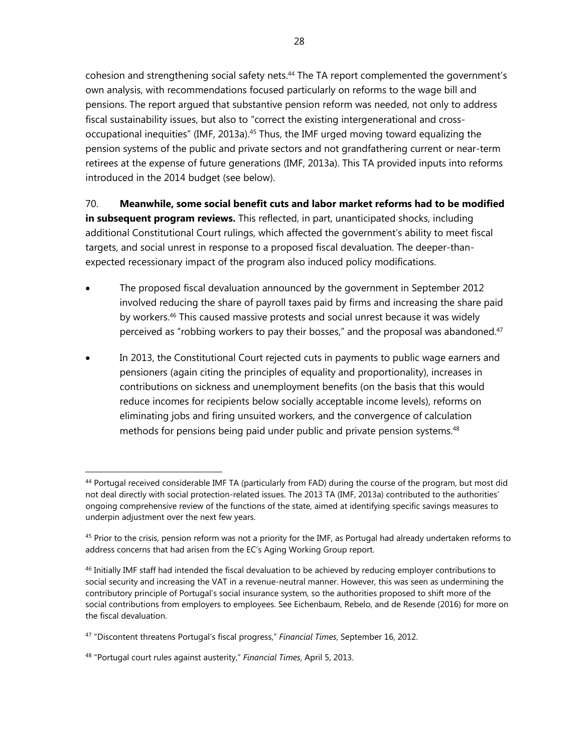cohesion and strengthening social safety nets.<sup>44</sup> The TA report complemented the government's own analysis, with recommendations focused particularly on reforms to the wage bill and pensions. The report argued that substantive pension reform was needed, not only to address fiscal sustainability issues, but also to "correct the existing intergenerational and crossoccupational inequities" (IMF, 2013a).<sup>45</sup> Thus, the IMF urged moving toward equalizing the pension systems of the public and private sectors and not grandfathering current or near-term retirees at the expense of future generations (IMF, 2013a). This TA provided inputs into reforms introduced in the 2014 budget (see below).

70. **Meanwhile, some social benefit cuts and labor market reforms had to be modified in subsequent program reviews.** This reflected, in part, unanticipated shocks, including additional Constitutional Court rulings, which affected the government's ability to meet fiscal targets, and social unrest in response to a proposed fiscal devaluation. The deeper-thanexpected recessionary impact of the program also induced policy modifications.

- The proposed fiscal devaluation announced by the government in September 2012 involved reducing the share of payroll taxes paid by firms and increasing the share paid by workers.46 This caused massive protests and social unrest because it was widely perceived as "robbing workers to pay their bosses," and the proposal was abandoned.<sup>47</sup>
- In 2013, the Constitutional Court rejected cuts in payments to public wage earners and pensioners (again citing the principles of equality and proportionality), increases in contributions on sickness and unemployment benefits (on the basis that this would reduce incomes for recipients below socially acceptable income levels), reforms on eliminating jobs and firing unsuited workers, and the convergence of calculation methods for pensions being paid under public and private pension systems.<sup>48</sup>

-

<sup>&</sup>lt;sup>44</sup> Portugal received considerable IMF TA (particularly from FAD) during the course of the program, but most did not deal directly with social protection-related issues. The 2013 TA (IMF, 2013a) contributed to the authorities' ongoing comprehensive review of the functions of the state, aimed at identifying specific savings measures to underpin adjustment over the next few years.

 $45$  Prior to the crisis, pension reform was not a priority for the IMF, as Portugal had already undertaken reforms to address concerns that had arisen from the EC's Aging Working Group report.

<sup>&</sup>lt;sup>46</sup> Initially IMF staff had intended the fiscal devaluation to be achieved by reducing employer contributions to social security and increasing the VAT in a revenue-neutral manner. However, this was seen as undermining the contributory principle of Portugal's social insurance system, so the authorities proposed to shift more of the social contributions from employers to employees. See Eichenbaum, Rebelo, and de Resende (2016) for more on the fiscal devaluation.

<sup>47 &</sup>quot;Discontent threatens Portugal's fiscal progress," *Financial Times*, September 16, 2012.

<sup>48 &</sup>quot;Portugal court rules against austerity," *Financial Times*, April 5, 2013.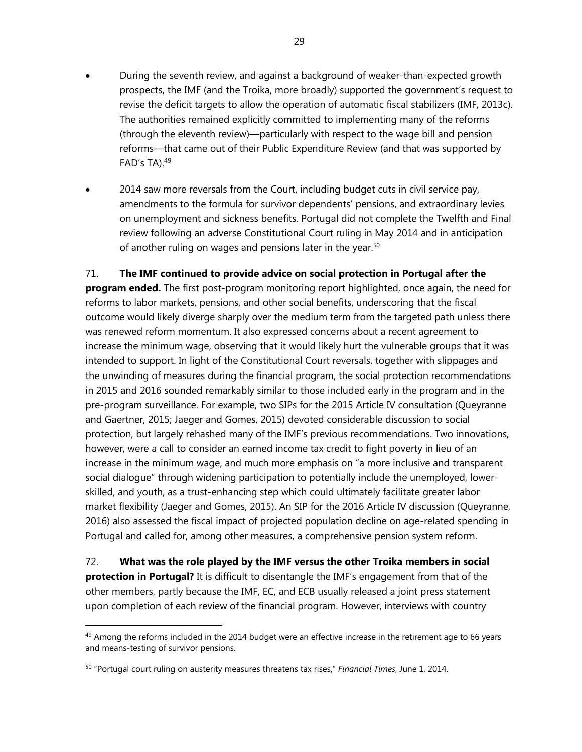- During the seventh review, and against a background of weaker-than-expected growth prospects, the IMF (and the Troika, more broadly) supported the government's request to revise the deficit targets to allow the operation of automatic fiscal stabilizers (IMF, 2013c). The authorities remained explicitly committed to implementing many of the reforms (through the eleventh review)—particularly with respect to the wage bill and pension reforms—that came out of their Public Expenditure Review (and that was supported by FAD's TA).49
- 2014 saw more reversals from the Court, including budget cuts in civil service pay, amendments to the formula for survivor dependents' pensions, and extraordinary levies on unemployment and sickness benefits. Portugal did not complete the Twelfth and Final review following an adverse Constitutional Court ruling in May 2014 and in anticipation of another ruling on wages and pensions later in the year.<sup>50</sup>

#### 71. **The IMF continued to provide advice on social protection in Portugal after the**

**program ended.** The first post-program monitoring report highlighted, once again, the need for reforms to labor markets, pensions, and other social benefits, underscoring that the fiscal outcome would likely diverge sharply over the medium term from the targeted path unless there was renewed reform momentum. It also expressed concerns about a recent agreement to increase the minimum wage, observing that it would likely hurt the vulnerable groups that it was intended to support. In light of the Constitutional Court reversals, together with slippages and the unwinding of measures during the financial program, the social protection recommendations in 2015 and 2016 sounded remarkably similar to those included early in the program and in the pre-program surveillance. For example, two SIPs for the 2015 Article IV consultation (Queyranne and Gaertner, 2015; Jaeger and Gomes, 2015) devoted considerable discussion to social protection, but largely rehashed many of the IMF's previous recommendations. Two innovations, however, were a call to consider an earned income tax credit to fight poverty in lieu of an increase in the minimum wage, and much more emphasis on "a more inclusive and transparent social dialogue" through widening participation to potentially include the unemployed, lowerskilled, and youth, as a trust-enhancing step which could ultimately facilitate greater labor market flexibility (Jaeger and Gomes, 2015). An SIP for the 2016 Article IV discussion (Queyranne, 2016) also assessed the fiscal impact of projected population decline on age-related spending in Portugal and called for, among other measures, a comprehensive pension system reform.

72. **What was the role played by the IMF versus the other Troika members in social protection in Portugal?** It is difficult to disentangle the IMF's engagement from that of the other members, partly because the IMF, EC, and ECB usually released a joint press statement upon completion of each review of the financial program. However, interviews with country

 $49$  Among the reforms included in the 2014 budget were an effective increase in the retirement age to 66 years and means-testing of survivor pensions.

<sup>50 &</sup>quot;Portugal court ruling on austerity measures threatens tax rises," *Financial Times*, June 1, 2014.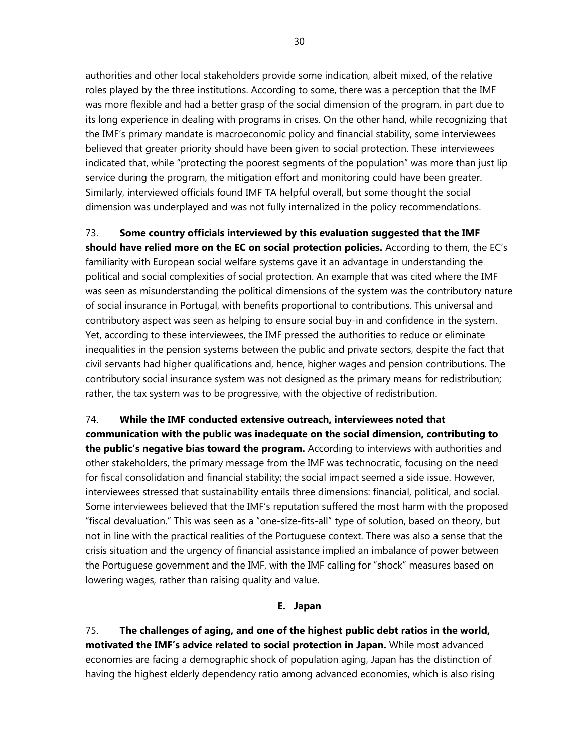authorities and other local stakeholders provide some indication, albeit mixed, of the relative roles played by the three institutions. According to some, there was a perception that the IMF was more flexible and had a better grasp of the social dimension of the program, in part due to its long experience in dealing with programs in crises. On the other hand, while recognizing that the IMF's primary mandate is macroeconomic policy and financial stability, some interviewees believed that greater priority should have been given to social protection. These interviewees indicated that, while "protecting the poorest segments of the population" was more than just lip service during the program, the mitigation effort and monitoring could have been greater. Similarly, interviewed officials found IMF TA helpful overall, but some thought the social dimension was underplayed and was not fully internalized in the policy recommendations.

#### 73. **Some country officials interviewed by this evaluation suggested that the IMF**

**should have relied more on the EC on social protection policies.** According to them, the EC's familiarity with European social welfare systems gave it an advantage in understanding the political and social complexities of social protection. An example that was cited where the IMF was seen as misunderstanding the political dimensions of the system was the contributory nature of social insurance in Portugal, with benefits proportional to contributions. This universal and contributory aspect was seen as helping to ensure social buy-in and confidence in the system. Yet, according to these interviewees, the IMF pressed the authorities to reduce or eliminate inequalities in the pension systems between the public and private sectors, despite the fact that civil servants had higher qualifications and, hence, higher wages and pension contributions. The contributory social insurance system was not designed as the primary means for redistribution; rather, the tax system was to be progressive, with the objective of redistribution.

74. **While the IMF conducted extensive outreach, interviewees noted that communication with the public was inadequate on the social dimension, contributing to the public's negative bias toward the program.** According to interviews with authorities and other stakeholders, the primary message from the IMF was technocratic, focusing on the need for fiscal consolidation and financial stability; the social impact seemed a side issue. However, interviewees stressed that sustainability entails three dimensions: financial, political, and social. Some interviewees believed that the IMF's reputation suffered the most harm with the proposed "fiscal devaluation." This was seen as a "one-size-fits-all" type of solution, based on theory, but not in line with the practical realities of the Portuguese context. There was also a sense that the crisis situation and the urgency of financial assistance implied an imbalance of power between the Portuguese government and the IMF, with the IMF calling for "shock" measures based on lowering wages, rather than raising quality and value.

#### **E. Japan**

75. **The challenges of aging, and one of the highest public debt ratios in the world, motivated the IMF's advice related to social protection in Japan.** While most advanced economies are facing a demographic shock of population aging, Japan has the distinction of having the highest elderly dependency ratio among advanced economies, which is also rising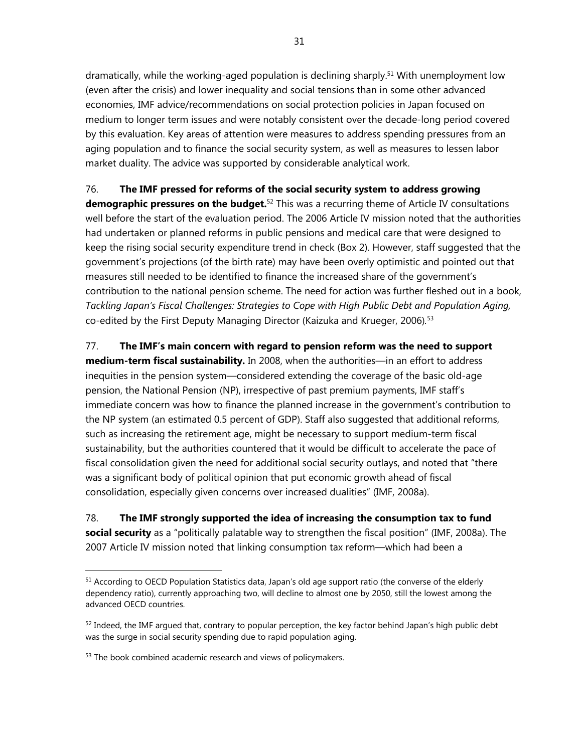dramatically, while the working-aged population is declining sharply.<sup>51</sup> With unemployment low (even after the crisis) and lower inequality and social tensions than in some other advanced economies, IMF advice/recommendations on social protection policies in Japan focused on medium to longer term issues and were notably consistent over the decade-long period covered by this evaluation. Key areas of attention were measures to address spending pressures from an aging population and to finance the social security system, as well as measures to lessen labor market duality. The advice was supported by considerable analytical work.

#### 76. **The IMF pressed for reforms of the social security system to address growing**

**demographic pressures on the budget.**52 This was a recurring theme of Article IV consultations well before the start of the evaluation period. The 2006 Article IV mission noted that the authorities had undertaken or planned reforms in public pensions and medical care that were designed to keep the rising social security expenditure trend in check (Box 2). However, staff suggested that the government's projections (of the birth rate) may have been overly optimistic and pointed out that measures still needed to be identified to finance the increased share of the government's contribution to the national pension scheme. The need for action was further fleshed out in a book, *Tackling Japan's Fiscal Challenges: Strategies to Cope with High Public Debt and Population Aging,* co-edited by the First Deputy Managing Director (Kaizuka and Krueger, 2006)*.* 53

77. **The IMF's main concern with regard to pension reform was the need to support medium-term fiscal sustainability.** In 2008, when the authorities—in an effort to address inequities in the pension system—considered extending the coverage of the basic old-age pension, the National Pension (NP), irrespective of past premium payments, IMF staff's immediate concern was how to finance the planned increase in the government's contribution to the NP system (an estimated 0.5 percent of GDP). Staff also suggested that additional reforms, such as increasing the retirement age, might be necessary to support medium-term fiscal sustainability, but the authorities countered that it would be difficult to accelerate the pace of fiscal consolidation given the need for additional social security outlays, and noted that "there was a significant body of political opinion that put economic growth ahead of fiscal consolidation, especially given concerns over increased dualities" (IMF, 2008a).

78. **The IMF strongly supported the idea of increasing the consumption tax to fund social security** as a "politically palatable way to strengthen the fiscal position" (IMF, 2008a). The 2007 Article IV mission noted that linking consumption tax reform—which had been a

<sup>&</sup>lt;sup>51</sup> According to OECD Population Statistics data, Japan's old age support ratio (the converse of the elderly dependency ratio), currently approaching two, will decline to almost one by 2050, still the lowest among the advanced OECD countries.

 $52$  Indeed, the IMF argued that, contrary to popular perception, the key factor behind Japan's high public debt was the surge in social security spending due to rapid population aging.

<sup>53</sup> The book combined academic research and views of policymakers.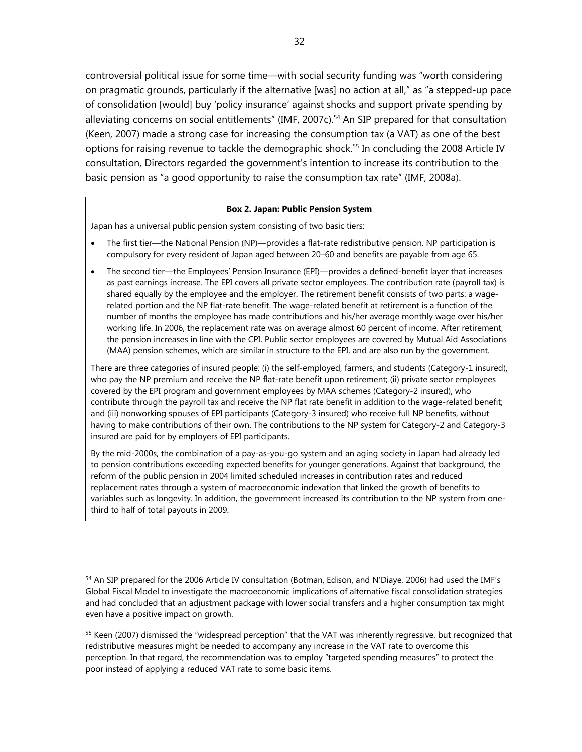controversial political issue for some time—with social security funding was "worth considering on pragmatic grounds, particularly if the alternative [was] no action at all," as "a stepped-up pace of consolidation [would] buy 'policy insurance' against shocks and support private spending by alleviating concerns on social entitlements" (IMF, 2007c).<sup>54</sup> An SIP prepared for that consultation (Keen, 2007) made a strong case for increasing the consumption tax (a VAT) as one of the best options for raising revenue to tackle the demographic shock.<sup>55</sup> In concluding the 2008 Article IV consultation, Directors regarded the government's intention to increase its contribution to the basic pension as "a good opportunity to raise the consumption tax rate" (IMF, 2008a).

#### **Box 2. Japan: Public Pension System**

Japan has a universal public pension system consisting of two basic tiers:

 $\overline{a}$ 

- The first tier—the National Pension (NP)—provides a flat-rate redistributive pension. NP participation is compulsory for every resident of Japan aged between 20–60 and benefits are payable from age 65.
- The second tier—the Employees' Pension Insurance (EPI)—provides a defined-benefit layer that increases as past earnings increase. The EPI covers all private sector employees. The contribution rate (payroll tax) is shared equally by the employee and the employer. The retirement benefit consists of two parts: a wagerelated portion and the NP flat-rate benefit. The wage-related benefit at retirement is a function of the number of months the employee has made contributions and his/her average monthly wage over his/her working life. In 2006, the replacement rate was on average almost 60 percent of income. After retirement, the pension increases in line with the CPI. Public sector employees are covered by Mutual Aid Associations (MAA) pension schemes, which are similar in structure to the EPI, and are also run by the government.

There are three categories of insured people: (i) the self-employed, farmers, and students (Category-1 insured), who pay the NP premium and receive the NP flat-rate benefit upon retirement; (ii) private sector employees covered by the EPI program and government employees by MAA schemes (Category-2 insured), who contribute through the payroll tax and receive the NP flat rate benefit in addition to the wage-related benefit; and (iii) nonworking spouses of EPI participants (Category-3 insured) who receive full NP benefits, without having to make contributions of their own. The contributions to the NP system for Category-2 and Category-3 insured are paid for by employers of EPI participants.

By the mid-2000s, the combination of a pay-as-you-go system and an aging society in Japan had already led to pension contributions exceeding expected benefits for younger generations. Against that background, the reform of the public pension in 2004 limited scheduled increases in contribution rates and reduced replacement rates through a system of macroeconomic indexation that linked the growth of benefits to variables such as longevity. In addition, the government increased its contribution to the NP system from onethird to half of total payouts in 2009.

<sup>54</sup> An SIP prepared for the 2006 Article IV consultation (Botman, Edison, and N'Diaye, 2006) had used the IMF's Global Fiscal Model to investigate the macroeconomic implications of alternative fiscal consolidation strategies and had concluded that an adjustment package with lower social transfers and a higher consumption tax might even have a positive impact on growth.

<sup>&</sup>lt;sup>55</sup> Keen (2007) dismissed the "widespread perception" that the VAT was inherently regressive, but recognized that redistributive measures might be needed to accompany any increase in the VAT rate to overcome this perception. In that regard, the recommendation was to employ "targeted spending measures" to protect the poor instead of applying a reduced VAT rate to some basic items.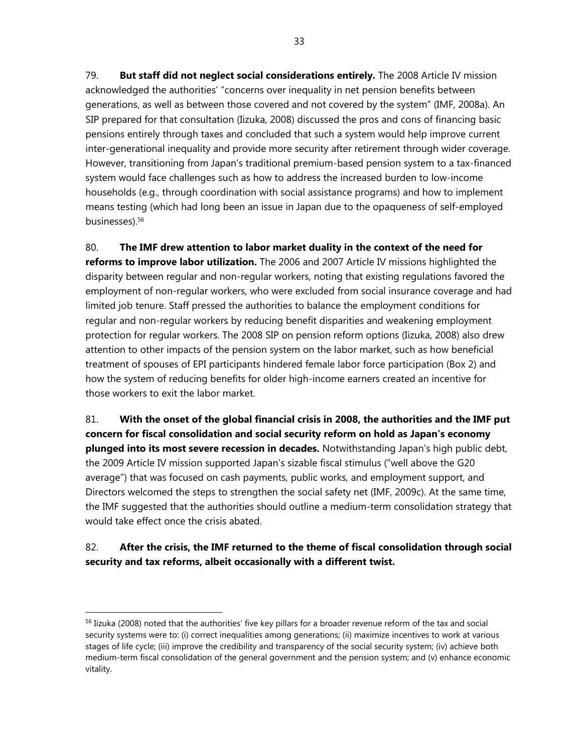79. **But staff did not neglect social considerations entirely.** The 2008 Article IV mission acknowledged the authorities' "concerns over inequality in net pension benefits between generations, as well as between those covered and not covered by the system" (IMF, 2008a). An SIP prepared for that consultation (Iizuka, 2008) discussed the pros and cons of financing basic pensions entirely through taxes and concluded that such a system would help improve current inter-generational inequality and provide more security after retirement through wider coverage. However, transitioning from Japan's traditional premium-based pension system to a tax-financed system would face challenges such as how to address the increased burden to low-income households (e.g., through coordination with social assistance programs) and how to implement means testing (which had long been an issue in Japan due to the opaqueness of self-employed businesses).56

80. **The IMF drew attention to labor market duality in the context of the need for reforms to improve labor utilization.** The 2006 and 2007 Article IV missions highlighted the disparity between regular and non-regular workers, noting that existing regulations favored the employment of non-regular workers, who were excluded from social insurance coverage and had limited job tenure. Staff pressed the authorities to balance the employment conditions for regular and non-regular workers by reducing benefit disparities and weakening employment protection for regular workers. The 2008 SIP on pension reform options (Iizuka, 2008) also drew attention to other impacts of the pension system on the labor market, such as how beneficial treatment of spouses of EPI participants hindered female labor force participation (Box 2) and how the system of reducing benefits for older high-income earners created an incentive for those workers to exit the labor market.

81. **With the onset of the global financial crisis in 2008, the authorities and the IMF put concern for fiscal consolidation and social security reform on hold as Japan's economy plunged into its most severe recession in decades.** Notwithstanding Japan's high public debt, the 2009 Article IV mission supported Japan's sizable fiscal stimulus ("well above the G20 average") that was focused on cash payments, public works, and employment support, and Directors welcomed the steps to strengthen the social safety net (IMF, 2009c). At the same time, the IMF suggested that the authorities should outline a medium-term consolidation strategy that would take effect once the crisis abated.

# 82. **After the crisis, the IMF returned to the theme of fiscal consolidation through social security and tax reforms, albeit occasionally with a different twist.**

<sup>&</sup>lt;sup>56</sup> Iizuka (2008) noted that the authorities' five key pillars for a broader revenue reform of the tax and social security systems were to: (i) correct inequalities among generations; (ii) maximize incentives to work at various stages of life cycle; (iii) improve the credibility and transparency of the social security system; (iv) achieve both medium-term fiscal consolidation of the general government and the pension system; and (v) enhance economic vitality.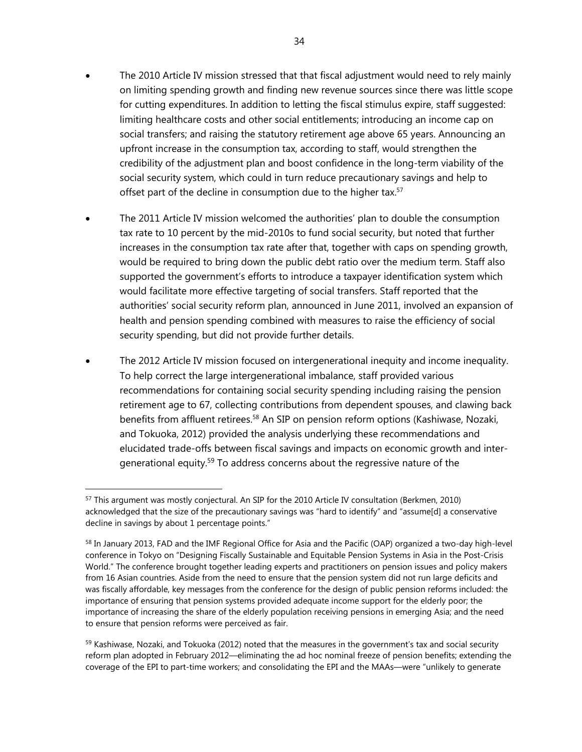- The 2010 Article IV mission stressed that that fiscal adjustment would need to rely mainly on limiting spending growth and finding new revenue sources since there was little scope for cutting expenditures. In addition to letting the fiscal stimulus expire, staff suggested: limiting healthcare costs and other social entitlements; introducing an income cap on social transfers; and raising the statutory retirement age above 65 years. Announcing an upfront increase in the consumption tax, according to staff, would strengthen the credibility of the adjustment plan and boost confidence in the long-term viability of the social security system, which could in turn reduce precautionary savings and help to offset part of the decline in consumption due to the higher tax.<sup>57</sup>
- The 2011 Article IV mission welcomed the authorities' plan to double the consumption tax rate to 10 percent by the mid-2010s to fund social security, but noted that further increases in the consumption tax rate after that, together with caps on spending growth, would be required to bring down the public debt ratio over the medium term. Staff also supported the government's efforts to introduce a taxpayer identification system which would facilitate more effective targeting of social transfers. Staff reported that the authorities' social security reform plan, announced in June 2011, involved an expansion of health and pension spending combined with measures to raise the efficiency of social security spending, but did not provide further details.
- The 2012 Article IV mission focused on intergenerational inequity and income inequality. To help correct the large intergenerational imbalance, staff provided various recommendations for containing social security spending including raising the pension retirement age to 67, collecting contributions from dependent spouses, and clawing back benefits from affluent retirees.58 An SIP on pension reform options (Kashiwase, Nozaki, and Tokuoka, 2012) provided the analysis underlying these recommendations and elucidated trade-offs between fiscal savings and impacts on economic growth and intergenerational equity.<sup>59</sup> To address concerns about the regressive nature of the

<sup>&</sup>lt;sup>57</sup> This argument was mostly conjectural. An SIP for the 2010 Article IV consultation (Berkmen, 2010) acknowledged that the size of the precautionary savings was "hard to identify" and "assume[d] a conservative decline in savings by about 1 percentage points."

<sup>58</sup> In January 2013, FAD and the IMF Regional Office for Asia and the Pacific (OAP) organized a two-day high-level conference in Tokyo on "Designing Fiscally Sustainable and Equitable Pension Systems in Asia in the Post-Crisis World." The conference brought together leading experts and practitioners on pension issues and policy makers from 16 Asian countries. Aside from the need to ensure that the pension system did not run large deficits and was fiscally affordable, key messages from the conference for the design of public pension reforms included: the importance of ensuring that pension systems provided adequate income support for the elderly poor; the importance of increasing the share of the elderly population receiving pensions in emerging Asia; and the need to ensure that pension reforms were perceived as fair.

 $59$  Kashiwase, Nozaki, and Tokuoka (2012) noted that the measures in the government's tax and social security reform plan adopted in February 2012—eliminating the ad hoc nominal freeze of pension benefits; extending the coverage of the EPI to part-time workers; and consolidating the EPI and the MAAs—were "unlikely to generate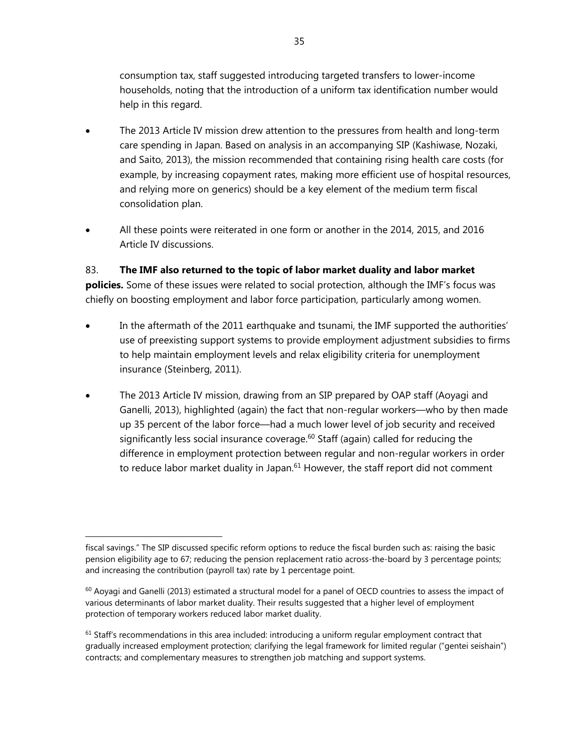consumption tax, staff suggested introducing targeted transfers to lower-income households, noting that the introduction of a uniform tax identification number would help in this regard.

- The 2013 Article IV mission drew attention to the pressures from health and long-term care spending in Japan. Based on analysis in an accompanying SIP (Kashiwase, Nozaki, and Saito, 2013), the mission recommended that containing rising health care costs (for example, by increasing copayment rates, making more efficient use of hospital resources, and relying more on generics) should be a key element of the medium term fiscal consolidation plan.
- All these points were reiterated in one form or another in the 2014, 2015, and 2016 Article IV discussions.

## 83. **The IMF also returned to the topic of labor market duality and labor market**

**policies.** Some of these issues were related to social protection, although the IMF's focus was chiefly on boosting employment and labor force participation, particularly among women.

- In the aftermath of the 2011 earthquake and tsunami, the IMF supported the authorities' use of preexisting support systems to provide employment adjustment subsidies to firms to help maintain employment levels and relax eligibility criteria for unemployment insurance (Steinberg, 2011).
- The 2013 Article IV mission, drawing from an SIP prepared by OAP staff (Aoyagi and Ganelli, 2013), highlighted (again) the fact that non-regular workers—who by then made up 35 percent of the labor force—had a much lower level of job security and received significantly less social insurance coverage.<sup>60</sup> Staff (again) called for reducing the difference in employment protection between regular and non-regular workers in order to reduce labor market duality in Japan.<sup>61</sup> However, the staff report did not comment

-

fiscal savings." The SIP discussed specific reform options to reduce the fiscal burden such as: raising the basic pension eligibility age to 67; reducing the pension replacement ratio across-the-board by 3 percentage points; and increasing the contribution (payroll tax) rate by 1 percentage point.

 $60$  Aoyagi and Ganelli (2013) estimated a structural model for a panel of OECD countries to assess the impact of various determinants of labor market duality. Their results suggested that a higher level of employment protection of temporary workers reduced labor market duality.

 $61$  Staff's recommendations in this area included: introducing a uniform regular employment contract that gradually increased employment protection; clarifying the legal framework for limited regular ("gentei seishain") contracts; and complementary measures to strengthen job matching and support systems.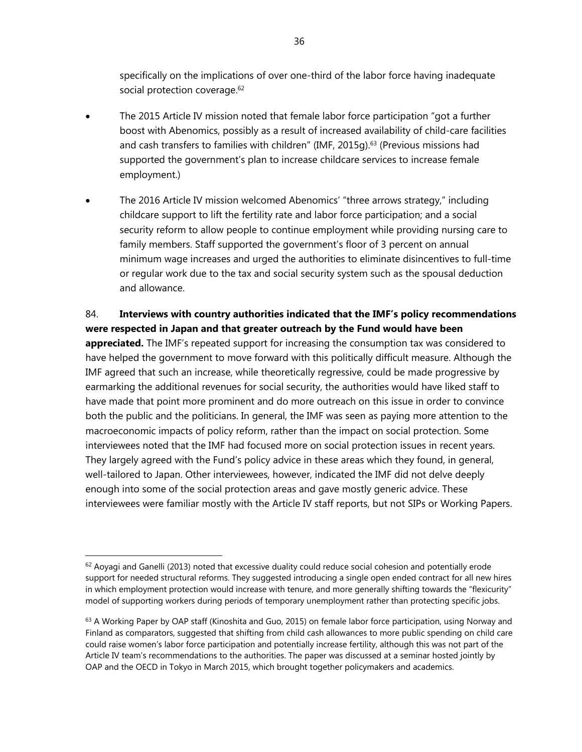specifically on the implications of over one-third of the labor force having inadequate social protection coverage.<sup>62</sup>

- The 2015 Article IV mission noted that female labor force participation "got a further boost with Abenomics, possibly as a result of increased availability of child-care facilities and cash transfers to families with children" (IMF, 2015q).<sup>63</sup> (Previous missions had supported the government's plan to increase childcare services to increase female employment.)
- The 2016 Article IV mission welcomed Abenomics' "three arrows strategy," including childcare support to lift the fertility rate and labor force participation; and a social security reform to allow people to continue employment while providing nursing care to family members. Staff supported the government's floor of 3 percent on annual minimum wage increases and urged the authorities to eliminate disincentives to full-time or regular work due to the tax and social security system such as the spousal deduction and allowance.

## 84. **Interviews with country authorities indicated that the IMF's policy recommendations were respected in Japan and that greater outreach by the Fund would have been**

**appreciated.** The IMF's repeated support for increasing the consumption tax was considered to have helped the government to move forward with this politically difficult measure. Although the IMF agreed that such an increase, while theoretically regressive, could be made progressive by earmarking the additional revenues for social security, the authorities would have liked staff to have made that point more prominent and do more outreach on this issue in order to convince both the public and the politicians. In general, the IMF was seen as paying more attention to the macroeconomic impacts of policy reform, rather than the impact on social protection. Some interviewees noted that the IMF had focused more on social protection issues in recent years. They largely agreed with the Fund's policy advice in these areas which they found, in general, well-tailored to Japan. Other interviewees, however, indicated the IMF did not delve deeply enough into some of the social protection areas and gave mostly generic advice. These interviewees were familiar mostly with the Article IV staff reports, but not SIPs or Working Papers.

1

 $62$  Aoyagi and Ganelli (2013) noted that excessive duality could reduce social cohesion and potentially erode support for needed structural reforms. They suggested introducing a single open ended contract for all new hires in which employment protection would increase with tenure, and more generally shifting towards the "flexicurity" model of supporting workers during periods of temporary unemployment rather than protecting specific jobs.

 $63$  A Working Paper by OAP staff (Kinoshita and Guo, 2015) on female labor force participation, using Norway and Finland as comparators, suggested that shifting from child cash allowances to more public spending on child care could raise women's labor force participation and potentially increase fertility, although this was not part of the Article IV team's recommendations to the authorities. The paper was discussed at a seminar hosted jointly by OAP and the OECD in Tokyo in March 2015, which brought together policymakers and academics.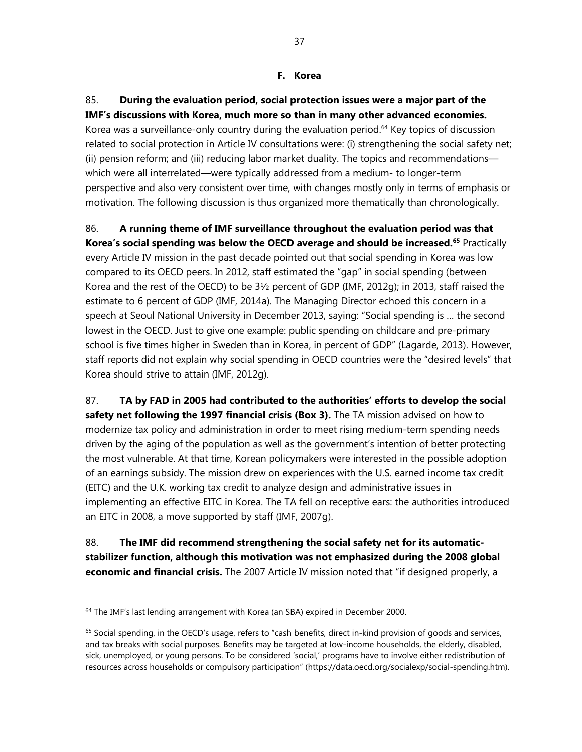#### **F. Korea**

85. **During the evaluation period, social protection issues were a major part of the IMF's discussions with Korea, much more so than in many other advanced economies.** Korea was a surveillance-only country during the evaluation period.<sup>64</sup> Key topics of discussion related to social protection in Article IV consultations were: (i) strengthening the social safety net; (ii) pension reform; and (iii) reducing labor market duality. The topics and recommendations which were all interrelated—were typically addressed from a medium- to longer-term perspective and also very consistent over time, with changes mostly only in terms of emphasis or motivation. The following discussion is thus organized more thematically than chronologically.

86. **A running theme of IMF surveillance throughout the evaluation period was that Korea's social spending was below the OECD average and should be increased.<sup>65</sup> Practically** every Article IV mission in the past decade pointed out that social spending in Korea was low compared to its OECD peers. In 2012, staff estimated the "gap" in social spending (between Korea and the rest of the OECD) to be 3½ percent of GDP (IMF, 2012g); in 2013, staff raised the estimate to 6 percent of GDP (IMF, 2014a). The Managing Director echoed this concern in a speech at Seoul National University in December 2013, saying: "Social spending is … the second lowest in the OECD. Just to give one example: public spending on childcare and pre-primary school is five times higher in Sweden than in Korea, in percent of GDP" (Lagarde, 2013). However, staff reports did not explain why social spending in OECD countries were the "desired levels" that Korea should strive to attain (IMF, 2012g).

87. **TA by FAD in 2005 had contributed to the authorities' efforts to develop the social**  safety net following the 1997 financial crisis (Box 3). The TA mission advised on how to modernize tax policy and administration in order to meet rising medium-term spending needs driven by the aging of the population as well as the government's intention of better protecting the most vulnerable. At that time, Korean policymakers were interested in the possible adoption of an earnings subsidy. The mission drew on experiences with the U.S. earned income tax credit (EITC) and the U.K. working tax credit to analyze design and administrative issues in implementing an effective EITC in Korea. The TA fell on receptive ears: the authorities introduced an EITC in 2008, a move supported by staff (IMF, 2007g).

88. **The IMF did recommend strengthening the social safety net for its automaticstabilizer function, although this motivation was not emphasized during the 2008 global economic and financial crisis.** The 2007 Article IV mission noted that "if designed properly, a

-

<sup>&</sup>lt;sup>64</sup> The IMF's last lending arrangement with Korea (an SBA) expired in December 2000.

 $65$  Social spending, in the OECD's usage, refers to "cash benefits, direct in-kind provision of goods and services, and tax breaks with social purposes. Benefits may be targeted at low-income households, the elderly, disabled, sick, unemployed, or young persons. To be considered 'social,' programs have to involve either redistribution of resources across households or compulsory participation" (https://data.oecd.org/socialexp/social-spending.htm).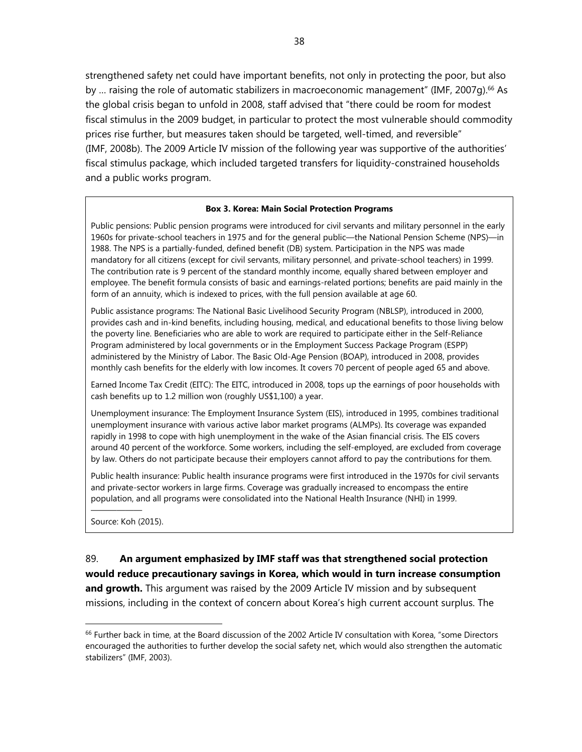strengthened safety net could have important benefits, not only in protecting the poor, but also by ... raising the role of automatic stabilizers in macroeconomic management" (IMF, 2007q).<sup>66</sup> As the global crisis began to unfold in 2008, staff advised that "there could be room for modest fiscal stimulus in the 2009 budget, in particular to protect the most vulnerable should commodity prices rise further, but measures taken should be targeted, well-timed, and reversible" (IMF, 2008b). The 2009 Article IV mission of the following year was supportive of the authorities' fiscal stimulus package, which included targeted transfers for liquidity-constrained households and a public works program.

#### **Box 3. Korea: Main Social Protection Programs**

Public pensions: Public pension programs were introduced for civil servants and military personnel in the early 1960s for private-school teachers in 1975 and for the general public—the National Pension Scheme (NPS)—in 1988. The NPS is a partially-funded, defined benefit (DB) system. Participation in the NPS was made mandatory for all citizens (except for civil servants, military personnel, and private-school teachers) in 1999. The contribution rate is 9 percent of the standard monthly income, equally shared between employer and employee. The benefit formula consists of basic and earnings-related portions; benefits are paid mainly in the form of an annuity, which is indexed to prices, with the full pension available at age 60.

Public assistance programs: The National Basic Livelihood Security Program (NBLSP), introduced in 2000, provides cash and in-kind benefits, including housing, medical, and educational benefits to those living below the poverty line. Beneficiaries who are able to work are required to participate either in the Self-Reliance Program administered by local governments or in the Employment Success Package Program (ESPP) administered by the Ministry of Labor. The Basic Old-Age Pension (BOAP), introduced in 2008, provides monthly cash benefits for the elderly with low incomes. It covers 70 percent of people aged 65 and above.

Earned Income Tax Credit (EITC): The EITC, introduced in 2008, tops up the earnings of poor households with cash benefits up to 1.2 million won (roughly US\$1,100) a year.

Unemployment insurance: The Employment Insurance System (EIS), introduced in 1995, combines traditional unemployment insurance with various active labor market programs (ALMPs). Its coverage was expanded rapidly in 1998 to cope with high unemployment in the wake of the Asian financial crisis. The EIS covers around 40 percent of the workforce. Some workers, including the self-employed, are excluded from coverage by law. Others do not participate because their employers cannot afford to pay the contributions for them.

Public health insurance: Public health insurance programs were first introduced in the 1970s for civil servants and private-sector workers in large firms. Coverage was gradually increased to encompass the entire population, and all programs were consolidated into the National Health Insurance (NHI) in 1999.

Source: Koh (2015).

——————

 $\overline{a}$ 

89. **An argument emphasized by IMF staff was that strengthened social protection would reduce precautionary savings in Korea, which would in turn increase consumption and growth.** This argument was raised by the 2009 Article IV mission and by subsequent missions, including in the context of concern about Korea's high current account surplus. The

<sup>&</sup>lt;sup>66</sup> Further back in time, at the Board discussion of the 2002 Article IV consultation with Korea, "some Directors encouraged the authorities to further develop the social safety net, which would also strengthen the automatic stabilizers" (IMF, 2003).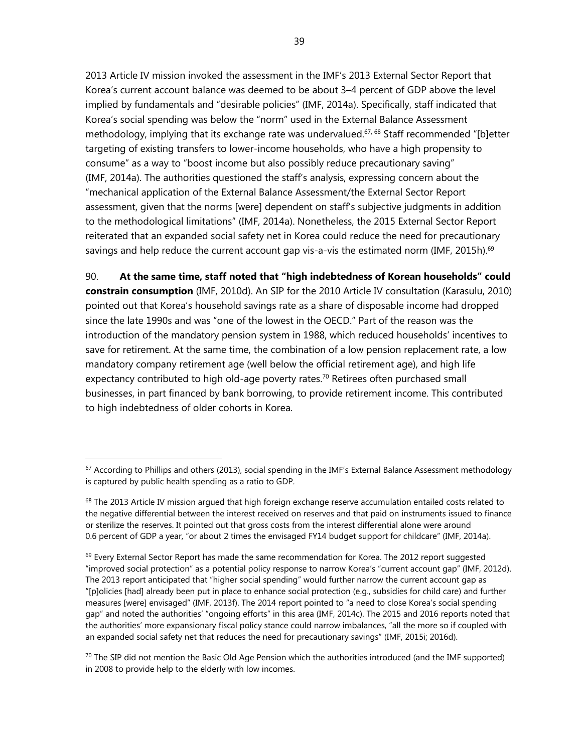2013 Article IV mission invoked the assessment in the IMF's 2013 External Sector Report that Korea's current account balance was deemed to be about 3–4 percent of GDP above the level implied by fundamentals and "desirable policies" (IMF, 2014a). Specifically, staff indicated that Korea's social spending was below the "norm" used in the External Balance Assessment methodology, implying that its exchange rate was undervalued.<sup>67, 68</sup> Staff recommended "[b]etter targeting of existing transfers to lower-income households, who have a high propensity to consume" as a way to "boost income but also possibly reduce precautionary saving" (IMF, 2014a). The authorities questioned the staff's analysis, expressing concern about the "mechanical application of the External Balance Assessment/the External Sector Report assessment, given that the norms [were] dependent on staff's subjective judgments in addition to the methodological limitations" (IMF, 2014a). Nonetheless, the 2015 External Sector Report reiterated that an expanded social safety net in Korea could reduce the need for precautionary savings and help reduce the current account gap vis-a-vis the estimated norm (IMF, 2015h).<sup>69</sup>

90. **At the same time, staff noted that "high indebtedness of Korean households" could constrain consumption** (IMF, 2010d). An SIP for the 2010 Article IV consultation (Karasulu, 2010) pointed out that Korea's household savings rate as a share of disposable income had dropped since the late 1990s and was "one of the lowest in the OECD." Part of the reason was the introduction of the mandatory pension system in 1988, which reduced households' incentives to save for retirement. At the same time, the combination of a low pension replacement rate, a low mandatory company retirement age (well below the official retirement age), and high life expectancy contributed to high old-age poverty rates.<sup>70</sup> Retirees often purchased small businesses, in part financed by bank borrowing, to provide retirement income. This contributed to high indebtedness of older cohorts in Korea.

<sup>&</sup>lt;sup>67</sup> According to Phillips and others (2013), social spending in the IMF's External Balance Assessment methodology is captured by public health spending as a ratio to GDP.

 $68$  The 2013 Article IV mission argued that high foreign exchange reserve accumulation entailed costs related to the negative differential between the interest received on reserves and that paid on instruments issued to finance or sterilize the reserves. It pointed out that gross costs from the interest differential alone were around 0.6 percent of GDP a year, "or about 2 times the envisaged FY14 budget support for childcare" (IMF, 2014a).

 $69$  Every External Sector Report has made the same recommendation for Korea. The 2012 report suggested "improved social protection" as a potential policy response to narrow Korea's "current account gap" (IMF, 2012d). The 2013 report anticipated that "higher social spending" would further narrow the current account gap as "[p]olicies [had] already been put in place to enhance social protection (e.g., subsidies for child care) and further measures [were] envisaged" (IMF, 2013f). The 2014 report pointed to "a need to close Korea's social spending gap" and noted the authorities' "ongoing efforts" in this area (IMF, 2014c). The 2015 and 2016 reports noted that the authorities' more expansionary fiscal policy stance could narrow imbalances, "all the more so if coupled with an expanded social safety net that reduces the need for precautionary savings" (IMF, 2015i; 2016d).

 $70$  The SIP did not mention the Basic Old Age Pension which the authorities introduced (and the IMF supported) in 2008 to provide help to the elderly with low incomes.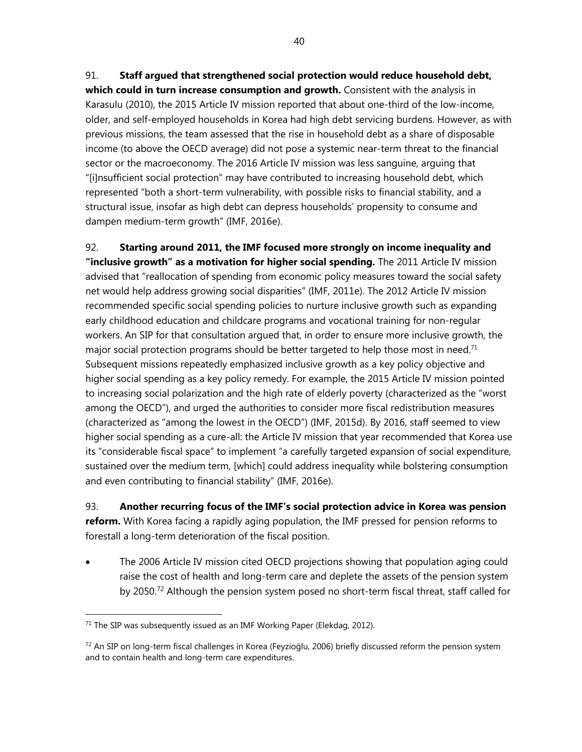#### 91. **Staff argued that strengthened social protection would reduce household debt,**

**which could in turn increase consumption and growth.** Consistent with the analysis in Karasulu (2010), the 2015 Article IV mission reported that about one-third of the low-income, older, and self-employed households in Korea had high debt servicing burdens. However, as with previous missions, the team assessed that the rise in household debt as a share of disposable income (to above the OECD average) did not pose a systemic near-term threat to the financial sector or the macroeconomy. The 2016 Article IV mission was less sanguine, arguing that "[i]nsufficient social protection" may have contributed to increasing household debt, which represented "both a short-term vulnerability, with possible risks to financial stability, and a structural issue, insofar as high debt can depress households' propensity to consume and dampen medium-term growth" (IMF, 2016e).

92. **Starting around 2011, the IMF focused more strongly on income inequality and "inclusive growth" as a motivation for higher social spending.** The 2011 Article IV mission advised that "reallocation of spending from economic policy measures toward the social safety net would help address growing social disparities" (IMF, 2011e). The 2012 Article IV mission recommended specific social spending policies to nurture inclusive growth such as expanding early childhood education and childcare programs and vocational training for non-regular workers. An SIP for that consultation argued that, in order to ensure more inclusive growth, the major social protection programs should be better targeted to help those most in need.<sup>71</sup> Subsequent missions repeatedly emphasized inclusive growth as a key policy objective and higher social spending as a key policy remedy. For example, the 2015 Article IV mission pointed to increasing social polarization and the high rate of elderly poverty (characterized as the "worst among the OECD"), and urged the authorities to consider more fiscal redistribution measures (characterized as "among the lowest in the OECD") (IMF, 2015d). By 2016, staff seemed to view higher social spending as a cure-all: the Article IV mission that year recommended that Korea use its "considerable fiscal space" to implement "a carefully targeted expansion of social expenditure, sustained over the medium term, [which] could address inequality while bolstering consumption and even contributing to financial stability" (IMF, 2016e).

93. **Another recurring focus of the IMF's social protection advice in Korea was pension reform.** With Korea facing a rapidly aging population, the IMF pressed for pension reforms to forestall a long-term deterioration of the fiscal position.

 The 2006 Article IV mission cited OECD projections showing that population aging could raise the cost of health and long-term care and deplete the assets of the pension system by 2050.72 Although the pension system posed no short-term fiscal threat, staff called for

-

 $71$  The SIP was subsequently issued as an IMF Working Paper (Elekdag, 2012).

 $72$  An SIP on long-term fiscal challenges in Korea (Feyzioğlu, 2006) briefly discussed reform the pension system and to contain health and long-term care expenditures.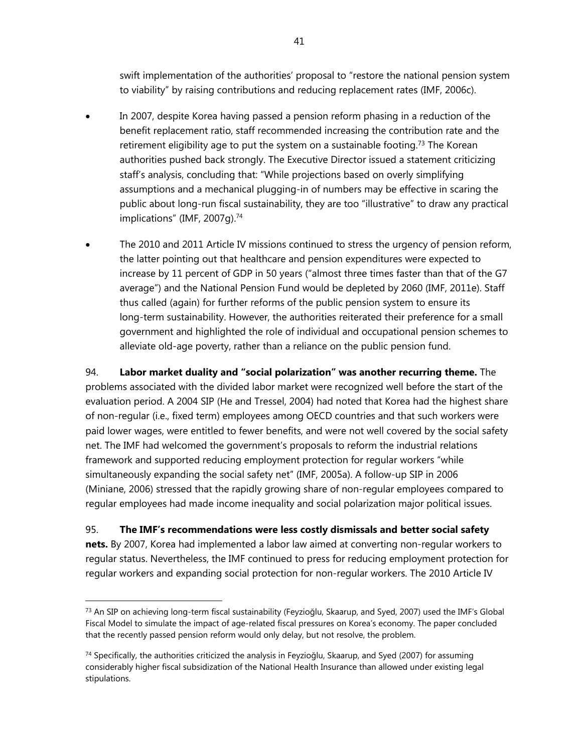swift implementation of the authorities' proposal to "restore the national pension system to viability" by raising contributions and reducing replacement rates (IMF, 2006c).

- In 2007, despite Korea having passed a pension reform phasing in a reduction of the benefit replacement ratio, staff recommended increasing the contribution rate and the retirement eligibility age to put the system on a sustainable footing.<sup>73</sup> The Korean authorities pushed back strongly. The Executive Director issued a statement criticizing staff's analysis, concluding that: "While projections based on overly simplifying assumptions and a mechanical plugging-in of numbers may be effective in scaring the public about long-run fiscal sustainability, they are too "illustrative" to draw any practical implications" (IMF, 2007q).<sup>74</sup>
- The 2010 and 2011 Article IV missions continued to stress the urgency of pension reform, the latter pointing out that healthcare and pension expenditures were expected to increase by 11 percent of GDP in 50 years ("almost three times faster than that of the G7 average") and the National Pension Fund would be depleted by 2060 (IMF, 2011e). Staff thus called (again) for further reforms of the public pension system to ensure its long-term sustainability. However, the authorities reiterated their preference for a small government and highlighted the role of individual and occupational pension schemes to alleviate old-age poverty, rather than a reliance on the public pension fund.

94. **Labor market duality and "social polarization" was another recurring theme.** The problems associated with the divided labor market were recognized well before the start of the evaluation period. A 2004 SIP (He and Tressel, 2004) had noted that Korea had the highest share of non-regular (i.e., fixed term) employees among OECD countries and that such workers were paid lower wages, were entitled to fewer benefits, and were not well covered by the social safety net. The IMF had welcomed the government's proposals to reform the industrial relations framework and supported reducing employment protection for regular workers "while simultaneously expanding the social safety net" (IMF, 2005a). A follow-up SIP in 2006 (Miniane, 2006) stressed that the rapidly growing share of non-regular employees compared to regular employees had made income inequality and social polarization major political issues.

95. **The IMF's recommendations were less costly dismissals and better social safety nets.** By 2007, Korea had implemented a labor law aimed at converting non-regular workers to regular status. Nevertheless, the IMF continued to press for reducing employment protection for regular workers and expanding social protection for non-regular workers. The 2010 Article IV

-

 $^{73}$  An SIP on achieving long-term fiscal sustainability (Feyzioğlu, Skaarup, and Syed, 2007) used the IMF's Global Fiscal Model to simulate the impact of age-related fiscal pressures on Korea's economy. The paper concluded that the recently passed pension reform would only delay, but not resolve, the problem.

<sup>&</sup>lt;sup>74</sup> Specifically, the authorities criticized the analysis in Feyzioğlu, Skaarup, and Syed (2007) for assuming considerably higher fiscal subsidization of the National Health Insurance than allowed under existing legal stipulations.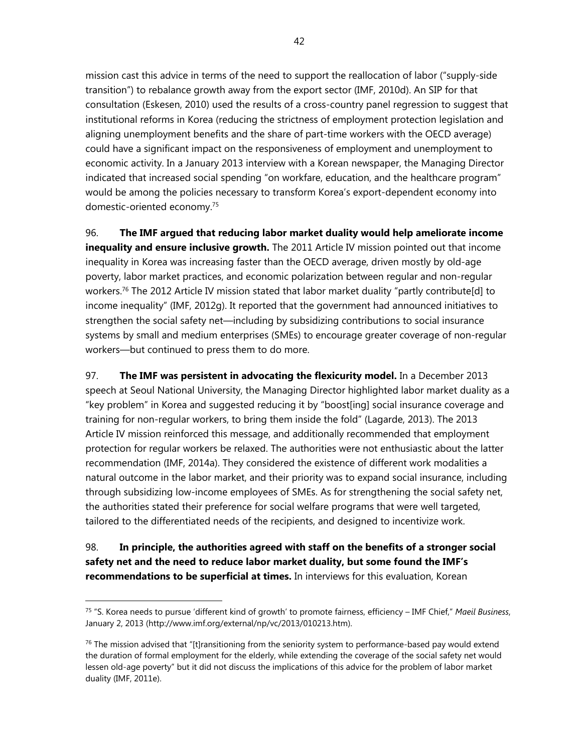mission cast this advice in terms of the need to support the reallocation of labor ("supply-side transition") to rebalance growth away from the export sector (IMF, 2010d). An SIP for that consultation (Eskesen, 2010) used the results of a cross-country panel regression to suggest that institutional reforms in Korea (reducing the strictness of employment protection legislation and aligning unemployment benefits and the share of part-time workers with the OECD average) could have a significant impact on the responsiveness of employment and unemployment to economic activity. In a January 2013 interview with a Korean newspaper, the Managing Director indicated that increased social spending "on workfare, education, and the healthcare program" would be among the policies necessary to transform Korea's export-dependent economy into domestic-oriented economy.75

96. **The IMF argued that reducing labor market duality would help ameliorate income inequality and ensure inclusive growth.** The 2011 Article IV mission pointed out that income inequality in Korea was increasing faster than the OECD average, driven mostly by old-age poverty, labor market practices, and economic polarization between regular and non-regular workers.<sup>76</sup> The 2012 Article IV mission stated that labor market duality "partly contribute[d] to income inequality" (IMF, 2012g). It reported that the government had announced initiatives to strengthen the social safety net—including by subsidizing contributions to social insurance systems by small and medium enterprises (SMEs) to encourage greater coverage of non-regular workers—but continued to press them to do more.

97. **The IMF was persistent in advocating the flexicurity model.** In a December 2013 speech at Seoul National University, the Managing Director highlighted labor market duality as a "key problem" in Korea and suggested reducing it by "boost[ing] social insurance coverage and training for non-regular workers, to bring them inside the fold" (Lagarde, 2013). The 2013 Article IV mission reinforced this message, and additionally recommended that employment protection for regular workers be relaxed. The authorities were not enthusiastic about the latter recommendation (IMF, 2014a). They considered the existence of different work modalities a natural outcome in the labor market, and their priority was to expand social insurance, including through subsidizing low-income employees of SMEs. As for strengthening the social safety net, the authorities stated their preference for social welfare programs that were well targeted, tailored to the differentiated needs of the recipients, and designed to incentivize work.

# 98. **In principle, the authorities agreed with staff on the benefits of a stronger social safety net and the need to reduce labor market duality, but some found the IMF's recommendations to be superficial at times.** In interviews for this evaluation, Korean

<sup>75 &</sup>quot;S. Korea needs to pursue 'different kind of growth' to promote fairness, efficiency – IMF Chief," *Maeil Business*, January 2, 2013 (http://www.imf.org/external/np/vc/2013/010213.htm).

 $76$  The mission advised that "[t]ransitioning from the seniority system to performance-based pay would extend the duration of formal employment for the elderly, while extending the coverage of the social safety net would lessen old-age poverty" but it did not discuss the implications of this advice for the problem of labor market duality (IMF, 2011e).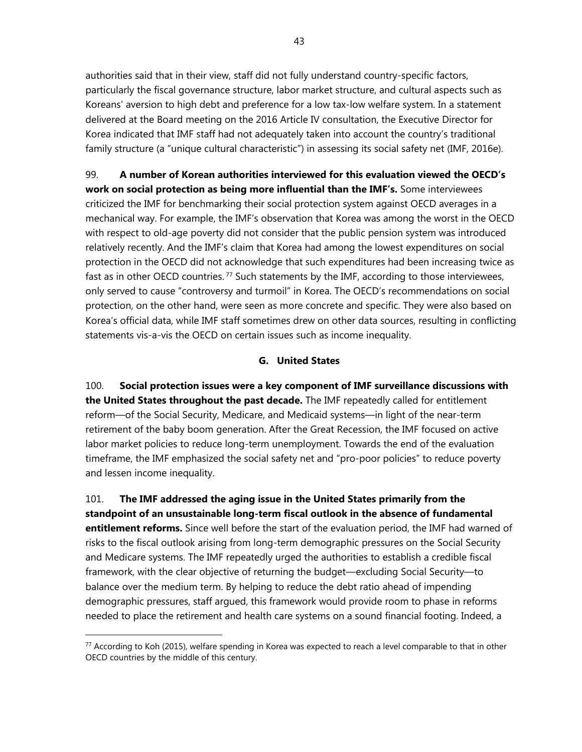authorities said that in their view, staff did not fully understand country-specific factors, particularly the fiscal governance structure, labor market structure, and cultural aspects such as Koreans' aversion to high debt and preference for a low tax-low welfare system. In a statement delivered at the Board meeting on the 2016 Article IV consultation, the Executive Director for Korea indicated that IMF staff had not adequately taken into account the country's traditional family structure (a "unique cultural characteristic") in assessing its social safety net (IMF, 2016e).

99. **A number of Korean authorities interviewed for this evaluation viewed the OECD's work on social protection as being more influential than the IMF's.** Some interviewees criticized the IMF for benchmarking their social protection system against OECD averages in a mechanical way. For example, the IMF's observation that Korea was among the worst in the OECD with respect to old-age poverty did not consider that the public pension system was introduced relatively recently. And the IMF's claim that Korea had among the lowest expenditures on social protection in the OECD did not acknowledge that such expenditures had been increasing twice as fast as in other OECD countries.<sup>77</sup> Such statements by the IMF, according to those interviewees, only served to cause "controversy and turmoil" in Korea. The OECD's recommendations on social protection, on the other hand, were seen as more concrete and specific. They were also based on Korea's official data, while IMF staff sometimes drew on other data sources, resulting in conflicting statements vis-a-vis the OECD on certain issues such as income inequality.

#### **G. United States**

100. **Social protection issues were a key component of IMF surveillance discussions with the United States throughout the past decade.** The IMF repeatedly called for entitlement reform—of the Social Security, Medicare, and Medicaid systems—in light of the near-term retirement of the baby boom generation. After the Great Recession, the IMF focused on active labor market policies to reduce long-term unemployment. Towards the end of the evaluation timeframe, the IMF emphasized the social safety net and "pro-poor policies" to reduce poverty and lessen income inequality.

101. **The IMF addressed the aging issue in the United States primarily from the standpoint of an unsustainable long-term fiscal outlook in the absence of fundamental entitlement reforms.** Since well before the start of the evaluation period, the IMF had warned of risks to the fiscal outlook arising from long-term demographic pressures on the Social Security and Medicare systems. The IMF repeatedly urged the authorities to establish a credible fiscal framework, with the clear objective of returning the budget—excluding Social Security—to balance over the medium term. By helping to reduce the debt ratio ahead of impending demographic pressures, staff argued, this framework would provide room to phase in reforms needed to place the retirement and health care systems on a sound financial footing. Indeed, a

<sup>77</sup> According to Koh (2015), welfare spending in Korea was expected to reach a level comparable to that in other OECD countries by the middle of this century.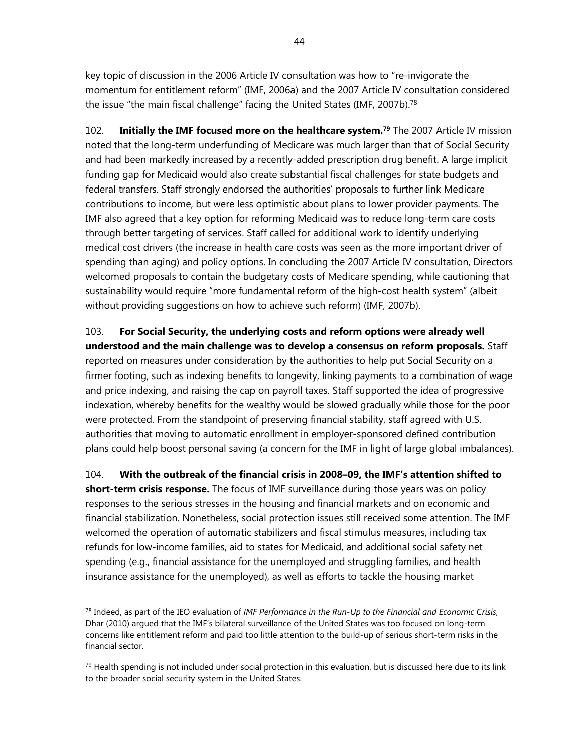key topic of discussion in the 2006 Article IV consultation was how to "re-invigorate the momentum for entitlement reform" (IMF, 2006a) and the 2007 Article IV consultation considered the issue "the main fiscal challenge" facing the United States (IMF, 2007b).78

102. **Initially the IMF focused more on the healthcare system.79** The 2007 Article IV mission noted that the long-term underfunding of Medicare was much larger than that of Social Security and had been markedly increased by a recently-added prescription drug benefit. A large implicit funding gap for Medicaid would also create substantial fiscal challenges for state budgets and federal transfers. Staff strongly endorsed the authorities' proposals to further link Medicare contributions to income, but were less optimistic about plans to lower provider payments. The IMF also agreed that a key option for reforming Medicaid was to reduce long-term care costs through better targeting of services. Staff called for additional work to identify underlying medical cost drivers (the increase in health care costs was seen as the more important driver of spending than aging) and policy options. In concluding the 2007 Article IV consultation, Directors welcomed proposals to contain the budgetary costs of Medicare spending, while cautioning that sustainability would require "more fundamental reform of the high-cost health system" (albeit without providing suggestions on how to achieve such reform) (IMF, 2007b).

103. **For Social Security, the underlying costs and reform options were already well understood and the main challenge was to develop a consensus on reform proposals.** Staff reported on measures under consideration by the authorities to help put Social Security on a firmer footing, such as indexing benefits to longevity, linking payments to a combination of wage and price indexing, and raising the cap on payroll taxes. Staff supported the idea of progressive indexation, whereby benefits for the wealthy would be slowed gradually while those for the poor were protected. From the standpoint of preserving financial stability, staff agreed with U.S. authorities that moving to automatic enrollment in employer-sponsored defined contribution plans could help boost personal saving (a concern for the IMF in light of large global imbalances).

104. **With the outbreak of the financial crisis in 2008–09, the IMF's attention shifted to short-term crisis response.** The focus of IMF surveillance during those years was on policy responses to the serious stresses in the housing and financial markets and on economic and financial stabilization. Nonetheless, social protection issues still received some attention. The IMF welcomed the operation of automatic stabilizers and fiscal stimulus measures, including tax refunds for low-income families, aid to states for Medicaid, and additional social safety net spending (e.g., financial assistance for the unemployed and struggling families, and health insurance assistance for the unemployed), as well as efforts to tackle the housing market

<sup>78</sup> Indeed, as part of the IEO evaluation of *IMF Performance in the Run-Up to the Financial and Economic Crisis*, Dhar (2010) argued that the IMF's bilateral surveillance of the United States was too focused on long-term concerns like entitlement reform and paid too little attention to the build-up of serious short-term risks in the financial sector.

 $79$  Health spending is not included under social protection in this evaluation, but is discussed here due to its link to the broader social security system in the United States.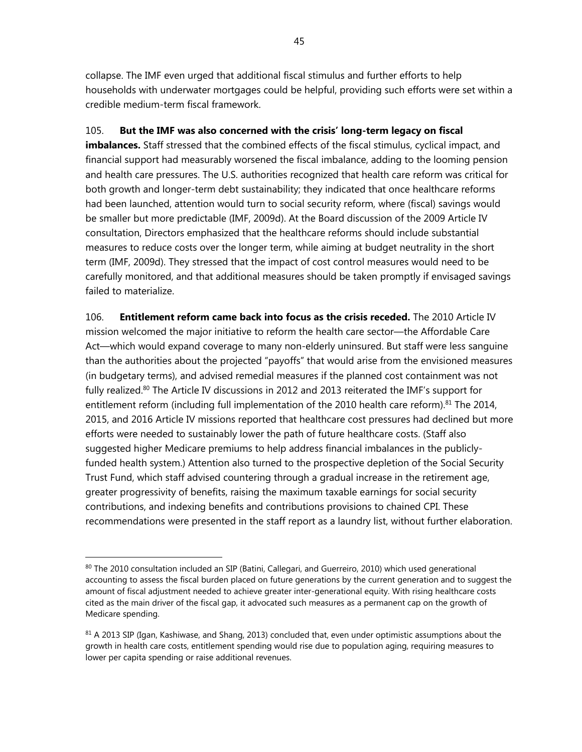collapse. The IMF even urged that additional fiscal stimulus and further efforts to help households with underwater mortgages could be helpful, providing such efforts were set within a credible medium-term fiscal framework.

# 105. **But the IMF was also concerned with the crisis' long-term legacy on fiscal**

**imbalances.** Staff stressed that the combined effects of the fiscal stimulus, cyclical impact, and financial support had measurably worsened the fiscal imbalance, adding to the looming pension and health care pressures. The U.S. authorities recognized that health care reform was critical for both growth and longer-term debt sustainability; they indicated that once healthcare reforms had been launched, attention would turn to social security reform, where (fiscal) savings would be smaller but more predictable (IMF, 2009d). At the Board discussion of the 2009 Article IV consultation, Directors emphasized that the healthcare reforms should include substantial measures to reduce costs over the longer term, while aiming at budget neutrality in the short term (IMF, 2009d). They stressed that the impact of cost control measures would need to be carefully monitored, and that additional measures should be taken promptly if envisaged savings failed to materialize.

106. **Entitlement reform came back into focus as the crisis receded.** The 2010 Article IV mission welcomed the major initiative to reform the health care sector—the Affordable Care Act—which would expand coverage to many non-elderly uninsured. But staff were less sanguine than the authorities about the projected "payoffs" that would arise from the envisioned measures (in budgetary terms), and advised remedial measures if the planned cost containment was not fully realized.<sup>80</sup> The Article IV discussions in 2012 and 2013 reiterated the IMF's support for entitlement reform (including full implementation of the 2010 health care reform).<sup>81</sup> The 2014, 2015, and 2016 Article IV missions reported that healthcare cost pressures had declined but more efforts were needed to sustainably lower the path of future healthcare costs. (Staff also suggested higher Medicare premiums to help address financial imbalances in the publiclyfunded health system.) Attention also turned to the prospective depletion of the Social Security Trust Fund, which staff advised countering through a gradual increase in the retirement age, greater progressivity of benefits, raising the maximum taxable earnings for social security contributions, and indexing benefits and contributions provisions to chained CPI. These recommendations were presented in the staff report as a laundry list, without further elaboration.

<sup>80</sup> The 2010 consultation included an SIP (Batini, Callegari, and Guerreiro, 2010) which used generational accounting to assess the fiscal burden placed on future generations by the current generation and to suggest the amount of fiscal adjustment needed to achieve greater inter-generational equity. With rising healthcare costs cited as the main driver of the fiscal gap, it advocated such measures as a permanent cap on the growth of Medicare spending.

 $81$  A 2013 SIP (Igan, Kashiwase, and Shang, 2013) concluded that, even under optimistic assumptions about the growth in health care costs, entitlement spending would rise due to population aging, requiring measures to lower per capita spending or raise additional revenues.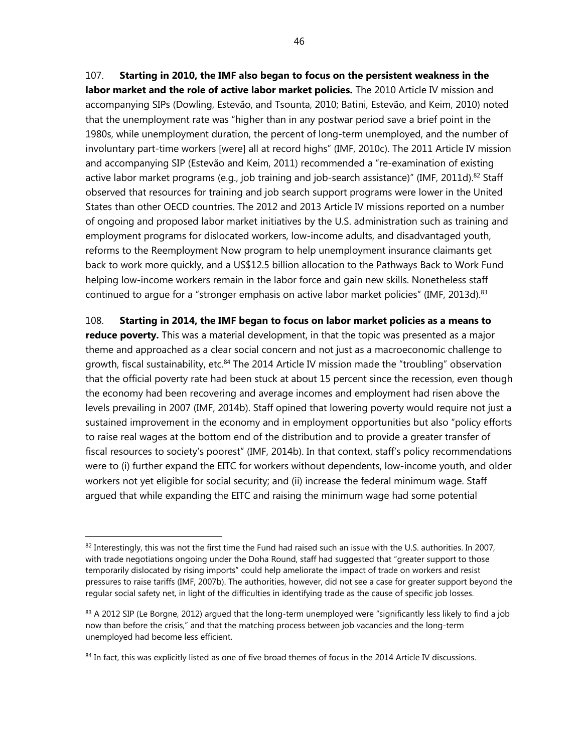107. **Starting in 2010, the IMF also began to focus on the persistent weakness in the labor market and the role of active labor market policies.** The 2010 Article IV mission and accompanying SIPs (Dowling, Estevão, and Tsounta, 2010; Batini, Estevão, and Keim, 2010) noted that the unemployment rate was "higher than in any postwar period save a brief point in the 1980s, while unemployment duration, the percent of long-term unemployed, and the number of involuntary part-time workers [were] all at record highs" (IMF, 2010c). The 2011 Article IV mission and accompanying SIP (Estevão and Keim, 2011) recommended a "re-examination of existing active labor market programs (e.g., job training and job-search assistance)" (IMF, 2011d).<sup>82</sup> Staff observed that resources for training and job search support programs were lower in the United States than other OECD countries. The 2012 and 2013 Article IV missions reported on a number of ongoing and proposed labor market initiatives by the U.S. administration such as training and employment programs for dislocated workers, low-income adults, and disadvantaged youth, reforms to the Reemployment Now program to help unemployment insurance claimants get back to work more quickly, and a US\$12.5 billion allocation to the Pathways Back to Work Fund helping low-income workers remain in the labor force and gain new skills. Nonetheless staff continued to argue for a "stronger emphasis on active labor market policies" (IMF, 2013d).<sup>83</sup>

108. **Starting in 2014, the IMF began to focus on labor market policies as a means to reduce poverty.** This was a material development, in that the topic was presented as a major theme and approached as a clear social concern and not just as a macroeconomic challenge to growth, fiscal sustainability, etc.<sup>84</sup> The 2014 Article IV mission made the "troubling" observation that the official poverty rate had been stuck at about 15 percent since the recession, even though the economy had been recovering and average incomes and employment had risen above the levels prevailing in 2007 (IMF, 2014b). Staff opined that lowering poverty would require not just a sustained improvement in the economy and in employment opportunities but also "policy efforts to raise real wages at the bottom end of the distribution and to provide a greater transfer of fiscal resources to society's poorest" (IMF, 2014b). In that context, staff's policy recommendations were to (i) further expand the EITC for workers without dependents, low-income youth, and older workers not yet eligible for social security; and (ii) increase the federal minimum wage. Staff argued that while expanding the EITC and raising the minimum wage had some potential

 $82$  Interestingly, this was not the first time the Fund had raised such an issue with the U.S. authorities. In 2007, with trade negotiations ongoing under the Doha Round, staff had suggested that "greater support to those temporarily dislocated by rising imports" could help ameliorate the impact of trade on workers and resist pressures to raise tariffs (IMF, 2007b). The authorities, however, did not see a case for greater support beyond the regular social safety net, in light of the difficulties in identifying trade as the cause of specific job losses.

 $83$  A 2012 SIP (Le Borgne, 2012) argued that the long-term unemployed were "significantly less likely to find a job now than before the crisis," and that the matching process between job vacancies and the long-term unemployed had become less efficient.

<sup>84</sup> In fact, this was explicitly listed as one of five broad themes of focus in the 2014 Article IV discussions.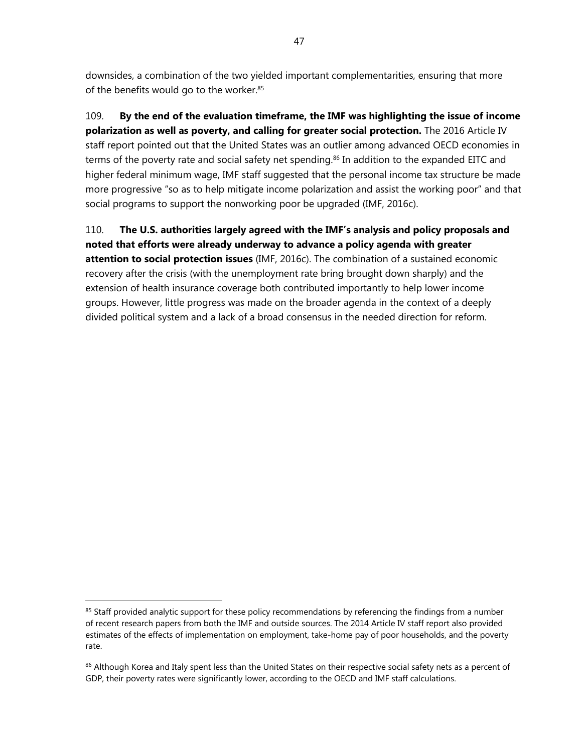downsides, a combination of the two yielded important complementarities, ensuring that more of the benefits would go to the worker.<sup>85</sup>

109. **By the end of the evaluation timeframe, the IMF was highlighting the issue of income polarization as well as poverty, and calling for greater social protection.** The 2016 Article IV staff report pointed out that the United States was an outlier among advanced OECD economies in terms of the poverty rate and social safety net spending.<sup>86</sup> In addition to the expanded EITC and higher federal minimum wage, IMF staff suggested that the personal income tax structure be made more progressive "so as to help mitigate income polarization and assist the working poor" and that social programs to support the nonworking poor be upgraded (IMF, 2016c).

110. **The U.S. authorities largely agreed with the IMF's analysis and policy proposals and noted that efforts were already underway to advance a policy agenda with greater attention to social protection issues** (IMF, 2016c). The combination of a sustained economic recovery after the crisis (with the unemployment rate bring brought down sharply) and the extension of health insurance coverage both contributed importantly to help lower income groups. However, little progress was made on the broader agenda in the context of a deeply divided political system and a lack of a broad consensus in the needed direction for reform.

<sup>&</sup>lt;sup>85</sup> Staff provided analytic support for these policy recommendations by referencing the findings from a number of recent research papers from both the IMF and outside sources. The 2014 Article IV staff report also provided estimates of the effects of implementation on employment, take-home pay of poor households, and the poverty rate.

<sup>&</sup>lt;sup>86</sup> Although Korea and Italy spent less than the United States on their respective social safety nets as a percent of GDP, their poverty rates were significantly lower, according to the OECD and IMF staff calculations.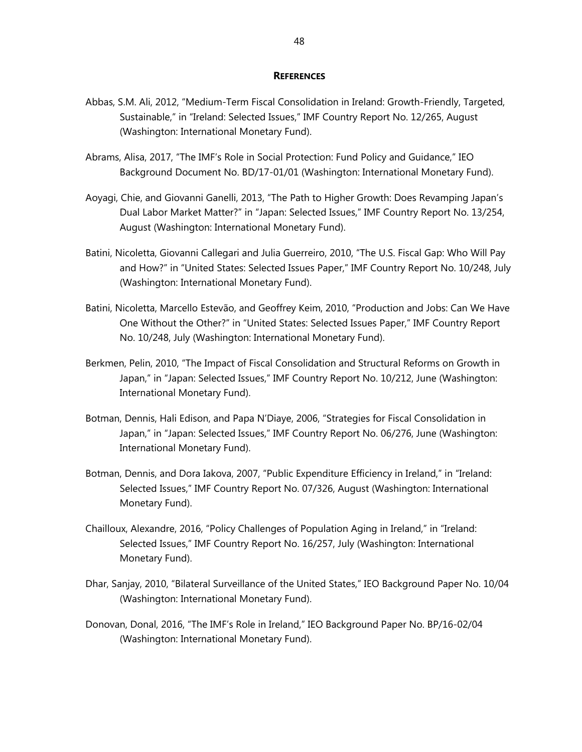#### **REFERENCES**

- Abbas, S.M. Ali, 2012, "Medium-Term Fiscal Consolidation in Ireland: Growth-Friendly, Targeted, Sustainable," in "Ireland: Selected Issues," IMF Country Report No. 12/265, August (Washington: International Monetary Fund).
- Abrams, Alisa, 2017, "The IMF's Role in Social Protection: Fund Policy and Guidance," IEO Background Document No. BD/17-01/01 (Washington: International Monetary Fund).
- Aoyagi, Chie, and Giovanni Ganelli, 2013, "The Path to Higher Growth: Does Revamping Japan's Dual Labor Market Matter?" in "Japan: Selected Issues," IMF Country Report No. 13/254, August (Washington: International Monetary Fund).
- Batini, Nicoletta, Giovanni Callegari and Julia Guerreiro, 2010, "The U.S. Fiscal Gap: Who Will Pay and How?" in "United States: Selected Issues Paper," IMF Country Report No. 10/248, July (Washington: International Monetary Fund).
- Batini, Nicoletta, Marcello Estevão, and Geoffrey Keim, 2010, "Production and Jobs: Can We Have One Without the Other?" in "United States: Selected Issues Paper," IMF Country Report No. 10/248, July (Washington: International Monetary Fund).
- Berkmen, Pelin, 2010, "The Impact of Fiscal Consolidation and Structural Reforms on Growth in Japan," in "Japan: Selected Issues," IMF Country Report No. 10/212, June (Washington: International Monetary Fund).
- Botman, Dennis, Hali Edison, and Papa N'Diaye, 2006, "Strategies for Fiscal Consolidation in Japan," in "Japan: Selected Issues," IMF Country Report No. 06/276, June (Washington: International Monetary Fund).
- Botman, Dennis, and Dora Iakova, 2007, "Public Expenditure Efficiency in Ireland," in "Ireland: Selected Issues," IMF Country Report No. 07/326, August (Washington: International Monetary Fund).
- Chailloux, Alexandre, 2016, "Policy Challenges of Population Aging in Ireland," in "Ireland: Selected Issues," IMF Country Report No. 16/257, July (Washington: International Monetary Fund).
- Dhar, Sanjay, 2010, "Bilateral Surveillance of the United States," IEO Background Paper No. 10/04 (Washington: International Monetary Fund).
- Donovan, Donal, 2016, "The IMF's Role in Ireland," IEO Background Paper No. BP/16-02/04 (Washington: International Monetary Fund).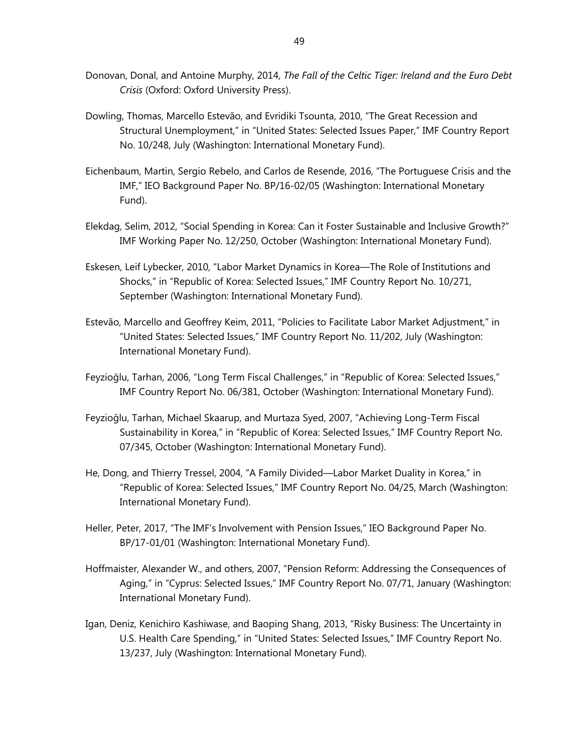- Donovan, Donal, and Antoine Murphy, 2014, *The Fall of the Celtic Tiger: Ireland and the Euro Debt Crisis* (Oxford: Oxford University Press).
- Dowling, Thomas, Marcello Estevão, and Evridiki Tsounta, 2010, "The Great Recession and Structural Unemployment," in "United States: Selected Issues Paper," IMF Country Report No. 10/248, July (Washington: International Monetary Fund).
- Eichenbaum, Martin, Sergio Rebelo, and Carlos de Resende, 2016, "The Portuguese Crisis and the IMF," IEO Background Paper No. BP/16-02/05 (Washington: International Monetary Fund).
- Elekdag, Selim, 2012, "Social Spending in Korea: Can it Foster Sustainable and Inclusive Growth?" IMF Working Paper No. 12/250, October (Washington: International Monetary Fund).
- Eskesen, Leif Lybecker, 2010, "Labor Market Dynamics in Korea––The Role of Institutions and Shocks," in "Republic of Korea: Selected Issues," IMF Country Report No. 10/271, September (Washington: International Monetary Fund).
- Estevão, Marcello and Geoffrey Keim, 2011, "Policies to Facilitate Labor Market Adjustment," in "United States: Selected Issues," IMF Country Report No. 11/202, July (Washington: International Monetary Fund).
- Feyzioğlu, Tarhan, 2006, "Long Term Fiscal Challenges," in "Republic of Korea: Selected Issues," IMF Country Report No. 06/381, October (Washington: International Monetary Fund).
- Feyzioğlu, Tarhan, Michael Skaarup, and Murtaza Syed, 2007, "Achieving Long-Term Fiscal Sustainability in Korea," in "Republic of Korea: Selected Issues," IMF Country Report No. 07/345, October (Washington: International Monetary Fund).
- He, Dong, and Thierry Tressel, 2004, "A Family Divided—Labor Market Duality in Korea," in "Republic of Korea: Selected Issues," IMF Country Report No. 04/25, March (Washington: International Monetary Fund).
- Heller, Peter, 2017, "The IMF's Involvement with Pension Issues," IEO Background Paper No. BP/17-01/01 (Washington: International Monetary Fund).
- Hoffmaister, Alexander W., and others, 2007, "Pension Reform: Addressing the Consequences of Aging," in "Cyprus: Selected Issues," IMF Country Report No. 07/71, January (Washington: International Monetary Fund).
- Igan, Deniz, Kenichiro Kashiwase, and Baoping Shang, 2013, "Risky Business: The Uncertainty in U.S. Health Care Spending," in "United States: Selected Issues," IMF Country Report No. 13/237, July (Washington: International Monetary Fund).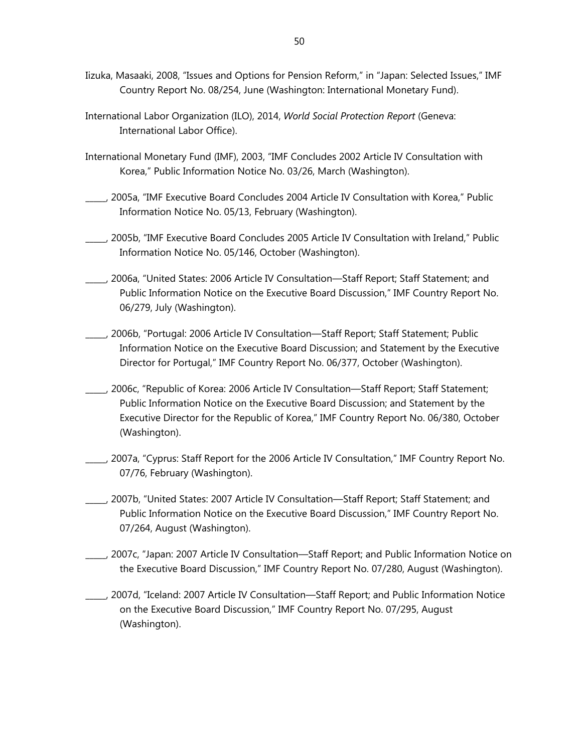- Iizuka, Masaaki, 2008, "Issues and Options for Pension Reform," in "Japan: Selected Issues," IMF Country Report No. 08/254, June (Washington: International Monetary Fund).
- International Labor Organization (ILO), 2014, *World Social Protection Report* (Geneva: International Labor Office).
- International Monetary Fund (IMF), 2003, "IMF Concludes 2002 Article IV Consultation with Korea," Public Information Notice No. 03/26, March (Washington).
- \_\_\_\_\_, 2005a, "IMF Executive Board Concludes 2004 Article IV Consultation with Korea," Public Information Notice No. 05/13, February (Washington).
- \_\_\_\_\_, 2005b, "IMF Executive Board Concludes 2005 Article IV Consultation with Ireland," Public Information Notice No. 05/146, October (Washington).
- \_\_\_\_\_, 2006a, "United States: 2006 Article IV Consultation—Staff Report; Staff Statement; and Public Information Notice on the Executive Board Discussion," IMF Country Report No. 06/279, July (Washington).
- \_\_\_\_\_, 2006b, "Portugal: 2006 Article IV Consultation—Staff Report; Staff Statement; Public Information Notice on the Executive Board Discussion; and Statement by the Executive Director for Portugal," IMF Country Report No. 06/377, October (Washington).
- \_\_\_\_\_, 2006c, "Republic of Korea: 2006 Article IV Consultation—Staff Report; Staff Statement; Public Information Notice on the Executive Board Discussion; and Statement by the Executive Director for the Republic of Korea," IMF Country Report No. 06/380, October (Washington).
- \_\_\_\_\_, 2007a, "Cyprus: Staff Report for the 2006 Article IV Consultation," IMF Country Report No. 07/76, February (Washington).
- \_\_\_\_\_, 2007b, "United States: 2007 Article IV Consultation—Staff Report; Staff Statement; and Public Information Notice on the Executive Board Discussion," IMF Country Report No. 07/264, August (Washington).
- \_\_\_\_\_, 2007c, "Japan: 2007 Article IV Consultation—Staff Report; and Public Information Notice on the Executive Board Discussion," IMF Country Report No. 07/280, August (Washington).
- \_\_\_\_\_, 2007d, "Iceland: 2007 Article IV Consultation—Staff Report; and Public Information Notice on the Executive Board Discussion," IMF Country Report No. 07/295, August (Washington).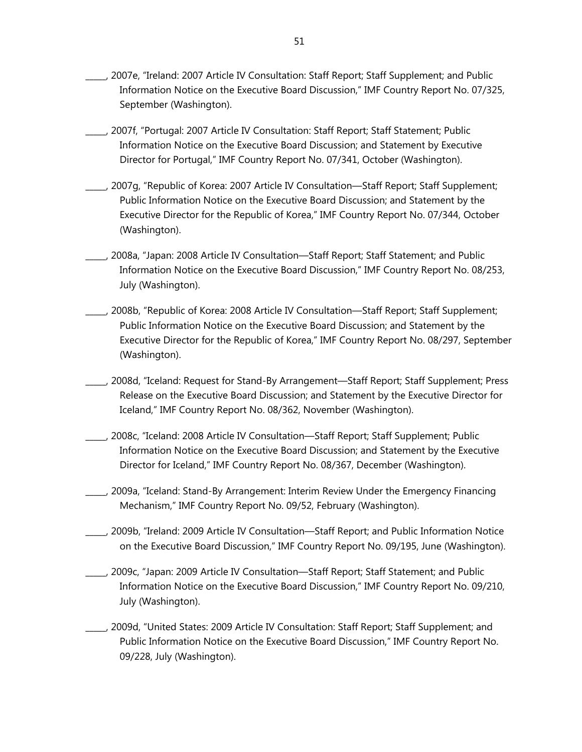- \_\_\_\_\_, 2007e, "Ireland: 2007 Article IV Consultation: Staff Report; Staff Supplement; and Public Information Notice on the Executive Board Discussion," IMF Country Report No. 07/325, September (Washington).
- \_\_\_\_\_, 2007f, "Portugal: 2007 Article IV Consultation: Staff Report; Staff Statement; Public Information Notice on the Executive Board Discussion; and Statement by Executive Director for Portugal," IMF Country Report No. 07/341, October (Washington).
- \_\_\_\_\_, 2007g, "Republic of Korea: 2007 Article IV Consultation—Staff Report; Staff Supplement; Public Information Notice on the Executive Board Discussion; and Statement by the Executive Director for the Republic of Korea," IMF Country Report No. 07/344, October (Washington).
- \_\_\_\_\_, 2008a, "Japan: 2008 Article IV Consultation—Staff Report; Staff Statement; and Public Information Notice on the Executive Board Discussion," IMF Country Report No. 08/253, July (Washington).
- \_\_\_\_\_, 2008b, "Republic of Korea: 2008 Article IV Consultation—Staff Report; Staff Supplement; Public Information Notice on the Executive Board Discussion; and Statement by the Executive Director for the Republic of Korea," IMF Country Report No. 08/297, September (Washington).
- \_\_\_\_\_, 2008d, "Iceland: Request for Stand-By Arrangement—Staff Report; Staff Supplement; Press Release on the Executive Board Discussion; and Statement by the Executive Director for Iceland," IMF Country Report No. 08/362, November (Washington).
- \_\_\_\_\_, 2008c, "Iceland: 2008 Article IV Consultation—Staff Report; Staff Supplement; Public Information Notice on the Executive Board Discussion; and Statement by the Executive Director for Iceland," IMF Country Report No. 08/367, December (Washington).
- \_\_\_\_\_, 2009a, "Iceland: Stand-By Arrangement: Interim Review Under the Emergency Financing Mechanism," IMF Country Report No. 09/52, February (Washington).
- \_\_\_\_\_, 2009b, "Ireland: 2009 Article IV Consultation—Staff Report; and Public Information Notice on the Executive Board Discussion," IMF Country Report No. 09/195, June (Washington).
- \_\_\_\_\_, 2009c, "Japan: 2009 Article IV Consultation—Staff Report; Staff Statement; and Public Information Notice on the Executive Board Discussion," IMF Country Report No. 09/210, July (Washington).
- \_\_\_\_\_, 2009d, "United States: 2009 Article IV Consultation: Staff Report; Staff Supplement; and Public Information Notice on the Executive Board Discussion," IMF Country Report No. 09/228, July (Washington).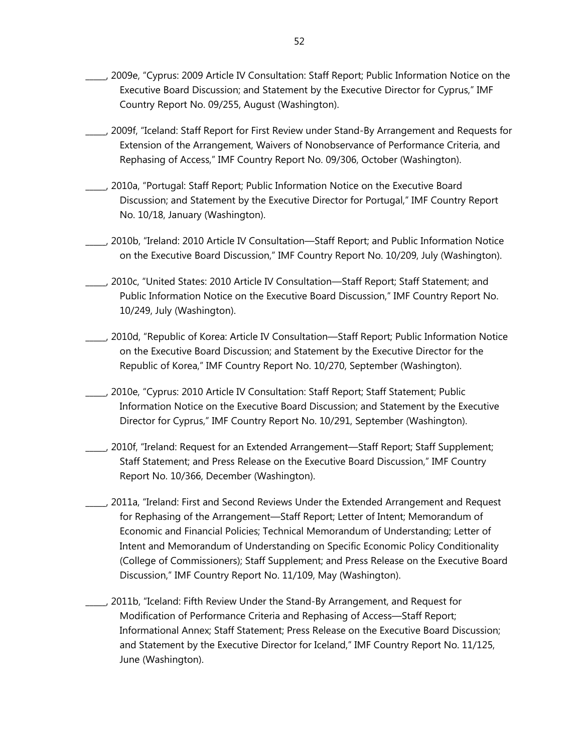- \_\_\_\_\_, 2009e, "Cyprus: 2009 Article IV Consultation: Staff Report; Public Information Notice on the Executive Board Discussion; and Statement by the Executive Director for Cyprus," IMF Country Report No. 09/255, August (Washington).
- \_\_\_\_\_, 2009f, "Iceland: Staff Report for First Review under Stand-By Arrangement and Requests for Extension of the Arrangement, Waivers of Nonobservance of Performance Criteria, and Rephasing of Access," IMF Country Report No. 09/306, October (Washington).
- \_\_\_\_\_, 2010a, "Portugal: Staff Report; Public Information Notice on the Executive Board Discussion; and Statement by the Executive Director for Portugal," IMF Country Report No. 10/18, January (Washington).
- \_\_\_\_\_, 2010b, "Ireland: 2010 Article IV Consultation—Staff Report; and Public Information Notice on the Executive Board Discussion," IMF Country Report No. 10/209, July (Washington).
- \_\_\_\_\_, 2010c, "United States: 2010 Article IV Consultation—Staff Report; Staff Statement; and Public Information Notice on the Executive Board Discussion," IMF Country Report No. 10/249, July (Washington).
- \_\_\_\_\_, 2010d, "Republic of Korea: Article IV Consultation—Staff Report; Public Information Notice on the Executive Board Discussion; and Statement by the Executive Director for the Republic of Korea," IMF Country Report No. 10/270, September (Washington).
- \_\_\_\_\_, 2010e, "Cyprus: 2010 Article IV Consultation: Staff Report; Staff Statement; Public Information Notice on the Executive Board Discussion; and Statement by the Executive Director for Cyprus," IMF Country Report No. 10/291, September (Washington).
- \_\_\_\_\_, 2010f, "Ireland: Request for an Extended Arrangement—Staff Report; Staff Supplement; Staff Statement; and Press Release on the Executive Board Discussion," IMF Country Report No. 10/366, December (Washington).
- \_\_\_\_\_, 2011a, "Ireland: First and Second Reviews Under the Extended Arrangement and Request for Rephasing of the Arrangement—Staff Report; Letter of Intent; Memorandum of Economic and Financial Policies; Technical Memorandum of Understanding; Letter of Intent and Memorandum of Understanding on Specific Economic Policy Conditionality (College of Commissioners); Staff Supplement; and Press Release on the Executive Board Discussion," IMF Country Report No. 11/109, May (Washington).
- \_\_\_\_\_, 2011b, "Iceland: Fifth Review Under the Stand-By Arrangement, and Request for Modification of Performance Criteria and Rephasing of Access—Staff Report; Informational Annex; Staff Statement; Press Release on the Executive Board Discussion; and Statement by the Executive Director for Iceland," IMF Country Report No. 11/125, June (Washington).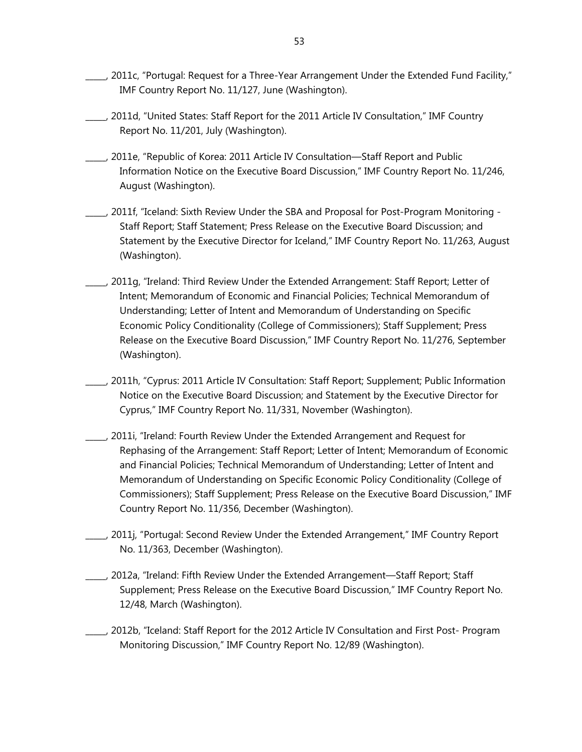- $\Box$ , 2011c, "Portugal: Request for a Three-Year Arrangement Under the Extended Fund Facility," IMF Country Report No. 11/127, June (Washington).
- \_\_\_\_\_, 2011d, "United States: Staff Report for the 2011 Article IV Consultation," IMF Country Report No. 11/201, July (Washington).
- \_\_\_\_\_, 2011e, "Republic of Korea: 2011 Article IV Consultation—Staff Report and Public Information Notice on the Executive Board Discussion," IMF Country Report No. 11/246, August (Washington).
- \_\_\_\_\_, 2011f, "Iceland: Sixth Review Under the SBA and Proposal for Post-Program Monitoring Staff Report; Staff Statement; Press Release on the Executive Board Discussion; and Statement by the Executive Director for Iceland," IMF Country Report No. 11/263, August (Washington).
- \_\_\_\_\_, 2011g, "Ireland: Third Review Under the Extended Arrangement: Staff Report; Letter of Intent; Memorandum of Economic and Financial Policies; Technical Memorandum of Understanding; Letter of Intent and Memorandum of Understanding on Specific Economic Policy Conditionality (College of Commissioners); Staff Supplement; Press Release on the Executive Board Discussion," IMF Country Report No. 11/276, September (Washington).
- \_\_\_\_\_, 2011h, "Cyprus: 2011 Article IV Consultation: Staff Report; Supplement; Public Information Notice on the Executive Board Discussion; and Statement by the Executive Director for Cyprus," IMF Country Report No. 11/331, November (Washington).
- \_\_\_\_\_, 2011i, "Ireland: Fourth Review Under the Extended Arrangement and Request for Rephasing of the Arrangement: Staff Report; Letter of Intent; Memorandum of Economic and Financial Policies; Technical Memorandum of Understanding; Letter of Intent and Memorandum of Understanding on Specific Economic Policy Conditionality (College of Commissioners); Staff Supplement; Press Release on the Executive Board Discussion," IMF Country Report No. 11/356, December (Washington).
- \_\_\_\_\_, 2011j, "Portugal: Second Review Under the Extended Arrangement," IMF Country Report No. 11/363, December (Washington).
	- \_\_\_\_\_, 2012a, "Ireland: Fifth Review Under the Extended Arrangement—Staff Report; Staff Supplement; Press Release on the Executive Board Discussion," IMF Country Report No. 12/48, March (Washington).
- \_\_\_\_\_, 2012b, "Iceland: Staff Report for the 2012 Article IV Consultation and First Post- Program Monitoring Discussion," IMF Country Report No. 12/89 (Washington).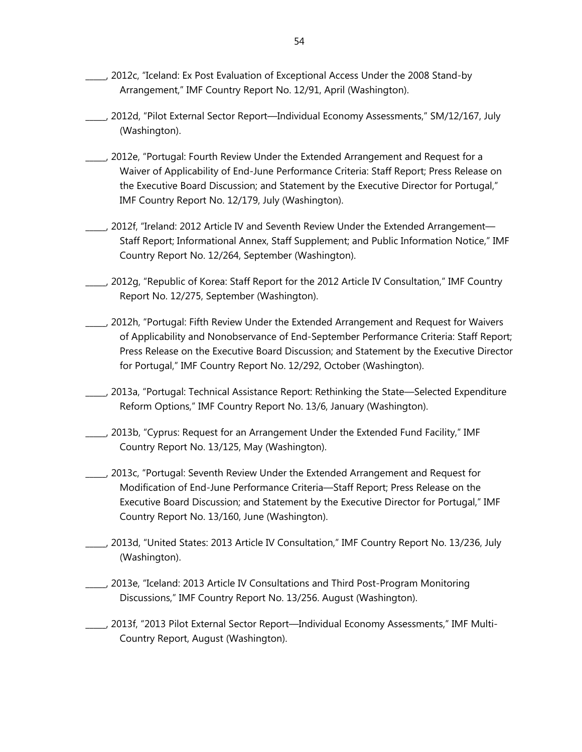- \_\_\_\_\_, 2012c, "Iceland: Ex Post Evaluation of Exceptional Access Under the 2008 Stand-by Arrangement," IMF Country Report No. 12/91, April (Washington).
- \_\_\_\_\_, 2012d, "Pilot External Sector Report—Individual Economy Assessments," SM/12/167, July (Washington).
- \_\_\_\_\_, 2012e, "Portugal: Fourth Review Under the Extended Arrangement and Request for a Waiver of Applicability of End-June Performance Criteria: Staff Report; Press Release on the Executive Board Discussion; and Statement by the Executive Director for Portugal," IMF Country Report No. 12/179, July (Washington).
- \_\_\_\_\_, 2012f, "Ireland: 2012 Article IV and Seventh Review Under the Extended Arrangement— Staff Report; Informational Annex, Staff Supplement; and Public Information Notice," IMF Country Report No. 12/264, September (Washington).
- \_\_\_\_\_, 2012g, "Republic of Korea: Staff Report for the 2012 Article IV Consultation," IMF Country Report No. 12/275, September (Washington).
- \_\_\_\_\_, 2012h, "Portugal: Fifth Review Under the Extended Arrangement and Request for Waivers of Applicability and Nonobservance of End-September Performance Criteria: Staff Report; Press Release on the Executive Board Discussion; and Statement by the Executive Director for Portugal," IMF Country Report No. 12/292, October (Washington).
- \_\_\_\_\_, 2013a, "Portugal: Technical Assistance Report: Rethinking the State—Selected Expenditure Reform Options," IMF Country Report No. 13/6, January (Washington).
- \_\_\_\_\_, 2013b, "Cyprus: Request for an Arrangement Under the Extended Fund Facility," IMF Country Report No. 13/125, May (Washington).
- \_\_\_\_\_, 2013c, "Portugal: Seventh Review Under the Extended Arrangement and Request for Modification of End-June Performance Criteria—Staff Report; Press Release on the Executive Board Discussion; and Statement by the Executive Director for Portugal," IMF Country Report No. 13/160, June (Washington).
- \_\_\_\_\_, 2013d, "United States: 2013 Article IV Consultation," IMF Country Report No. 13/236, July (Washington).
- \_\_\_\_\_, 2013e, "Iceland: 2013 Article IV Consultations and Third Post-Program Monitoring Discussions," IMF Country Report No. 13/256. August (Washington).
- \_\_\_\_\_, 2013f, "2013 Pilot External Sector Report—Individual Economy Assessments," IMF Multi-Country Report, August (Washington).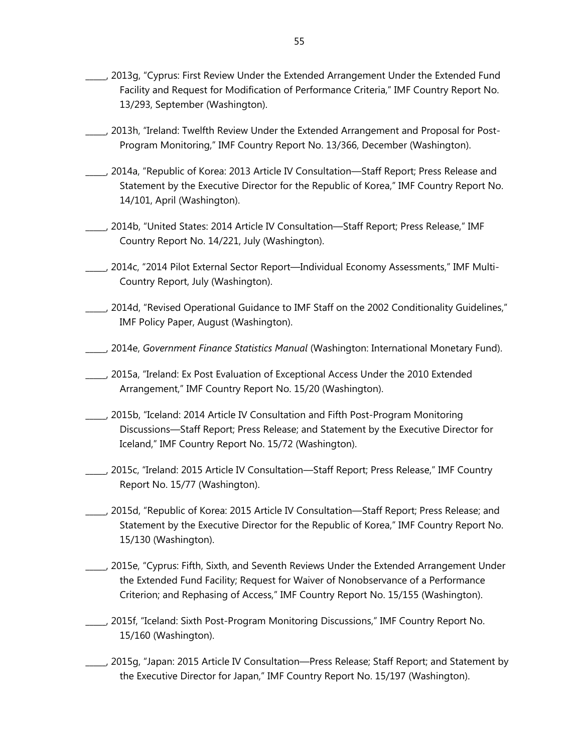- \_\_\_\_\_, 2013g, "Cyprus: First Review Under the Extended Arrangement Under the Extended Fund Facility and Request for Modification of Performance Criteria," IMF Country Report No. 13/293, September (Washington).
- \_\_\_\_\_, 2013h, "Ireland: Twelfth Review Under the Extended Arrangement and Proposal for Post-Program Monitoring," IMF Country Report No. 13/366, December (Washington).
- \_\_\_\_\_, 2014a, "Republic of Korea: 2013 Article IV Consultation—Staff Report; Press Release and Statement by the Executive Director for the Republic of Korea," IMF Country Report No. 14/101, April (Washington).
- \_\_\_\_\_, 2014b, "United States: 2014 Article IV Consultation—Staff Report; Press Release," IMF Country Report No. 14/221, July (Washington).
- \_\_\_\_\_, 2014c, "2014 Pilot External Sector Report—Individual Economy Assessments," IMF Multi-Country Report, July (Washington).
- \_\_\_\_\_, 2014d, "Revised Operational Guidance to IMF Staff on the 2002 Conditionality Guidelines," IMF Policy Paper, August (Washington).
- \_\_\_\_\_, 2014e, *Government Finance Statistics Manual* (Washington: International Monetary Fund).
- \_\_\_\_\_, 2015a, "Ireland: Ex Post Evaluation of Exceptional Access Under the 2010 Extended Arrangement," IMF Country Report No. 15/20 (Washington).
- \_\_\_\_\_, 2015b, "Iceland: 2014 Article IV Consultation and Fifth Post-Program Monitoring Discussions—Staff Report; Press Release; and Statement by the Executive Director for Iceland," IMF Country Report No. 15/72 (Washington).
- \_\_\_\_\_, 2015c, "Ireland: 2015 Article IV Consultation—Staff Report; Press Release," IMF Country Report No. 15/77 (Washington).
- \_\_\_\_\_, 2015d, "Republic of Korea: 2015 Article IV Consultation—Staff Report; Press Release; and Statement by the Executive Director for the Republic of Korea," IMF Country Report No. 15/130 (Washington).
- \_\_\_\_\_, 2015e, "Cyprus: Fifth, Sixth, and Seventh Reviews Under the Extended Arrangement Under the Extended Fund Facility; Request for Waiver of Nonobservance of a Performance Criterion; and Rephasing of Access," IMF Country Report No. 15/155 (Washington).
- \_\_\_\_\_, 2015f, "Iceland: Sixth Post-Program Monitoring Discussions," IMF Country Report No. 15/160 (Washington).
- \_\_\_\_\_, 2015g, "Japan: 2015 Article IV Consultation—Press Release; Staff Report; and Statement by the Executive Director for Japan," IMF Country Report No. 15/197 (Washington).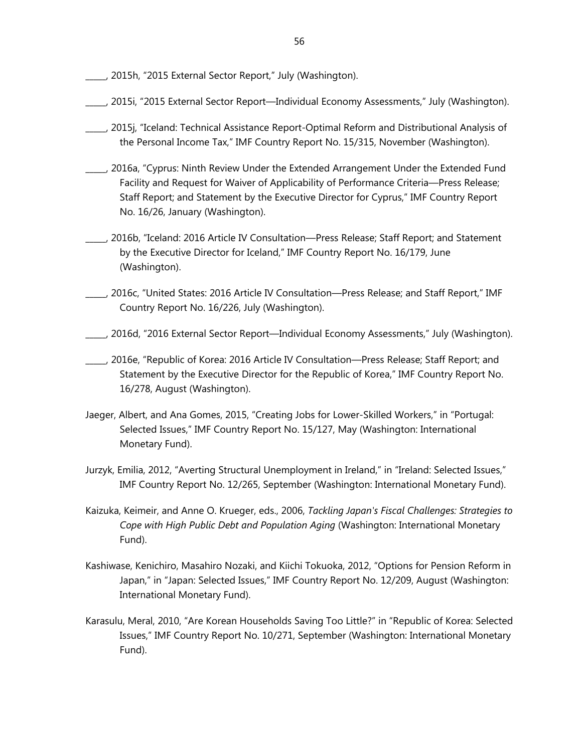- \_\_\_\_\_, 2015h, "2015 External Sector Report," July (Washington).
- \_\_\_\_\_, 2015i, "2015 External Sector Report—Individual Economy Assessments," July (Washington).
- \_\_\_\_\_, 2015j, "Iceland: Technical Assistance Report-Optimal Reform and Distributional Analysis of the Personal Income Tax," IMF Country Report No. 15/315, November (Washington).
- \_\_\_\_\_, 2016a, "Cyprus: Ninth Review Under the Extended Arrangement Under the Extended Fund Facility and Request for Waiver of Applicability of Performance Criteria—Press Release; Staff Report; and Statement by the Executive Director for Cyprus," IMF Country Report No. 16/26, January (Washington).
- \_\_\_\_\_, 2016b, "Iceland: 2016 Article IV Consultation—Press Release; Staff Report; and Statement by the Executive Director for Iceland," IMF Country Report No. 16/179, June (Washington).
- \_\_\_\_\_, 2016c, "United States: 2016 Article IV Consultation—Press Release; and Staff Report," IMF Country Report No. 16/226, July (Washington).
- \_\_\_\_\_, 2016d, "2016 External Sector Report—Individual Economy Assessments," July (Washington).
- \_\_\_\_\_, 2016e, "Republic of Korea: 2016 Article IV Consultation—Press Release; Staff Report; and Statement by the Executive Director for the Republic of Korea," IMF Country Report No. 16/278, August (Washington).
- Jaeger, Albert, and Ana Gomes, 2015, "Creating Jobs for Lower-Skilled Workers," in "Portugal: Selected Issues," IMF Country Report No. 15/127, May (Washington: International Monetary Fund).
- Jurzyk, Emilia, 2012, "Averting Structural Unemployment in Ireland," in "Ireland: Selected Issues," IMF Country Report No. 12/265, September (Washington: International Monetary Fund).
- Kaizuka, Keimeir, and Anne O. Krueger, eds., 2006, *Tackling Japan's Fiscal Challenges: Strategies to Cope with High Public Debt and Population Aging* (Washington: International Monetary Fund).
- Kashiwase, Kenichiro, Masahiro Nozaki, and Kiichi Tokuoka, 2012, "Options for Pension Reform in Japan," in "Japan: Selected Issues," IMF Country Report No. 12/209, August (Washington: International Monetary Fund).
- Karasulu, Meral, 2010, "Are Korean Households Saving Too Little?" in "Republic of Korea: Selected Issues," IMF Country Report No. 10/271, September (Washington: International Monetary Fund).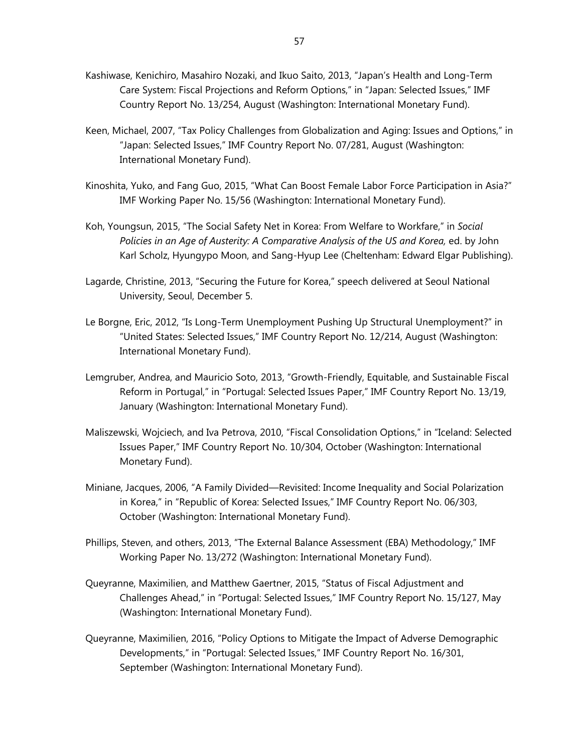- Kashiwase, Kenichiro, Masahiro Nozaki, and Ikuo Saito, 2013, "Japan's Health and Long-Term Care System: Fiscal Projections and Reform Options," in "Japan: Selected Issues," IMF Country Report No. 13/254, August (Washington: International Monetary Fund).
- Keen, Michael, 2007, "Tax Policy Challenges from Globalization and Aging: Issues and Options," in "Japan: Selected Issues," IMF Country Report No. 07/281, August (Washington: International Monetary Fund).
- Kinoshita, Yuko, and Fang Guo, 2015, "What Can Boost Female Labor Force Participation in Asia?" IMF Working Paper No. 15/56 (Washington: International Monetary Fund).
- Koh, Youngsun, 2015, "The Social Safety Net in Korea: From Welfare to Workfare," in *Social Policies in an Age of Austerity: A Comparative Analysis of the US and Korea,* ed. by John Karl Scholz, Hyungypo Moon, and Sang-Hyup Lee (Cheltenham: Edward Elgar Publishing).
- Lagarde, Christine, 2013, "Securing the Future for Korea," speech delivered at Seoul National University, Seoul, December 5.
- Le Borgne, Eric, 2012, "Is Long-Term Unemployment Pushing Up Structural Unemployment?" in "United States: Selected Issues," IMF Country Report No. 12/214, August (Washington: International Monetary Fund).
- Lemgruber, Andrea, and Mauricio Soto, 2013, "Growth-Friendly, Equitable, and Sustainable Fiscal Reform in Portugal," in "Portugal: Selected Issues Paper," IMF Country Report No. 13/19, January (Washington: International Monetary Fund).
- Maliszewski, Wojciech, and Iva Petrova, 2010, "Fiscal Consolidation Options," in "Iceland: Selected Issues Paper," IMF Country Report No. 10/304, October (Washington: International Monetary Fund).
- Miniane, Jacques, 2006, "A Family Divided—Revisited: Income Inequality and Social Polarization in Korea," in "Republic of Korea: Selected Issues," IMF Country Report No. 06/303, October (Washington: International Monetary Fund).
- Phillips, Steven, and others, 2013, "The External Balance Assessment (EBA) Methodology," IMF Working Paper No. 13/272 (Washington: International Monetary Fund).
- Queyranne, Maximilien, and Matthew Gaertner, 2015, "Status of Fiscal Adjustment and Challenges Ahead," in "Portugal: Selected Issues," IMF Country Report No. 15/127, May (Washington: International Monetary Fund).
- Queyranne, Maximilien, 2016, "Policy Options to Mitigate the Impact of Adverse Demographic Developments," in "Portugal: Selected Issues," IMF Country Report No. 16/301, September (Washington: International Monetary Fund).